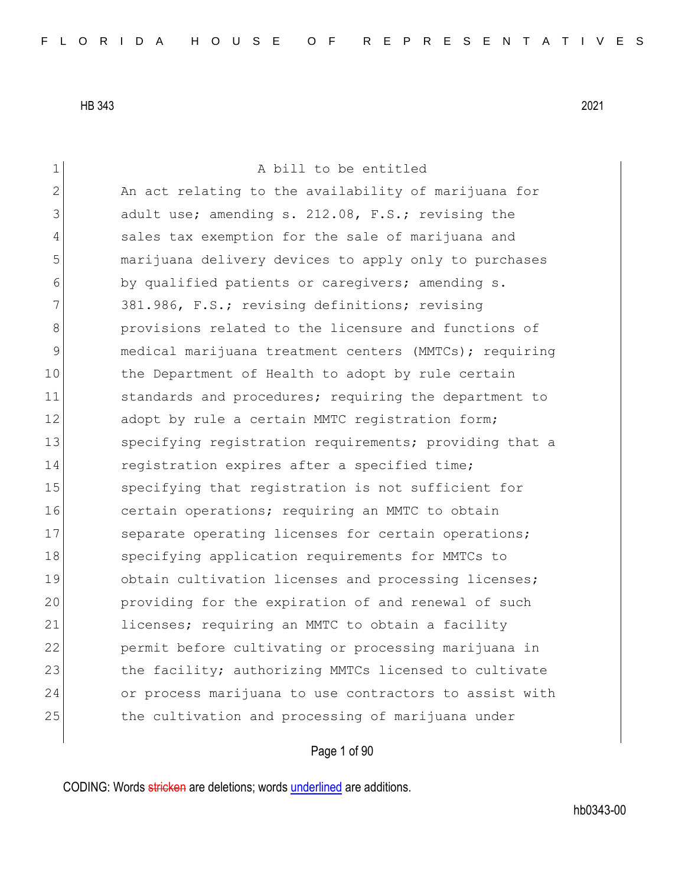1 a bill to be entitled 2 An act relating to the availability of marijuana for 3 adult use; amending s. 212.08, F.S.; revising the 4 sales tax exemption for the sale of marijuana and 5 5 marijuana delivery devices to apply only to purchases 6 by qualified patients or caregivers; amending s. 7 381.986, F.S.; revising definitions; revising 8 **b** provisions related to the licensure and functions of 9 medical marijuana treatment centers (MMTCs); requiring 10 the Department of Health to adopt by rule certain 11 standards and procedures; requiring the department to 12 adopt by rule a certain MMTC registration form; 13 Specifying registration requirements; providing that a 14 registration expires after a specified time; 15 Specifying that registration is not sufficient for 16 certain operations; requiring an MMTC to obtain 17 Separate operating licenses for certain operations; 18 specifying application requirements for MMTCs to 19 obtain cultivation licenses and processing licenses; 20 providing for the expiration of and renewal of such 21 licenses; requiring an MMTC to obtain a facility 22 permit before cultivating or processing marijuana in 23 the facility; authorizing MMTCs licensed to cultivate 24 or process marijuana to use contractors to assist with 25 the cultivation and processing of marijuana under

Page 1 of 90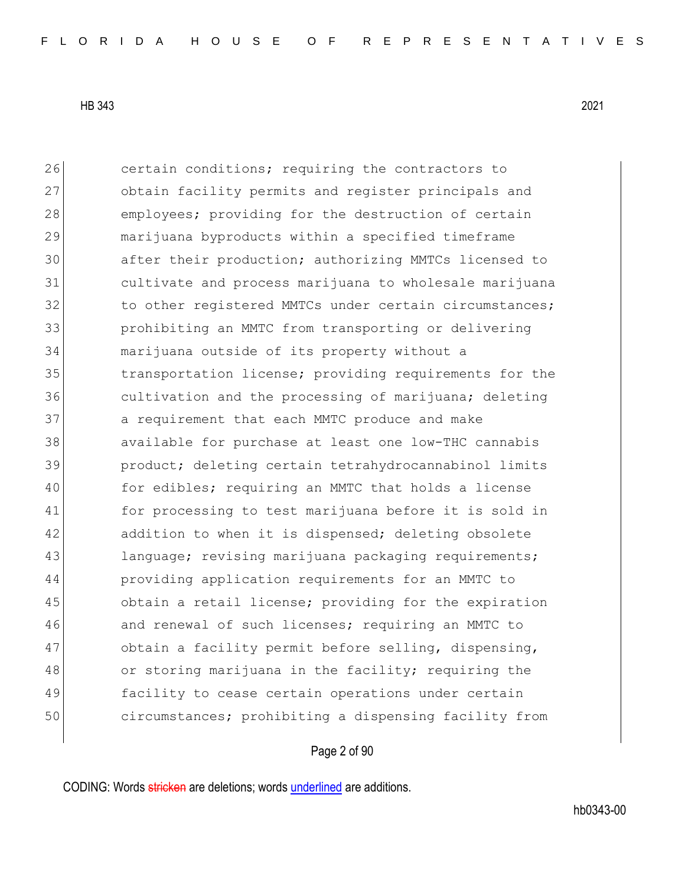26 certain conditions; requiring the contractors to 27 obtain facility permits and register principals and 28 employees; providing for the destruction of certain 29 marijuana byproducts within a specified timeframe 30 after their production; authorizing MMTCs licensed to 31 cultivate and process marijuana to wholesale marijuana 32 to other registered MMTCs under certain circumstances; 33 prohibiting an MMTC from transporting or delivering 34 marijuana outside of its property without a 35 10 11 transportation license; providing requirements for the 36 36 cultivation and the processing of marijuana; deleting 37 a requirement that each MMTC produce and make 38 available for purchase at least one low-THC cannabis 39 product; deleting certain tetrahydrocannabinol limits 40 for edibles; requiring an MMTC that holds a license 41 for processing to test marijuana before it is sold in 42 addition to when it is dispensed; deleting obsolete 43 language; revising marijuana packaging requirements; 44 providing application requirements for an MMTC to 45 **budge obtain a retail license;** providing for the expiration 46 and renewal of such licenses; requiring an MMTC to 47 obtain a facility permit before selling, dispensing, 48 or storing marijuana in the facility; requiring the 49 facility to cease certain operations under certain 50 circumstances; prohibiting a dispensing facility from

Page 2 of 90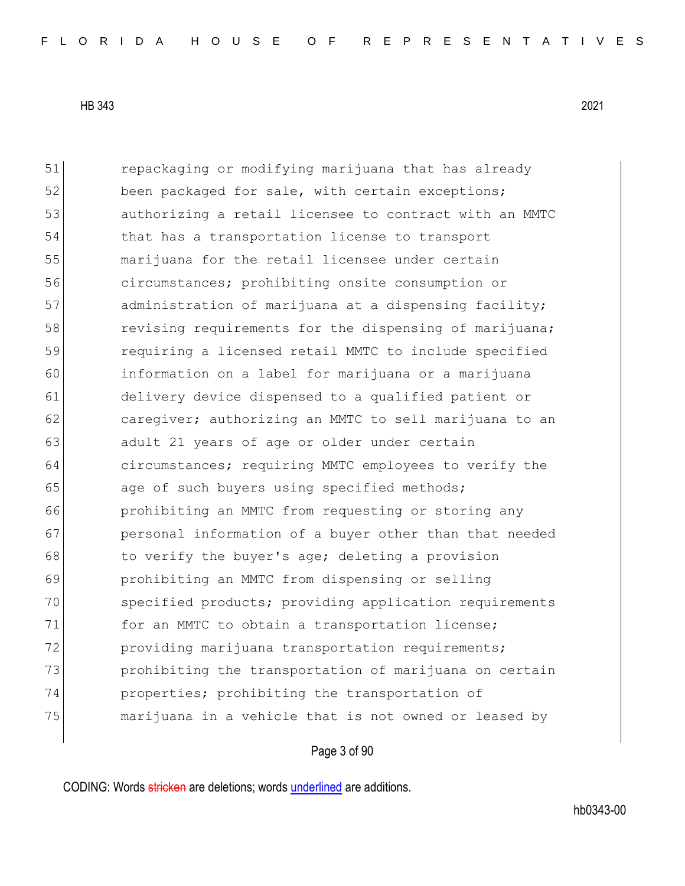51 repackaging or modifying marijuana that has already 52 been packaged for sale, with certain exceptions; 53 authorizing a retail licensee to contract with an MMTC 54 that has a transportation license to transport 55 marijuana for the retail licensee under certain 56 circumstances; prohibiting onsite consumption or 57 administration of marijuana at a dispensing facility; 58 revising requirements for the dispensing of marijuana; 59 requiring a licensed retail MMTC to include specified 60 information on a label for marijuana or a marijuana 61 delivery device dispensed to a qualified patient or 62 caregiver; authorizing an MMTC to sell marijuana to an 63 adult 21 years of age or older under certain 64 circumstances; requiring MMTC employees to verify the  $65$  age of such buyers using specified methods; 66 prohibiting an MMTC from requesting or storing any 67 **peak** personal information of a buyer other than that needed 68 to verify the buyer's age; deleting a provision 69 prohibiting an MMTC from dispensing or selling 70 specified products; providing application requirements 71 for an MMTC to obtain a transportation license; 72 providing marijuana transportation requirements; 73 prohibiting the transportation of marijuana on certain 74 properties; prohibiting the transportation of 75 marijuana in a vehicle that is not owned or leased by

Page 3 of 90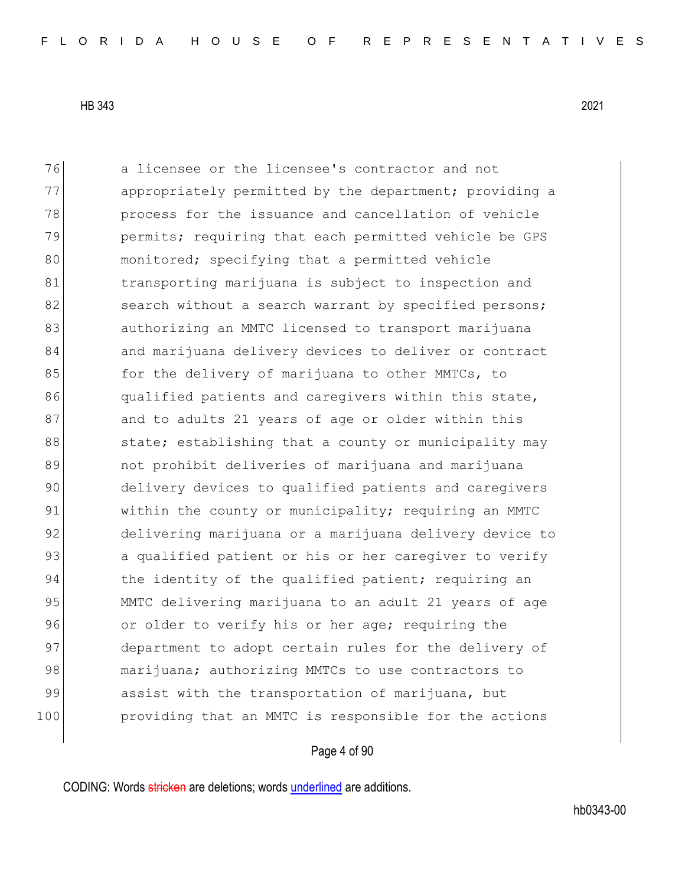76 a licensee or the licensee's contractor and not 77 appropriately permitted by the department; providing a 78 process for the issuance and cancellation of vehicle 79 permits; requiring that each permitted vehicle be GPS 80 monitored; specifying that a permitted vehicle 81 btransporting marijuana is subject to inspection and 82 search without a search warrant by specified persons; 83 authorizing an MMTC licensed to transport marijuana 84 and marijuana delivery devices to deliver or contract 85 **for the delivery of marijuana to other MMTCs, to** 86 qualified patients and caregivers within this state, 87 and to adults 21 years of age or older within this 88 state; establishing that a county or municipality may 89 **b** not prohibit deliveries of marijuana and marijuana 90 delivery devices to qualified patients and caregivers 91 within the county or municipality; requiring an MMTC 92 delivering marijuana or a marijuana delivery device to 93 a qualified patient or his or her caregiver to verify 94 the identity of the qualified patient; requiring an 95 MMTC delivering marijuana to an adult 21 years of age 96 or older to verify his or her age; requiring the 97 department to adopt certain rules for the delivery of 98 marijuana; authorizing MMTCs to use contractors to 99 assist with the transportation of marijuana, but 100 **providing that an MMTC** is responsible for the actions

# Page 4 of 90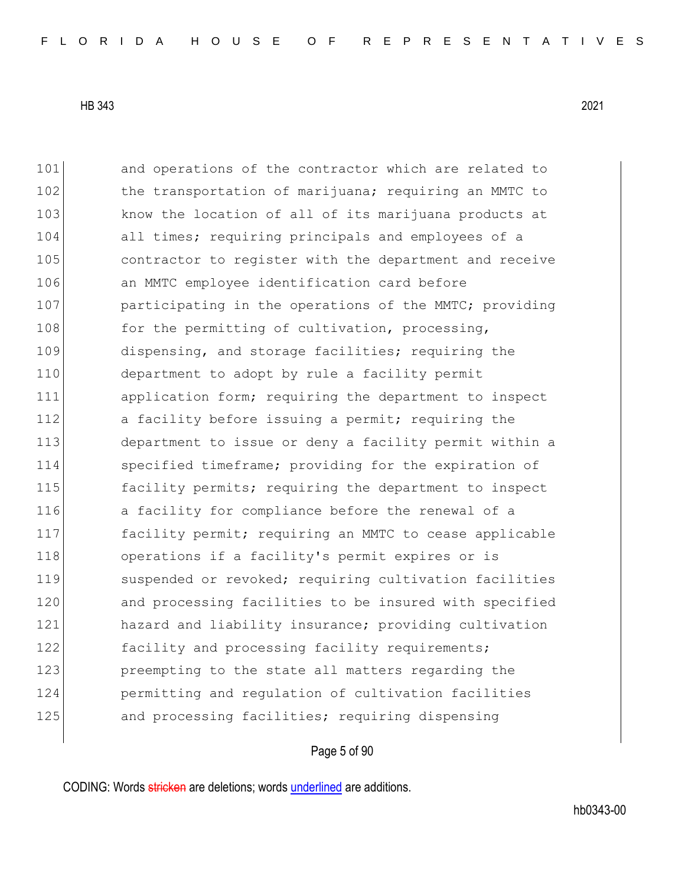101 and operations of the contractor which are related to 102 the transportation of marijuana; requiring an MMTC to 103 know the location of all of its marijuana products at 104 all times; requiring principals and employees of a 105 contractor to register with the department and receive 106 an MMTC employee identification card before 107 **participating in the operations of the MMTC;** providing 108 for the permitting of cultivation, processing, 109 dispensing, and storage facilities; requiring the 110 department to adopt by rule a facility permit 111 application form; requiring the department to inspect 112 a facility before issuing a permit; requiring the 113 department to issue or deny a facility permit within a 114 specified timeframe; providing for the expiration of 115 **facility permits; requiring the department to inspect** 116 a facility for compliance before the renewal of a 117 **facility permit;** requiring an MMTC to cease applicable 118 operations if a facility's permit expires or is 119 suspended or revoked; requiring cultivation facilities 120 and processing facilities to be insured with specified 121 hazard and liability insurance; providing cultivation 122 facility and processing facility requirements; 123 preempting to the state all matters regarding the 124 permitting and regulation of cultivation facilities 125 and processing facilities; requiring dispensing

Page 5 of 90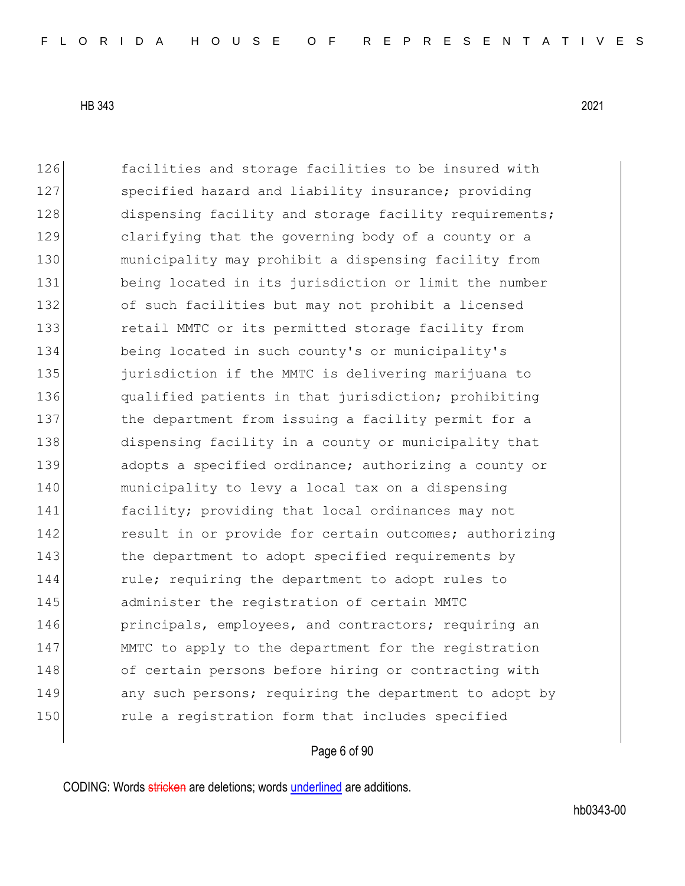126 facilities and storage facilities to be insured with 127 specified hazard and liability insurance; providing 128 dispensing facility and storage facility requirements; 129 clarifying that the governing body of a county or a 130 municipality may prohibit a dispensing facility from 131 being located in its jurisdiction or limit the number 132 of such facilities but may not prohibit a licensed 133 retail MMTC or its permitted storage facility from 134 being located in such county's or municipality's 135 **jurisdiction if the MMTC is delivering marijuana to** 136 qualified patients in that jurisdiction; prohibiting 137 the department from issuing a facility permit for a 138 dispensing facility in a county or municipality that 139 adopts a specified ordinance; authorizing a county or 140 municipality to levy a local tax on a dispensing 141 facility; providing that local ordinances may not 142 result in or provide for certain outcomes; authorizing 143 the department to adopt specified requirements by 144 rule; requiring the department to adopt rules to 145 administer the registration of certain MMTC 146 **principals, employees, and contractors; requiring an** 147 MMTC to apply to the department for the registration 148 of certain persons before hiring or contracting with 149 any such persons; requiring the department to adopt by 150 rule a registration form that includes specified

# Page 6 of 90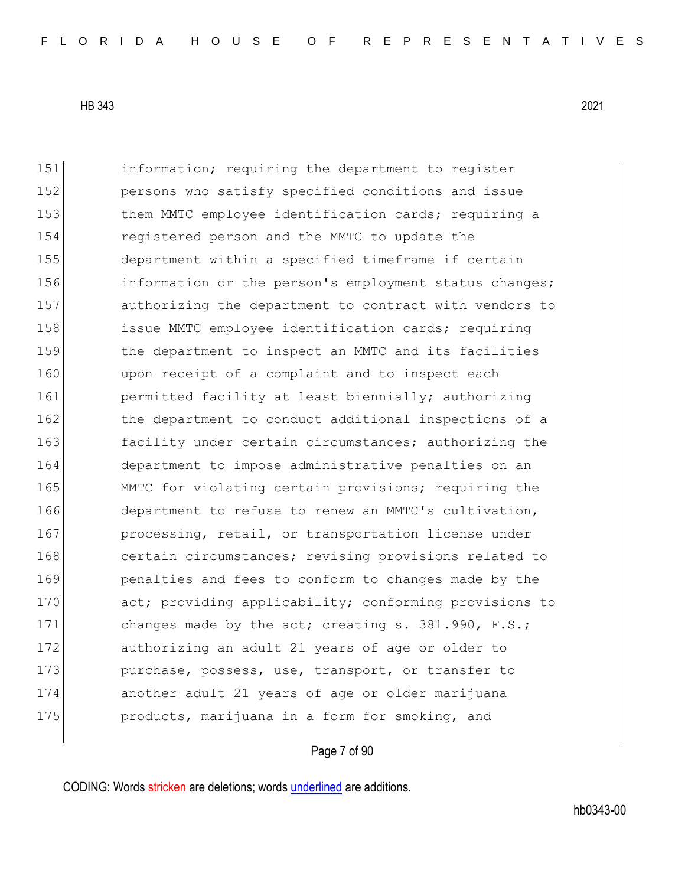151 information; requiring the department to register 152 **persons who satisfy specified conditions and issue** 153 them MMTC employee identification cards; requiring a 154 registered person and the MMTC to update the 155 department within a specified timeframe if certain 156 information or the person's employment status changes; 157 authorizing the department to contract with vendors to 158 issue MMTC employee identification cards; requiring 159 the department to inspect an MMTC and its facilities 160 upon receipt of a complaint and to inspect each 161 **permitted facility at least biennially; authorizing** 162 the department to conduct additional inspections of a 163 facility under certain circumstances; authorizing the 164 department to impose administrative penalties on an 165 MMTC for violating certain provisions; requiring the 166 department to refuse to renew an MMTC's cultivation, 167 **processing, retail, or transportation license under** 168 certain circumstances; revising provisions related to 169 **penalties and fees to conform to changes made by the** 170 act; providing applicability; conforming provisions to 171 changes made by the act; creating s. 381.990, F.S.; 172 authorizing an adult 21 years of age or older to 173 purchase, possess, use, transport, or transfer to 174 another adult 21 years of age or older marijuana 175 **products, marijuana in a form for smoking, and** 

Page 7 of 90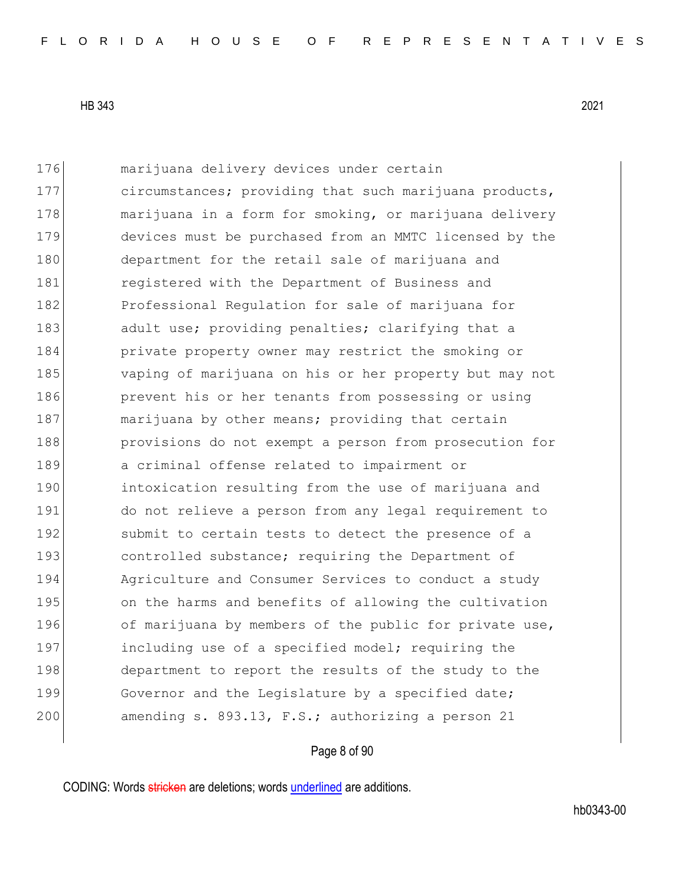176 marijuana delivery devices under certain 177 circumstances; providing that such marijuana products, 178 marijuana in a form for smoking, or marijuana delivery 179 devices must be purchased from an MMTC licensed by the 180 department for the retail sale of marijuana and 181 **registered with the Department of Business and** 182 Professional Regulation for sale of marijuana for 183 adult use; providing penalties; clarifying that a 184 **private property owner may restrict the smoking or** 185 vaping of marijuana on his or her property but may not 186 **prevent his or her tenants from possessing or using** 187 marijuana by other means; providing that certain 188 **provisions do not exempt a person from prosecution for** 189 a criminal offense related to impairment or 190 intoxication resulting from the use of marijuana and 191 do not relieve a person from any legal requirement to 192 submit to certain tests to detect the presence of a 193 controlled substance; requiring the Department of 194 Agriculture and Consumer Services to conduct a study 195 on the harms and benefits of allowing the cultivation 196 of marijuana by members of the public for private use, 197 including use of a specified model; requiring the 198 department to report the results of the study to the 199 Governor and the Legislature by a specified date; 200 amending s.  $893.13$ , F.S.; authorizing a person 21

# Page 8 of 90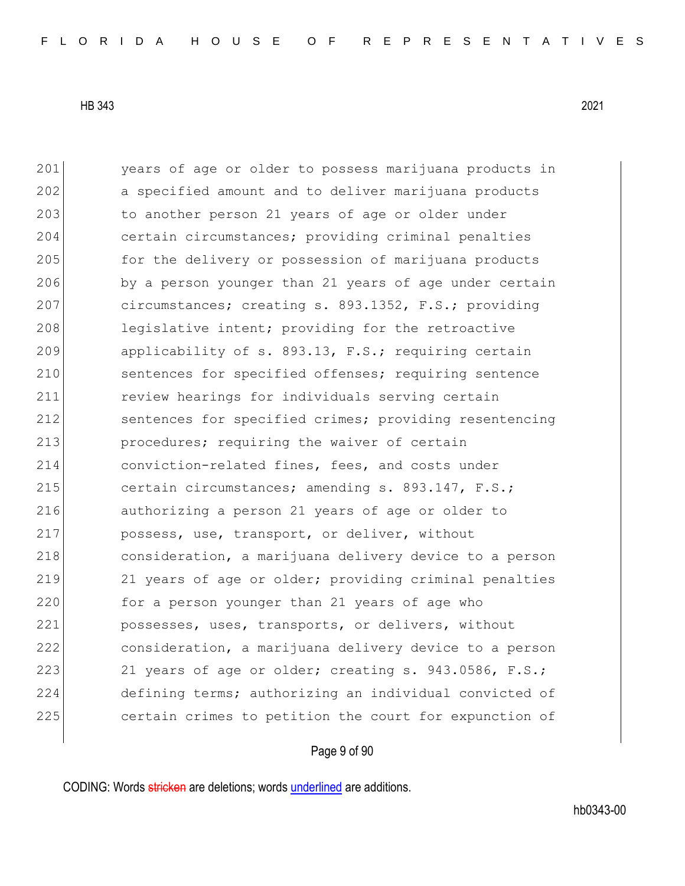201 years of age or older to possess marijuana products in 202 a specified amount and to deliver marijuana products 203 to another person 21 years of age or older under 204 certain circumstances; providing criminal penalties 205 for the delivery or possession of marijuana products 206 by a person younger than 21 years of age under certain 207 circumstances; creating s. 893.1352, F.S.; providing 208 legislative intent; providing for the retroactive 209 applicability of s. 893.13, F.S.; requiring certain 210 sentences for specified offenses; requiring sentence 211 review hearings for individuals serving certain 212 sentences for specified crimes; providing resentencing 213 procedures; requiring the waiver of certain 214 conviction-related fines, fees, and costs under 215 certain circumstances; amending s. 893.147, F.S.; 216 authorizing a person 21 years of age or older to 217 possess, use, transport, or deliver, without 218 consideration, a marijuana delivery device to a person 219 21 years of age or older; providing criminal penalties 220 for a person younger than 21 years of age who 221 possesses, uses, transports, or delivers, without 222 consideration, a marijuana delivery device to a person 223 21 years of age or older; creating s. 943.0586, F.S.; 224 defining terms; authorizing an individual convicted of 225 certain crimes to petition the court for expunction of

# Page 9 of 90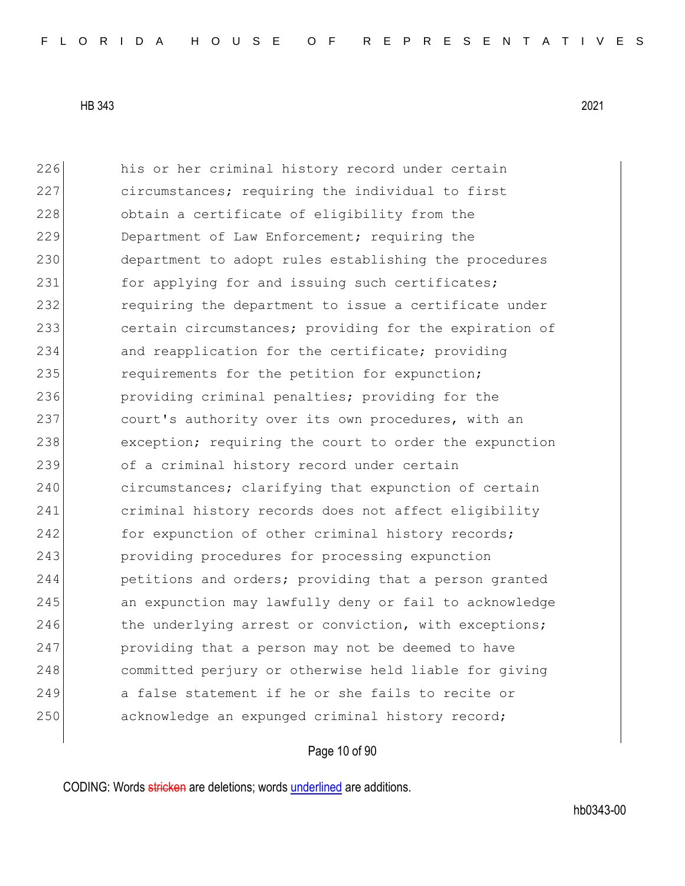226 his or her criminal history record under certain 227 circumstances; requiring the individual to first 228 obtain a certificate of eligibility from the 229 Department of Law Enforcement; requiring the 230 department to adopt rules establishing the procedures 231 for applying for and issuing such certificates; 232 requiring the department to issue a certificate under 233 certain circumstances; providing for the expiration of 234 and reapplication for the certificate; providing 235 requirements for the petition for expunction; 236 **providing criminal penalties;** providing for the 237 court's authority over its own procedures, with an 238 exception; requiring the court to order the expunction 239 of a criminal history record under certain 240 circumstances; clarifying that expunction of certain 241 criminal history records does not affect eligibility 242 for expunction of other criminal history records; 243 providing procedures for processing expunction 244 petitions and orders; providing that a person granted 245 an expunction may lawfully deny or fail to acknowledge 246 the underlying arrest or conviction, with exceptions; 247 providing that a person may not be deemed to have 248 committed perjury or otherwise held liable for giving 249 a false statement if he or she fails to recite or 250 acknowledge an expunged criminal history record;

# Page 10 of 90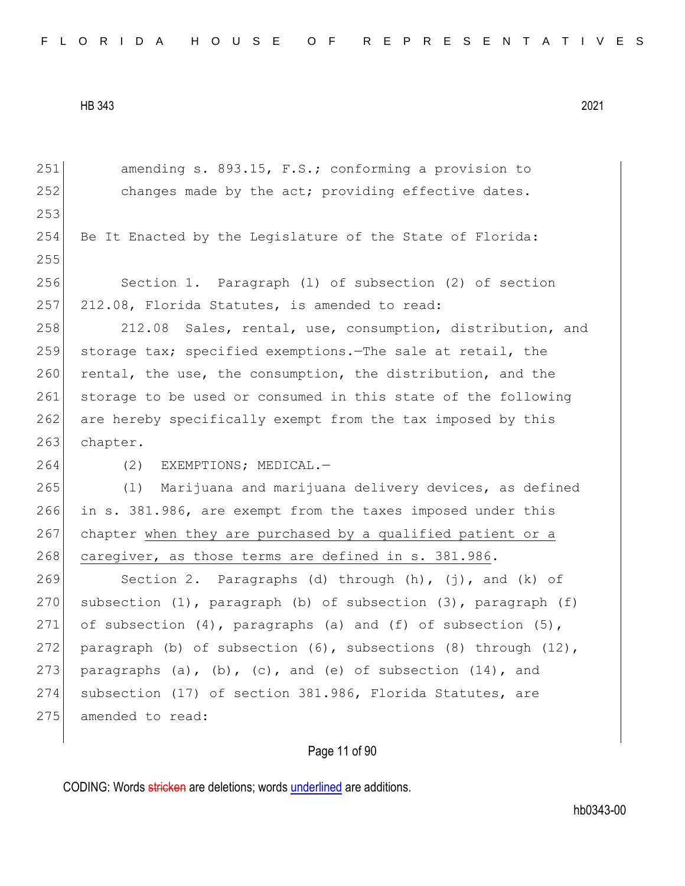251 amending s. 893.15, F.S.; conforming a provision to 252 changes made by the act; providing effective dates. 253 254 Be It Enacted by the Legislature of the State of Florida: 255 256 Section 1. Paragraph (l) of subsection (2) of section 257 212.08, Florida Statutes, is amended to read: 258 212.08 Sales, rental, use, consumption, distribution, and 259 storage tax; specified exemptions.—The sale at retail, the 260 rental, the use, the consumption, the distribution, and the 261 storage to be used or consumed in this state of the following 262 are hereby specifically exempt from the tax imposed by this 263 chapter. 264 (2) EXEMPTIONS; MEDICAL.-265 (l) Marijuana and marijuana delivery devices, as defined 266 in s. 381.986, are exempt from the taxes imposed under this 267 chapter when they are purchased by a qualified patient or a 268 caregiver, as those terms are defined in s. 381.986. 269 Section 2. Paragraphs (d) through (h), (j), and (k) of 270 subsection  $(1)$ , paragraph  $(b)$  of subsection  $(3)$ , paragraph  $(f)$ 271 of subsection  $(4)$ , paragraphs (a) and (f) of subsection  $(5)$ , 272 paragraph (b) of subsection  $(6)$ , subsections  $(8)$  through  $(12)$ , 273 paragraphs (a), (b), (c), and (e) of subsection  $(14)$ , and 274 subsection (17) of section 381.986, Florida Statutes, are 275 amended to read:

Page 11 of 90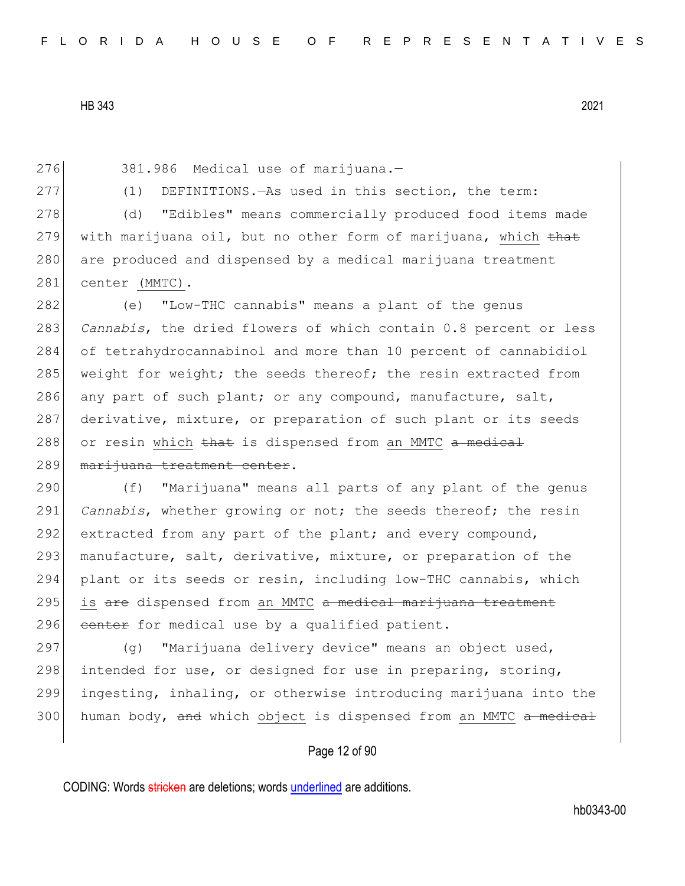276 381.986 Medical use of marijuana.-277 (1) DEFINITIONS.—As used in this section, the term: 278 (d) "Edibles" means commercially produced food items made 279 with marijuana oil, but no other form of marijuana, which that 280 are produced and dispensed by a medical marijuana treatment 281 center (MMTC).

282 (e) "Low-THC cannabis" means a plant of the genus 283 *Cannabis*, the dried flowers of which contain 0.8 percent or less 284 of tetrahydrocannabinol and more than 10 percent of cannabidiol 285 weight for weight; the seeds thereof; the resin extracted from 286 any part of such plant; or any compound, manufacture, salt, 287 derivative, mixture, or preparation of such plant or its seeds 288 or resin which that is dispensed from an MMTC a medical 289 marijuana treatment center.

290  $(f)$  "Marijuana" means all parts of any plant of the genus 291 *Cannabis*, whether growing or not; the seeds thereof; the resin 292 extracted from any part of the plant; and every compound, 293 manufacture, salt, derivative, mixture, or preparation of the 294 plant or its seeds or resin, including low-THC cannabis, which 295 is are dispensed from an MMTC a medical marijuana treatment 296 center for medical use by a qualified patient.

297 (g) "Marijuana delivery device" means an object used, 298 intended for use, or designed for use in preparing, storing, 299 ingesting, inhaling, or otherwise introducing marijuana into the  $300$  human body, and which object is dispensed from an MMTC a medical

## Page 12 of 90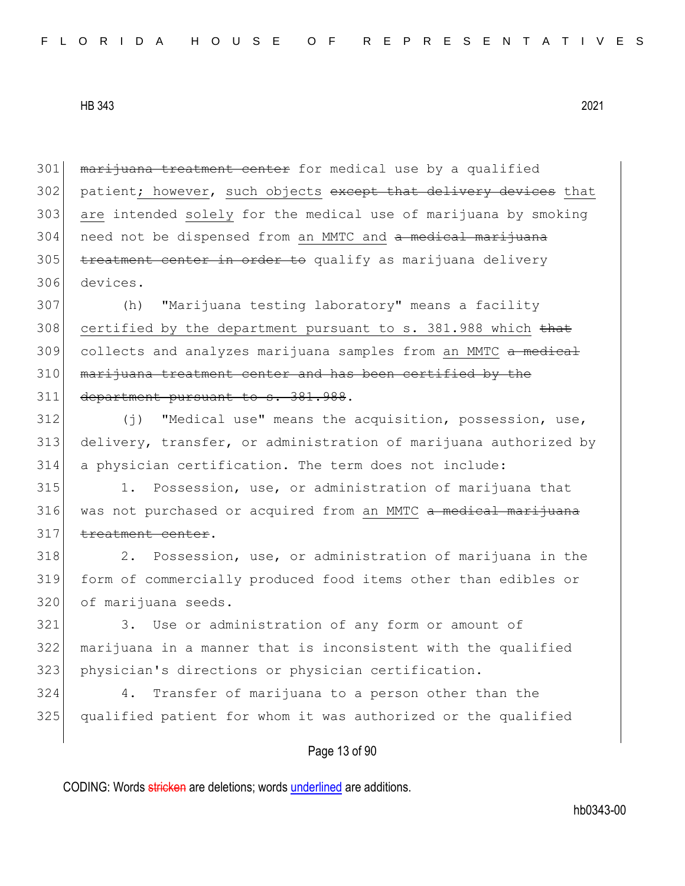301 marijuana treatment center for medical use by a qualified 302 patient; however, such objects except that delivery devices that 303 are intended solely for the medical use of marijuana by smoking 304 need not be dispensed from an MMTC and a medical marijuana 305 treatment center in order to qualify as marijuana delivery 306 devices.

307 (h) "Marijuana testing laboratory" means a facility 308 certified by the department pursuant to s. 381.988 which  $t$  that 309 collects and analyzes marijuana samples from an MMTC a medical 310 marijuana treatment center and has been certified by the 311 department pursuant to s. 381.988.

312 (j) "Medical use" means the acquisition, possession, use, 313 delivery, transfer, or administration of marijuana authorized by 314 a physician certification. The term does not include:

315 1. Possession, use, or administration of marijuana that 316 was not purchased or acquired from an MMTC a medical marijuana 317 treatment center.

318 2. Possession, use, or administration of marijuana in the 319 form of commercially produced food items other than edibles or 320 of marijuana seeds.

321 3. Use or administration of any form or amount of 322 marijuana in a manner that is inconsistent with the qualified 323 physician's directions or physician certification.

324 4. Transfer of marijuana to a person other than the 325 qualified patient for whom it was authorized or the qualified

# Page 13 of 90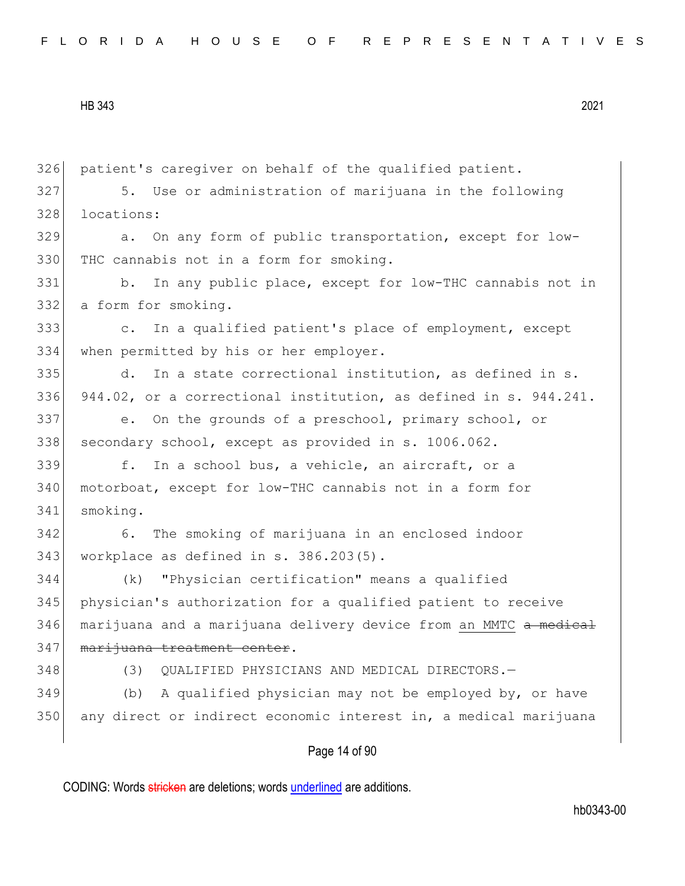patient's caregiver on behalf of the qualified patient. 5. Use or administration of marijuana in the following 328 locations: a. On any form of public transportation, except for low-330 THC cannabis not in a form for smoking. b. In any public place, except for low-THC cannabis not in a form for smoking. c. In a qualified patient's place of employment, except when permitted by his or her employer. d. In a state correctional institution, as defined in s. 944.02, or a correctional institution, as defined in s. 944.241. e. On the grounds of a preschool, primary school, or 338 secondary school, except as provided in s. 1006.062. f. In a school bus, a vehicle, an aircraft, or a motorboat, except for low-THC cannabis not in a form for 341 smoking. 6. The smoking of marijuana in an enclosed indoor 343 workplace as defined in s.  $386.203(5)$ . (k) "Physician certification" means a qualified physician's authorization for a qualified patient to receive 346 marijuana and a marijuana delivery device from an MMTC a medical 347 | marijuana treatment center. 348 (3) QUALIFIED PHYSICIANS AND MEDICAL DIRECTORS.- (b) A qualified physician may not be employed by, or have any direct or indirect economic interest in, a medical marijuana

Page 14 of 90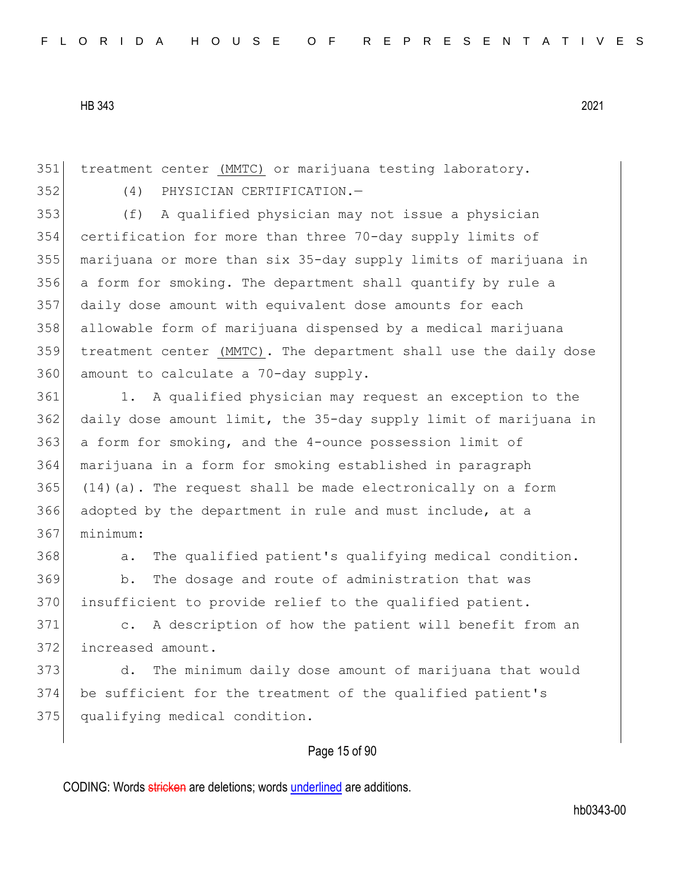treatment center (MMTC) or marijuana testing laboratory. (4) PHYSICIAN CERTIFICATION.—

 (f) A qualified physician may not issue a physician certification for more than three 70-day supply limits of marijuana or more than six 35-day supply limits of marijuana in a form for smoking. The department shall quantify by rule a daily dose amount with equivalent dose amounts for each allowable form of marijuana dispensed by a medical marijuana treatment center (MMTC). The department shall use the daily dose 360 amount to calculate a 70-day supply.

 1. A qualified physician may request an exception to the 362 daily dose amount limit, the 35-day supply limit of marijuana in a form for smoking, and the 4-ounce possession limit of marijuana in a form for smoking established in paragraph (14)(a). The request shall be made electronically on a form 366 adopted by the department in rule and must include, at a minimum:

368 a. The qualified patient's qualifying medical condition. b. The dosage and route of administration that was 370 insufficient to provide relief to the qualified patient.

 c. A description of how the patient will benefit from an increased amount.

 d. The minimum daily dose amount of marijuana that would be sufficient for the treatment of the qualified patient's 375 qualifying medical condition.

# Page 15 of 90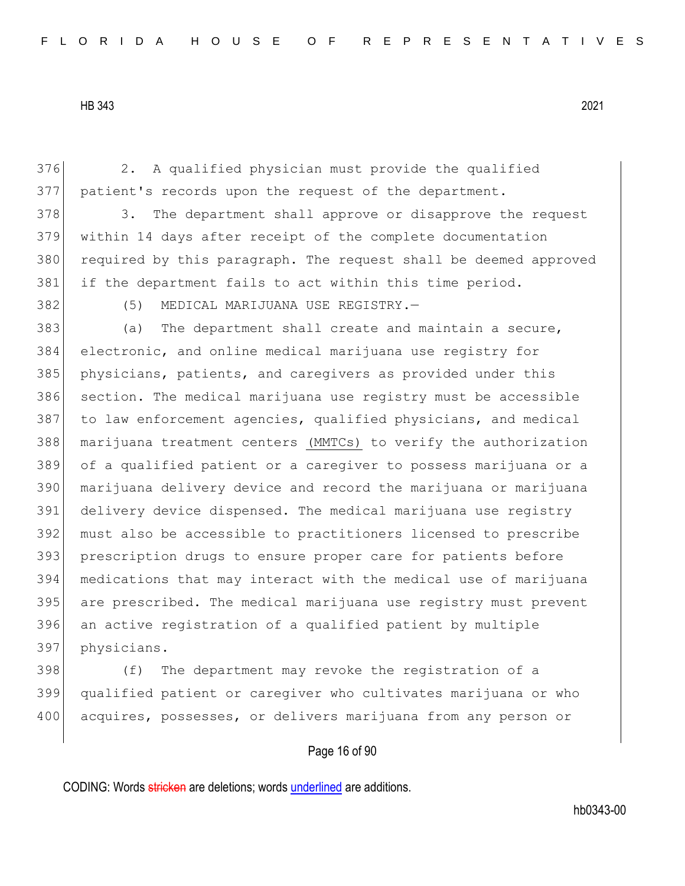2. A qualified physician must provide the qualified patient's records upon the request of the department. 378 3. The department shall approve or disapprove the request within 14 days after receipt of the complete documentation 380 required by this paragraph. The request shall be deemed approved 381 if the department fails to act within this time period. 382 (5) MEDICAL MARIJUANA USE REGISTRY. (a) The department shall create and maintain a secure, electronic, and online medical marijuana use registry for physicians, patients, and caregivers as provided under this 386 section. The medical marijuana use registry must be accessible 387 to law enforcement agencies, qualified physicians, and medical marijuana treatment centers (MMTCs) to verify the authorization of a qualified patient or a caregiver to possess marijuana or a marijuana delivery device and record the marijuana or marijuana delivery device dispensed. The medical marijuana use registry must also be accessible to practitioners licensed to prescribe prescription drugs to ensure proper care for patients before medications that may interact with the medical use of marijuana are prescribed. The medical marijuana use registry must prevent an active registration of a qualified patient by multiple physicians. 398 (f) The department may revoke the registration of a qualified patient or caregiver who cultivates marijuana or who

#### Page 16 of 90

400 acquires, possesses, or delivers marijuana from any person or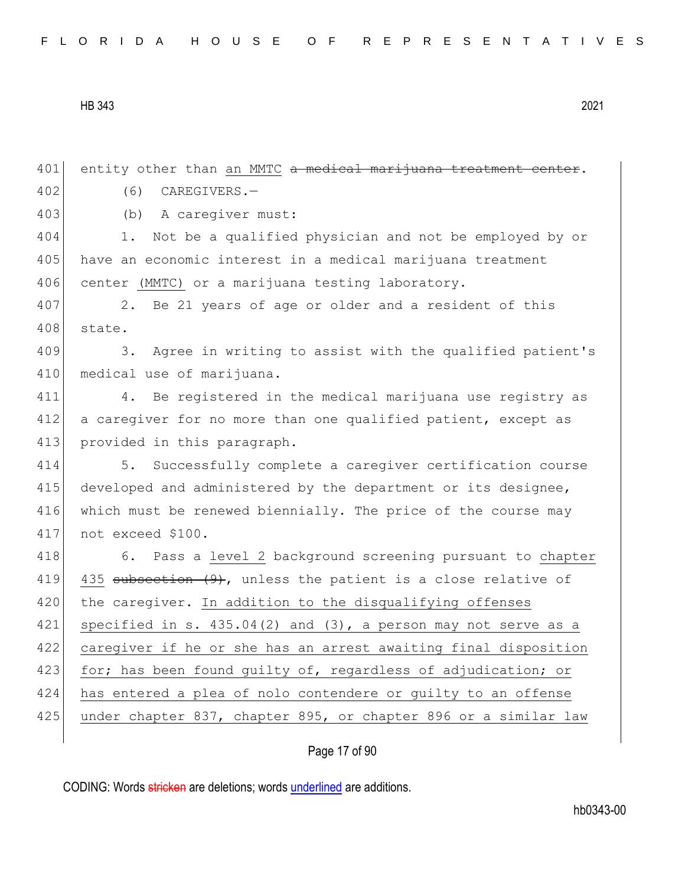401 entity other than an MMTC a medical marijuana treatment center. 402 (6) CAREGIVERS.—

403 (b) A caregiver must:

404 1. Not be a qualified physician and not be employed by or 405 have an economic interest in a medical marijuana treatment 406 center (MMTC) or a marijuana testing laboratory.

407 2. Be 21 years of age or older and a resident of this 408 state.

409 3. Agree in writing to assist with the qualified patient's 410 medical use of marijuana.

411 4. Be registered in the medical marijuana use registry as 412 a caregiver for no more than one qualified patient, except as 413 provided in this paragraph.

414 5. Successfully complete a caregiver certification course 415 developed and administered by the department or its designee, 416 which must be renewed biennially. The price of the course may 417 not exceed \$100.

418 6. Pass a level 2 background screening pursuant to chapter 419 435 subsection  $(9)$ , unless the patient is a close relative of 420 | the caregiver. In addition to the disqualifying offenses 421 specified in s.  $435.04(2)$  and  $(3)$ , a person may not serve as a 422 caregiver if he or she has an arrest awaiting final disposition 423 for; has been found quilty of, regardless of adjudication; or 424 has entered a plea of nolo contendere or guilty to an offense 425 under chapter 837, chapter 895, or chapter 896 or a similar law

## Page 17 of 90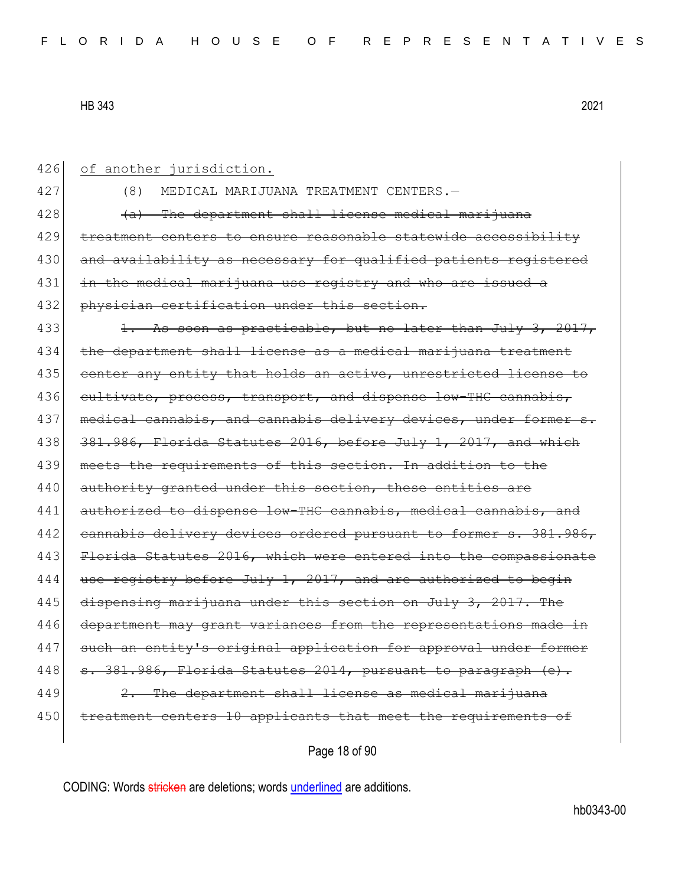426 of another jurisdiction. 427 (8) MEDICAL MARIJUANA TREATMENT CENTERS.—  $428$  (a) The department shall license medical marijuana 429 treatment centers to ensure reasonable statewide accessibility 430 and availability as necessary for qualified patients registered 431 in the medical marijuana use registry and who are issued a 432 physician certification under this section. 433 1. As soon as practicable, but no later than July 3, 2017, 434 the department shall license as a medical marijuana treatment 435 center any entity that holds an active, unrestricted license to 436 cultivate, process, transport, and dispense low-THC cannabis, 437 medical cannabis, and cannabis delivery devices, under former s. 438  $\vert$  381.986, Florida Statutes 2016, before July 1, 2017, and which 439 meets the requirements of this section. In addition to the 440 authority granted under this section, these entities are 441 authorized to dispense low-THC cannabis, medical cannabis, and 442 cannabis delivery devices ordered pursuant to former s. 381.986, 443 Florida Statutes 2016, which were entered into the compassionate  $444$  use registry before July 1, 2017, and are authorized to begin 445 dispensing marijuana under this section on July 3, 2017. The 446 department may grant variances from the representations made in 447 such an entity's original application for approval under former 448  $\vert$  s. 381.986, Florida Statutes 2014, pursuant to paragraph (e). 449 2. The department shall license as medical marijuana 450 treatment centers 10 applicants that meet the requirements of

Page 18 of 90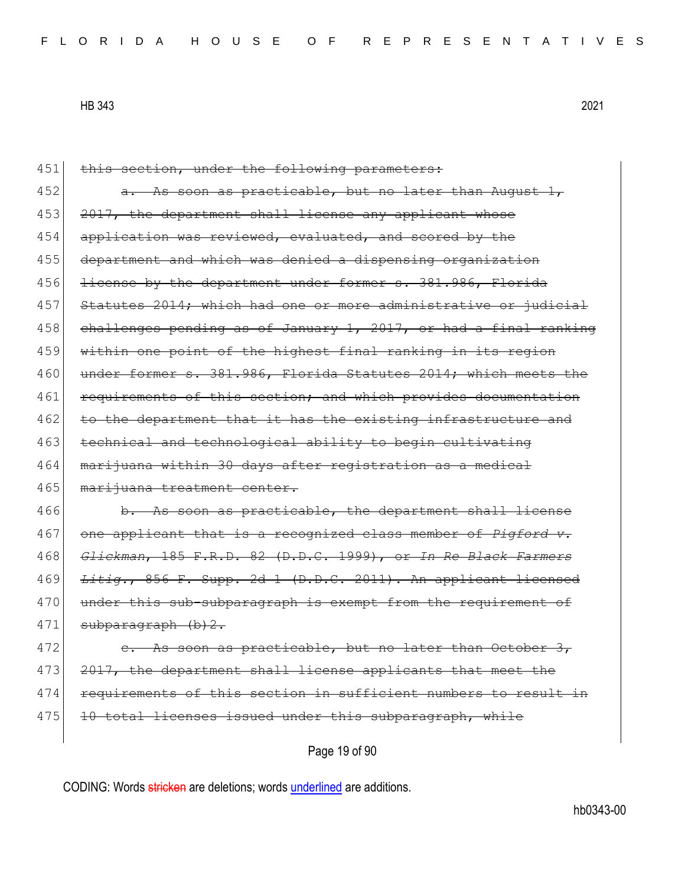| 451 | this section, under the following parameters:                         |
|-----|-----------------------------------------------------------------------|
| 452 | As soon as practicable, but no later than August 1,<br><del>a.</del>  |
| 453 | 2017, the department shall license any applicant whose                |
| 454 | application was reviewed, evaluated, and scored by the                |
| 455 | department and which was denied a dispensing organization             |
| 456 | license by the department under former s. 381.986, Florida            |
| 457 | Statutes 2014; which had one or more administrative or judicial       |
| 458 | challenges pending as of January 1, 2017, or had a final ranking      |
| 459 | within one point of the highest final ranking in its region           |
| 460 | under former s. 381.986, Florida Statutes 2014; which meets the       |
| 461 | requirements of this section; and which provides documentation        |
| 462 | to the department that it has the existing infrastructure and         |
| 463 | technical and technological ability to begin cultivating              |
| 464 | marijuana within 30 days after registration as a medical              |
| 465 | marijuana treatment center.                                           |
| 466 | b. As soon as practicable, the department shall license               |
| 467 | one applicant that is a recognized class member of Pigford v.         |
| 468 | Glickman, 185 F.R.D. 82 (D.D.C. 1999), or In Re Black Farmers         |
| 469 | Litig., 856 F. Supp. 2d 1 (D.D.C. 2011). An applicant licensed        |
| 470 | under this sub-subparagraph is exempt from the requirement of         |
| 471 | subparagraph (b) 2.                                                   |
| 472 | As soon as practicable, but no later than October 3,<br>$e_{\bullet}$ |
| 473 | 2017, the department shall license applicants that meet the           |
| 474 | requirements of this section in sufficient numbers to result in       |
| 475 | 10 total licenses issued under this subparagraph, while               |
|     | Page 19 of 90                                                         |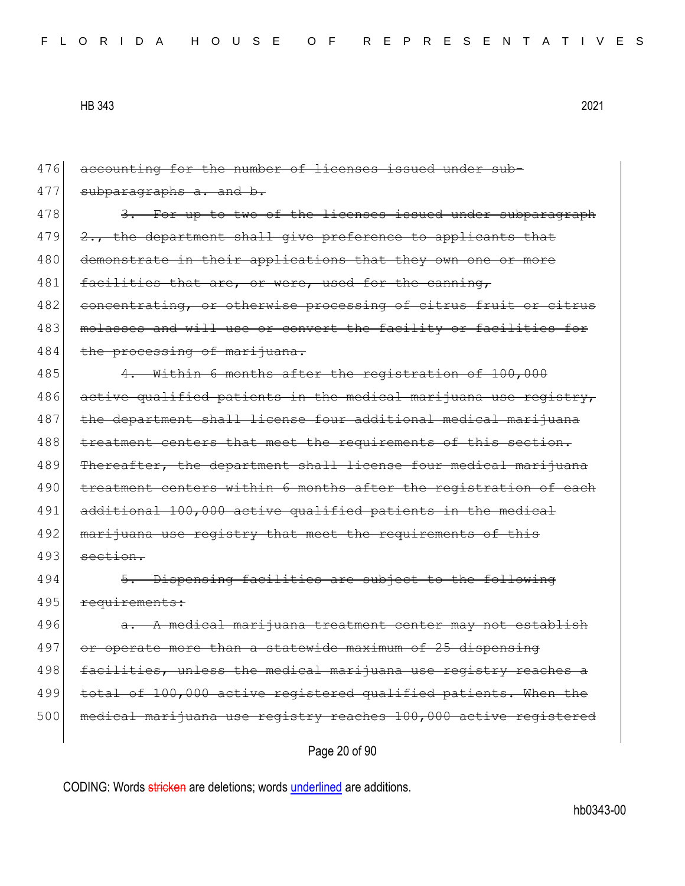476 accounting for the number of licenses issued under sub-

478 3. For up to two of the licenses issued under subparagraph

477 subparagraphs a. and b.

 $479$  2., the department shall give preference to applicants that 480 demonstrate in their applications that they own one or more 481 facilities that are, or were, used for the canning, 482 concentrating, or otherwise processing of citrus fruit or citrus 483 molasses and will use or convert the facility or facilities for 484 the processing of marijuana. 485 4. Within 6 months after the registration of 100,000 486 active qualified patients in the medical marijuana use registry, 487 the department shall license four additional medical marijuana 488 treatment centers that meet the requirements of this section. 489 Thereafter, the department shall license four medical marijuana 490 treatment centers within 6 months after the registration of each 491 additional 100,000 active qualified patients in the medical 492 marijuana use registry that meet the requirements of this  $493$  section. 494 5. Dispensing facilities are subject to the following 495 requirements: 496 a. A medical marijuana treatment center may not establish 497 or operate more than a statewide maximum of 25 dispensing 498 facilities, unless the medical marijuana use registry reaches a 499 total of 100,000 active registered qualified patients. When the

500 medical marijuana use registry reaches 100,000 active registered

Page 20 of 90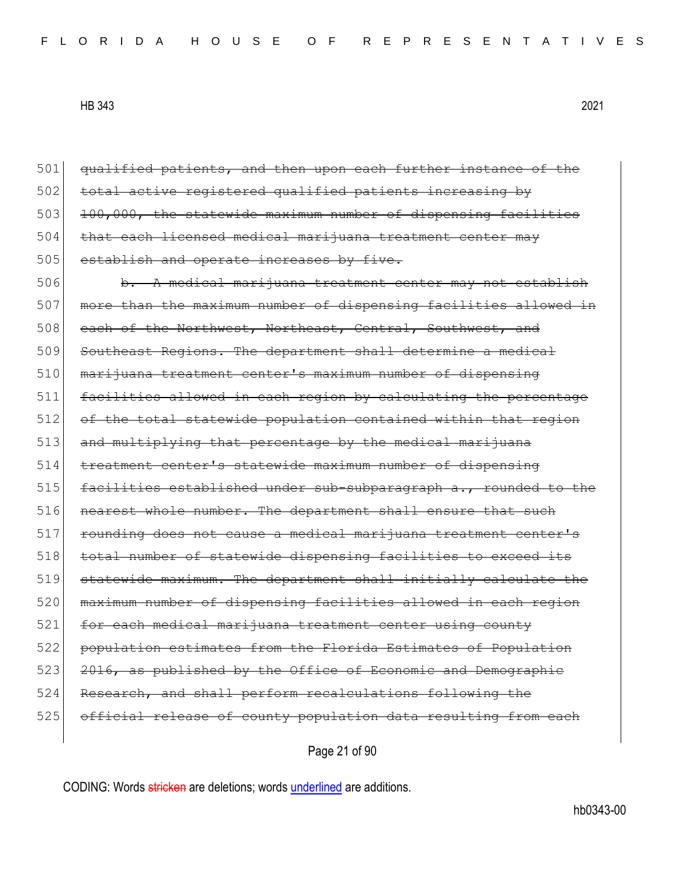501 qualified patients, and then upon each further instance of the 502 total active registered qualified patients increasing by  $503$  100,000, the statewide maximum number of dispensing facilities 504 that each licensed medical marijuana treatment center may 505 establish and operate increases by five. 506 b. A medical marijuana treatment center may not establish 507 more than the maximum number of dispensing facilities allowed in 508 each of the Northwest, Northeast, Central, Southwest, and 509 Southeast Regions. The department shall determine a medical 510 marijuana treatment center's maximum number of dispensing 511 facilities allowed in each region by calculating the percentage 512 of the total statewide population contained within that region 513 and multiplying that percentage by the medical marijuana 514 treatment center's statewide maximum number of dispensing 515 facilities established under sub-subparagraph a., rounded to the 516 nearest whole number. The department shall ensure that such 517 rounding does not cause a medical marijuana treatment center's 518 total number of statewide dispensing facilities 519 statewide maximum. The department shall initially calculate the 520 maximum number of dispensing facilities allowed in each region 521 for each medical marijuana treatment center using county 522 population estimates from the Florida Estimates of Population 523 2016, as published by the Office of Economic and Demographic 524 Research, and shall perform recalculations following the 525 official release of county population data resulting from each

Page 21 of 90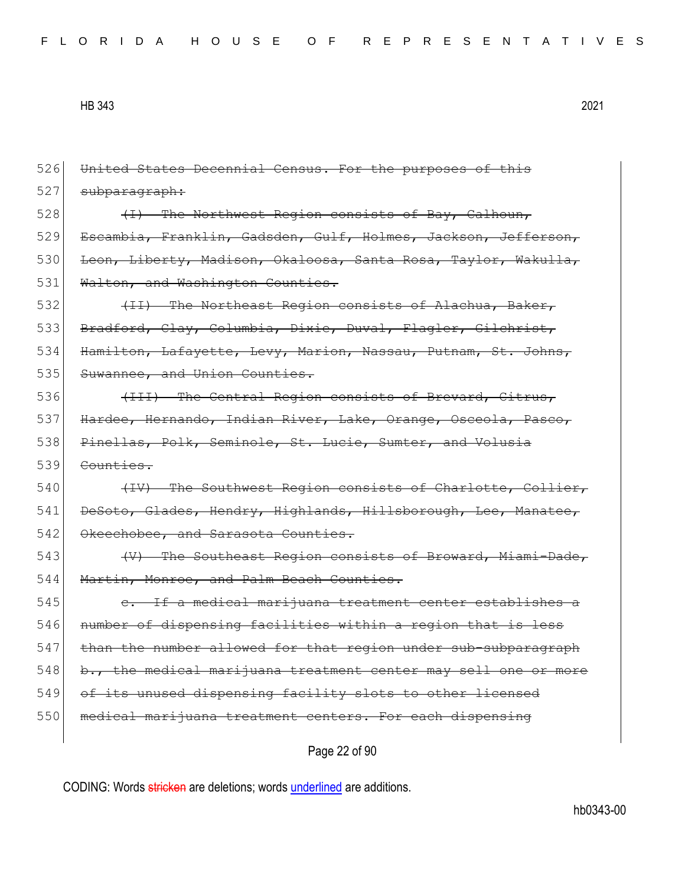| 526 | United States Decennial Census. For the purposes of this        |
|-----|-----------------------------------------------------------------|
| 527 | subparagraph:                                                   |
| 528 | (I) The Northwest Region consists of Bay, Calhoun,              |
| 529 | Escambia, Franklin, Gadsden, Gulf, Holmes, Jackson, Jefferson,  |
| 530 | Leon, Liberty, Madison, Okaloosa, Santa Rosa, Taylor, Wakulla,  |
| 531 | Walton, and Washington Counties.                                |
| 532 | (II) The Northeast Region consists of Alachua, Baker,           |
| 533 | Bradford, Clay, Columbia, Dixie, Duval, Flagler, Gilchrist,     |
| 534 | Hamilton, Lafayette, Levy, Marion, Nassau, Putnam, St. Johns,   |
| 535 | Suwannee, and Union Counties.                                   |
| 536 | (III) The Central Region consists of Brevard, Citrus,           |
| 537 | Hardee, Hernando, Indian River, Lake, Orange, Osceola, Pasco,   |
| 538 | Pinellas, Polk, Seminole, St. Lucie, Sumter, and Volusia        |
|     |                                                                 |
| 539 | Counties.                                                       |
| 540 | (IV) The Southwest Region consists of Charlotte, Collier,       |
| 541 | DeSoto, Glades, Hendry, Highlands, Hillsborough, Lee, Manatee,  |
| 542 | Okeechobee, and Sarasota Counties.                              |
| 543 | (V) The Southeast Region consists of Broward, Miami-Dade,       |
| 544 | Martin, Monroe, and Palm Beach Counties.                        |
| 545 | e. If a medical marijuana treatment center establishes a        |
| 546 | number of dispensing facilities within a region that is less    |
| 547 | than the number allowed for that region under sub-subparagraph  |
| 548 | b., the medical marijuana treatment center may sell one or more |
| 549 | of its unused dispensing facility slots to other licensed       |
| 550 | medical marijuana treatment centers. For each dispensing        |

Page 22 of 90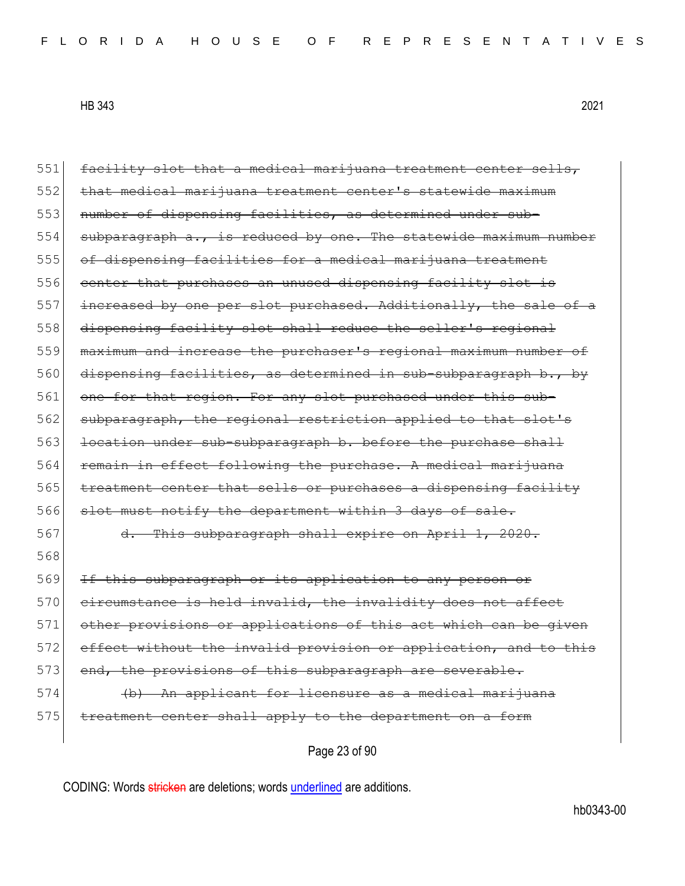551 facility slot that a medical marijuana treatment center sells, 552 that medical marijuana treatment center's statewide maximum 553 number of dispensing facilities, as determined under sub- $554$  subparagraph a., is reduced by one. The statewide maximum number 555 of dispensing facilities for a medical marijuana treatment 556 center that purchases an unused dispensing facility slot is 557 increased by one per slot purchased. Additionally, the sale of a 558 dispensing facility slot shall reduce the seller's regional 559 maximum and increase the purchaser's regional maximum number of 560 dispensing facilities, as determined in sub-subparagraph b., by 561 one for that region. For any slot purchased under this sub-562 subparagraph, the regional restriction applied to that slot's 563 <del>location under sub-subparagraph b. before the purchase shall</del>  $564$  remain in effect following the purchase. A medical marijuana 565 treatment center that sells or purchases a dispensing facility 566 slot must notify the department within 3 days of sale. 567 d. This subparagraph shall expire on April 1, 2020. 568 569 If this subparagraph or its application to any person or  $570$  circumstance is held invalid, the invalidity does not affect 571 other provisions or applications of this act which can be given 572 effect without the invalid provision or application, and to this 573 end, the provisions of this subparagraph are severable. 574 (b) An applicant for licensure as a medical marijuana 575 treatment center shall apply to the department on a form

Page 23 of 90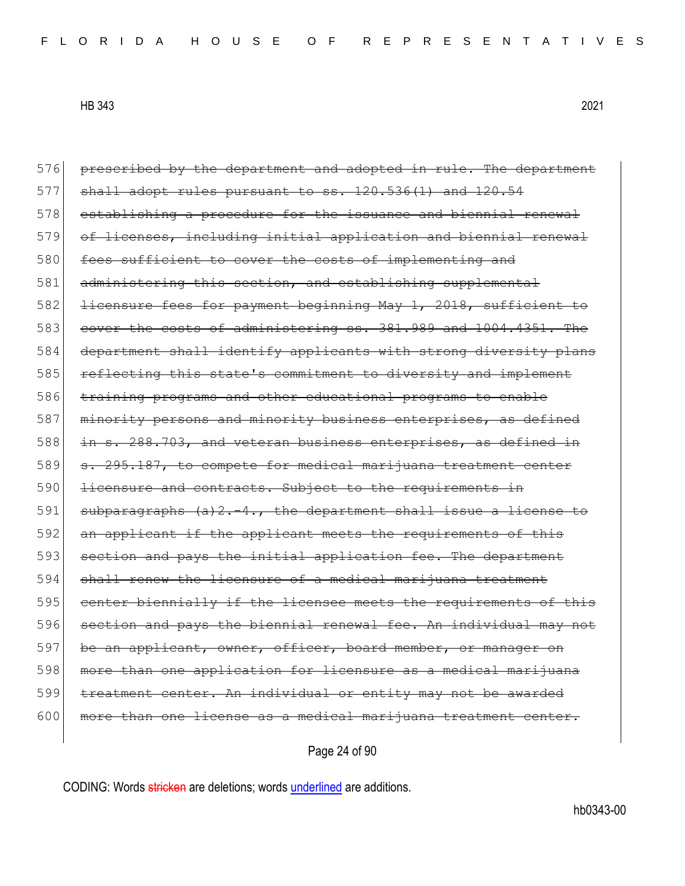| 576 | prescribed by the department and adopted in rule. The department   |
|-----|--------------------------------------------------------------------|
| 577 | $shall$ adopt rules pursuant to ss. $120.536(1)$ and $120.54$      |
| 578 | establishing a procedure for the issuance and biennial renewal     |
| 579 | of licenses, including initial application and biennial renewal    |
| 580 | fees sufficient to cover the costs of implementing and             |
| 581 | administering this section, and establishing supplemental          |
| 582 | licensure fees for payment beginning May 1, 2018, sufficient to    |
| 583 | cover the costs of administering ss. 381.989 and 1004.4351. The    |
| 584 | department shall identify applicants with strong diversity plans   |
| 585 | reflecting this state's commitment to diversity and implement      |
| 586 | training programs and other educational programs to enable         |
| 587 | minority persons and minority business enterprises, as defined     |
| 588 | in s. 288.703, and veteran business enterprises, as defined in     |
| 589 | s. 295.187, to compete for medical marijuana treatment center      |
| 590 | licensure and contracts. Subject to the requirements in            |
| 591 | subparagraphs $(a) 2.-4.,$ the department shall issue a license to |
| 592 | an applicant if the applicant meets the requirements of this       |
| 593 | section and pays the initial application fee. The department       |
| 594 | shall renew the licensure of a medical marijuana treatment         |
| 595 | center biennially if the licensee meets the requirements of this   |
| 596 | section and pays the biennial renewal fee. An individual may not   |
| 597 | be an applicant, owner, officer, board member, or manager on       |
| 598 | more than one application for licensure as a medical marijuana     |
| 599 | treatment center. An individual or entity may not be awarded       |
| 600 | more than one license as a medical marijuana treatment center.     |
|     |                                                                    |

Page 24 of 90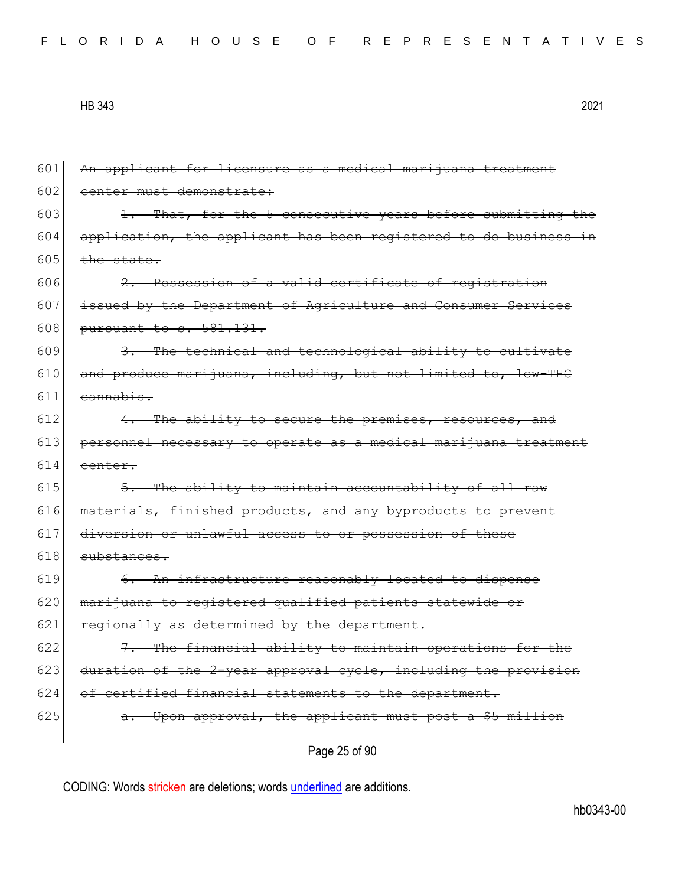601 An applicant for licensure as a medical marijuana treatment 602 center must demonstrate: 603  $\vert$  1. That, for the 5 consecutive years before submitting the  $604$  application, the applicant has been registered to do business in 605  $the state.$  $606$  2. Possession of a valid certificate of registration 607 issued by the Department of Agriculture and Consumer Services 608 pursuant to  $s. 581.131.$  $609$  3. The technical and technological ability to cultivate  $610$  and produce marijuana, including, but not limited to, low-THC 611 cannabis. 612 4. The ability to secure the premises, resources, and 613 personnel necessary to operate as a medical marijuana treatment  $614$  center.  $615$   $\frac{5.}{100}$  The ability to maintain accountability of all raw 616 materials, finished products, and any byproducts to prevent 617 diversion or unlawful access to or possession of these  $618$  substances.  $619$  6. An infrastructure reasonably located to dispense 620 marijuana to registered qualified patients statewide or 621 regionally as determined by the department. 622  $\left|$  7. The financial ability to maintain operations for the 623 duration of the 2-year approval cycle, including the provision 624 of certified financial statements to the department. 625  $\vert$  a. Upon approval, the applicant must post a \$5 million

Page 25 of 90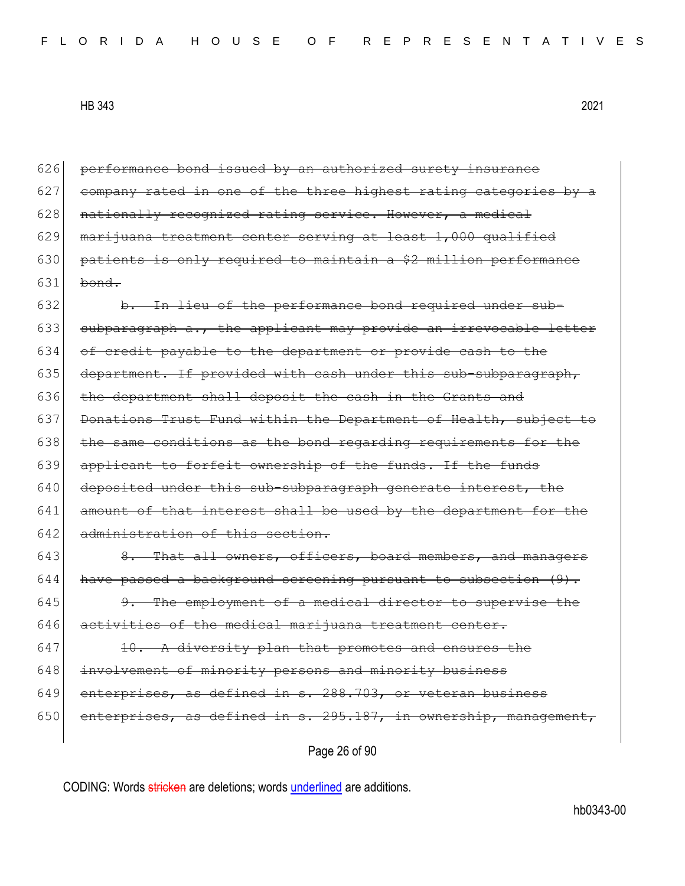626 performance bond issued by an authorized surety insurance 627 company rated in one of the three highest rating categories by a  $628$  nationally recognized rating service. However, a medical 629 marijuana treatment center serving at least 1,000 qualified  $630$  patients is only required to maintain a \$2 million performance  $631$  bond.

632 b. In lieu of the performance bond required under sub-633 subparagraph  $a_{\cdot}$ , the applicant may provide an irrevocable letter 634 of credit payable to the department or provide cash to the 635 department. If provided with cash under this sub-subparagraph, 636 the department shall deposit the cash in the Grants and 637 Donations Trust Fund within the Department of Health, subject to  $638$  the same conditions as the bond regarding requirements for the 639 applicant to forfeit ownership of the funds. If the funds  $640$  deposited under this sub-subparagraph generate interest, the  $641$  amount of that interest shall be used by the department for the 642 administration of this section.

 $643$  8. That all owners, officers, board members, and managers  $644$  have passed a background screening pursuant to subsection  $(9)$ .

 $645$  9. The employment of a medical director to supervise the 646 activities of the medical marijuana treatment center.

 $647$  10. A diversity plan that promotes and ensures the 648 involvement of minority persons and minority business 649 enterprises, as defined in s. 288.703, or veteran business 650 enterprises, as defined in s. 295.187, in ownership, management,

Page 26 of 90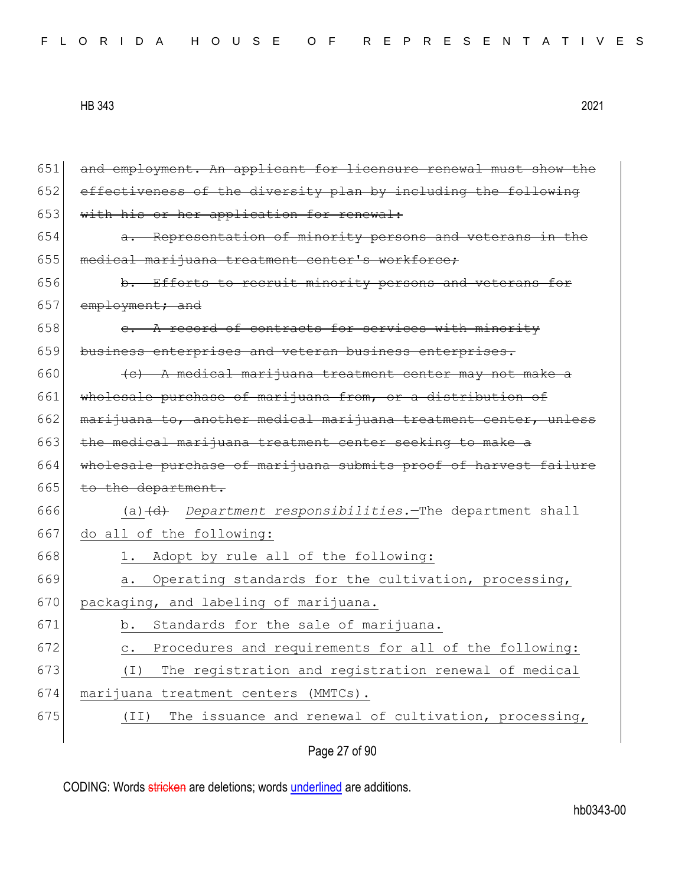|  |  |  |  |  |  |  |  |  |  |  |  |  | FLORIDA HOUSE OF REPRESENTATIVES |  |  |  |  |  |  |  |  |  |  |  |  |  |  |  |  |
|--|--|--|--|--|--|--|--|--|--|--|--|--|----------------------------------|--|--|--|--|--|--|--|--|--|--|--|--|--|--|--|--|
|--|--|--|--|--|--|--|--|--|--|--|--|--|----------------------------------|--|--|--|--|--|--|--|--|--|--|--|--|--|--|--|--|

651 and employment. An applicant for licensure renewal must show the 652 effectiveness of the diversity plan by including the following 653 with his or her application for renewal: 654  $\alpha$ . Representation of minority persons and veterans in the 655 medical marijuana treatment center's workforce; 656 b. Efforts to recruit minority persons and veterans for 657 employment; and 658 c. A record of contracts for services with minority 659 business enterprises and veteran business enterprises.  $660$  (c) A medical marijuana treatment center may not make a 661 wholesale purchase of marijuana from, or a distribution of 662 marijuana to, another medical marijuana treatment center, unless 663 the medical marijuana treatment center seeking to make a 664 wholesale purchase of marijuana submits proof of harvest failure 665 to the department. 666 (a)(d) *Department responsibilities.*—The department shall 667 do all of the following: 668 1. Adopt by rule all of the following: 669 a. Operating standards for the cultivation, processing, 670 packaging, and labeling of marijuana. 671 b. Standards for the sale of marijuana. 672 c. Procedures and requirements for all of the following: 673 (I) The registration and registration renewal of medical 674 marijuana treatment centers (MMTCs). 675  $(II)$  The issuance and renewal of cultivation, processing,

Page 27 of 90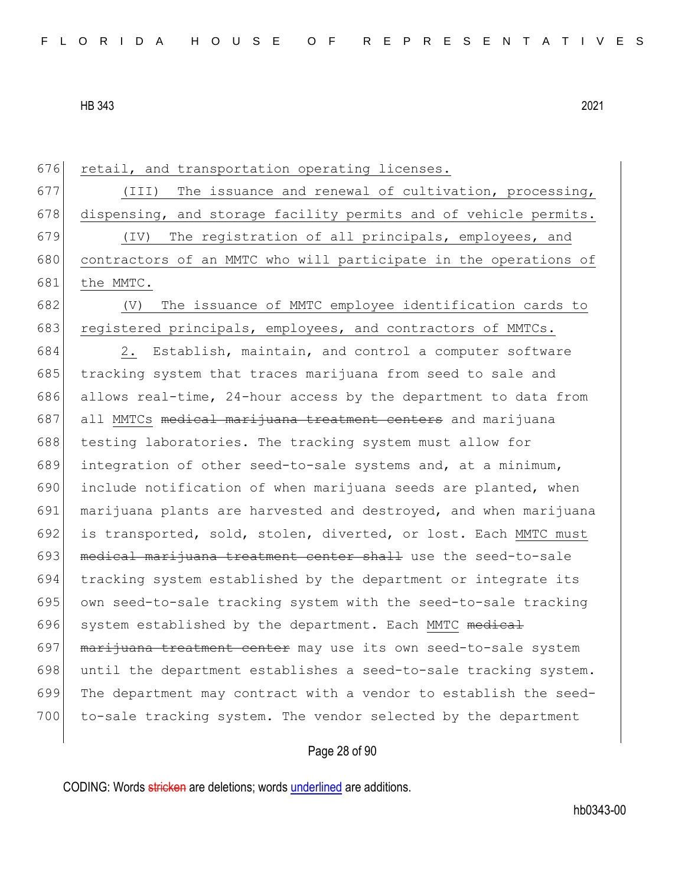| 676 | retail, and transportation operating licenses.                      |
|-----|---------------------------------------------------------------------|
| 677 | The issuance and renewal of cultivation, processing,<br>(III)       |
| 678 | dispensing, and storage facility permits and of vehicle permits.    |
| 679 | The registration of all principals, employees, and<br>$(\text{IV})$ |
| 680 | contractors of an MMTC who will participate in the operations of    |
| 681 | the MMTC.                                                           |
| 682 | The issuance of MMTC employee identification cards to<br>(V)        |
| 683 | registered principals, employees, and contractors of MMTCs.         |
| 684 | Establish, maintain, and control a computer software<br>2.          |
| 685 | tracking system that traces marijuana from seed to sale and         |
| 686 | allows real-time, 24-hour access by the department to data from     |
| 687 | all MMTCs medical marijuana treatment centers and marijuana         |
| 688 | testing laboratories. The tracking system must allow for            |
| 689 | integration of other seed-to-sale systems and, at a minimum,        |
| 690 | include notification of when marijuana seeds are planted, when      |
| 691 | marijuana plants are harvested and destroyed, and when marijuana    |
| 692 | is transported, sold, stolen, diverted, or lost. Each MMTC must     |
| 693 | medical marijuana treatment center shall use the seed-to-sale       |
| 694 | tracking system established by the department or integrate its      |
| 695 | own seed-to-sale tracking system with the seed-to-sale tracking     |
| 696 | system established by the department. Each MMTC medical             |
| 697 | marijuana treatment center may use its own seed-to-sale system      |
| 698 | until the department establishes a seed-to-sale tracking system.    |
| 699 | The department may contract with a vendor to establish the seed-    |
| 700 | to-sale tracking system. The vendor selected by the department      |
|     |                                                                     |

# Page 28 of 90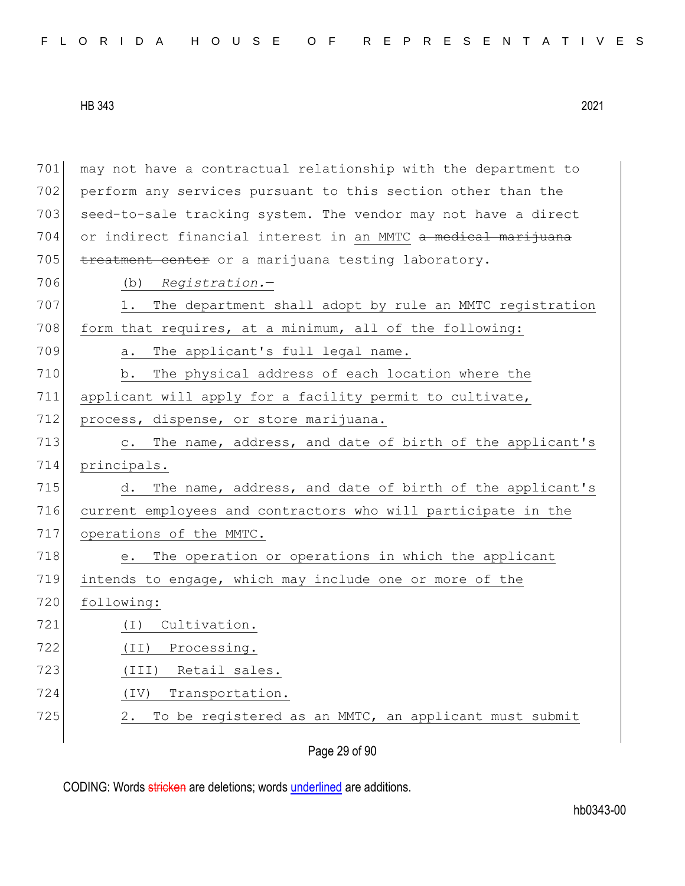701 may not have a contractual relationship with the department to 702 perform any services pursuant to this section other than the 703 seed-to-sale tracking system. The vendor may not have a direct 704 or indirect financial interest in an MMTC a medical marijuana 705 treatment center or a marijuana testing laboratory. 706 (b) *Registration.*— 707 1. The department shall adopt by rule an MMTC registration  $708$  form that requires, at a minimum, all of the following: 709 a. The applicant's full legal name. 710 b. The physical address of each location where the 711 applicant will apply for a facility permit to cultivate, 712 process, dispense, or store marijuana. 713 c. The name, address, and date of birth of the applicant's 714 principals. 715 d. The name, address, and date of birth of the applicant's 716 current employees and contractors who will participate in the 717 operations of the MMTC. 718 e. The operation or operations in which the applicant 719 intends to engage, which may include one or more of the 720 following: 721 (I) Cultivation. 722 (II) Processing. 723 (III) Retail sales. 724 (IV) Transportation.  $725$  2. To be registered as an MMTC, an applicant must submit

Page 29 of 90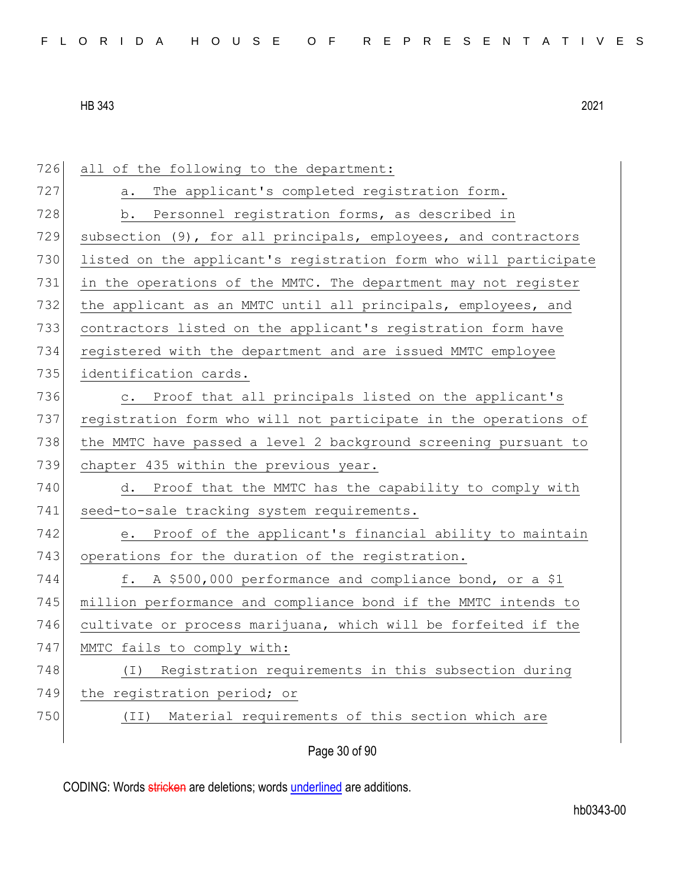| 726 | all of the following to the department:                          |
|-----|------------------------------------------------------------------|
| 727 | The applicant's completed registration form.<br>а.               |
| 728 | b. Personnel registration forms, as described in                 |
| 729 | subsection (9), for all principals, employees, and contractors   |
| 730 | listed on the applicant's registration form who will participate |
| 731 | in the operations of the MMTC. The department may not register   |
| 732 | the applicant as an MMTC until all principals, employees, and    |
| 733 | contractors listed on the applicant's registration form have     |
| 734 | registered with the department and are issued MMTC employee      |
| 735 | identification cards.                                            |
| 736 | c. Proof that all principals listed on the applicant's           |
| 737 | registration form who will not participate in the operations of  |
| 738 | the MMTC have passed a level 2 background screening pursuant to  |
| 739 | chapter 435 within the previous year.                            |
| 740 | d. Proof that the MMTC has the capability to comply with         |
| 741 | seed-to-sale tracking system requirements.                       |
| 742 | e. Proof of the applicant's financial ability to maintain        |
| 743 | operations for the duration of the registration.                 |
| 744 | f. A \$500,000 performance and compliance bond, or a \$1         |
| 745 | million performance and compliance bond if the MMTC intends to   |
| 746 |                                                                  |
|     | cultivate or process marijuana, which will be forfeited if the   |
| 747 | MMTC fails to comply with:                                       |
| 748 | Registration requirements in this subsection during<br>(I)       |
| 749 | the registration period; or                                      |
| 750 | Material requirements of this section which are<br>(II)          |

Page 30 of 90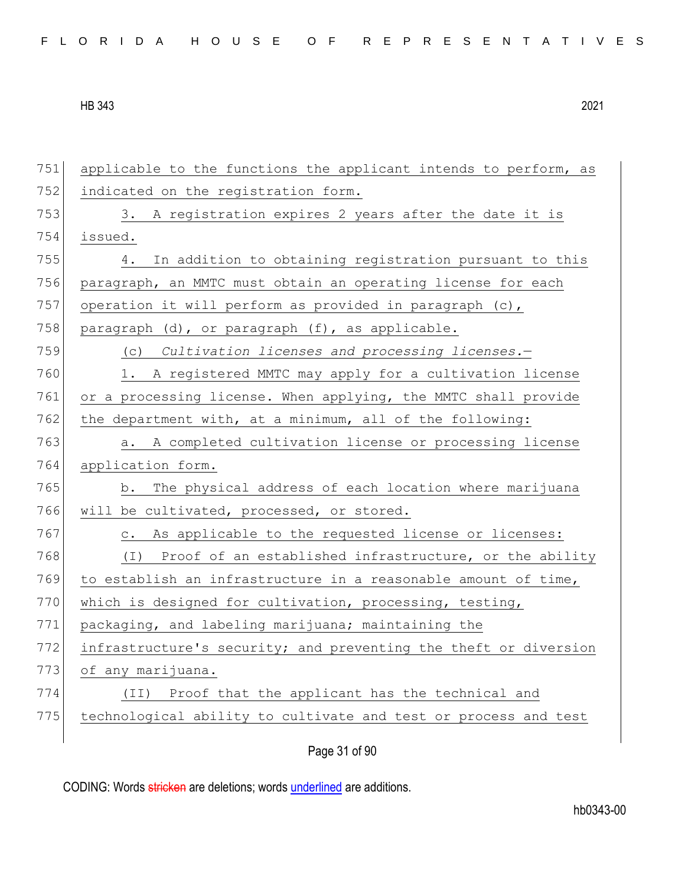| 751 | applicable to the functions the applicant intends to perform, as |
|-----|------------------------------------------------------------------|
| 752 | indicated on the registration form.                              |
| 753 | 3. A registration expires 2 years after the date it is           |
| 754 | issued.                                                          |
| 755 | In addition to obtaining registration pursuant to this<br>4.     |
| 756 | paragraph, an MMTC must obtain an operating license for each     |
| 757 | operation it will perform as provided in paragraph (c),          |
| 758 | paragraph (d), or paragraph (f), as applicable.                  |
| 759 | (c) Cultivation licenses and processing licenses.-               |
| 760 | A registered MMTC may apply for a cultivation license<br>1.      |
| 761 | or a processing license. When applying, the MMTC shall provide   |
| 762 | the department with, at a minimum, all of the following:         |
| 763 | A completed cultivation license or processing license<br>a.      |
|     |                                                                  |
| 764 | application form.                                                |
| 765 | The physical address of each location where marijuana<br>b.      |
| 766 | will be cultivated, processed, or stored.                        |
| 767 | As applicable to the requested license or licenses:<br>$\circ$ . |
| 768 | (I) Proof of an established infrastructure, or the ability       |
| 769 | to establish an infrastructure in a reasonable amount of time,   |
| 770 | which is designed for cultivation, processing, testing,          |
| 771 | packaging, and labeling marijuana; maintaining the               |
| 772 | infrastructure's security; and preventing the theft or diversion |
| 773 | of any marijuana.                                                |
| 774 | (II) Proof that the applicant has the technical and              |
| 775 | technological ability to cultivate and test or process and test  |

Page 31 of 90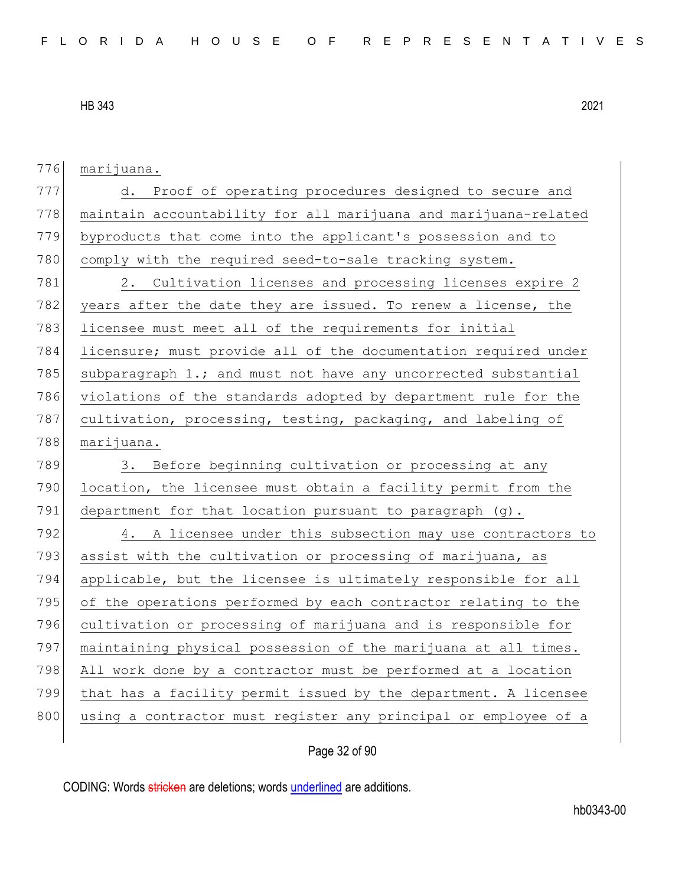| 776 | marijuana.                                                      |
|-----|-----------------------------------------------------------------|
| 777 | Proof of operating procedures designed to secure and<br>d.      |
| 778 | maintain accountability for all marijuana and marijuana-related |
| 779 | byproducts that come into the applicant's possession and to     |
| 780 | comply with the required seed-to-sale tracking system.          |
| 781 | 2. Cultivation licenses and processing licenses expire 2        |
| 782 | years after the date they are issued. To renew a license, the   |
| 783 | licensee must meet all of the requirements for initial          |
| 784 | licensure; must provide all of the documentation required under |
| 785 | subparagraph 1.; and must not have any uncorrected substantial  |
| 786 | violations of the standards adopted by department rule for the  |
| 787 | cultivation, processing, testing, packaging, and labeling of    |
| 788 | marijuana.                                                      |
| 789 | 3. Before beginning cultivation or processing at any            |
|     |                                                                 |
| 790 | location, the licensee must obtain a facility permit from the   |
| 791 | department for that location pursuant to paragraph (g).         |
| 792 | 4. A licensee under this subsection may use contractors to      |
| 793 | assist with the cultivation or processing of marijuana, as      |
| 794 | applicable, but the licensee is ultimately responsible for all  |
| 795 | of the operations performed by each contractor relating to the  |
| 796 | cultivation or processing of marijuana and is responsible for   |
| 797 | maintaining physical possession of the marijuana at all times.  |
| 798 | All work done by a contractor must be performed at a location   |
| 799 | that has a facility permit issued by the department. A licensee |
| 800 | using a contractor must register any principal or employee of a |

Page 32 of 90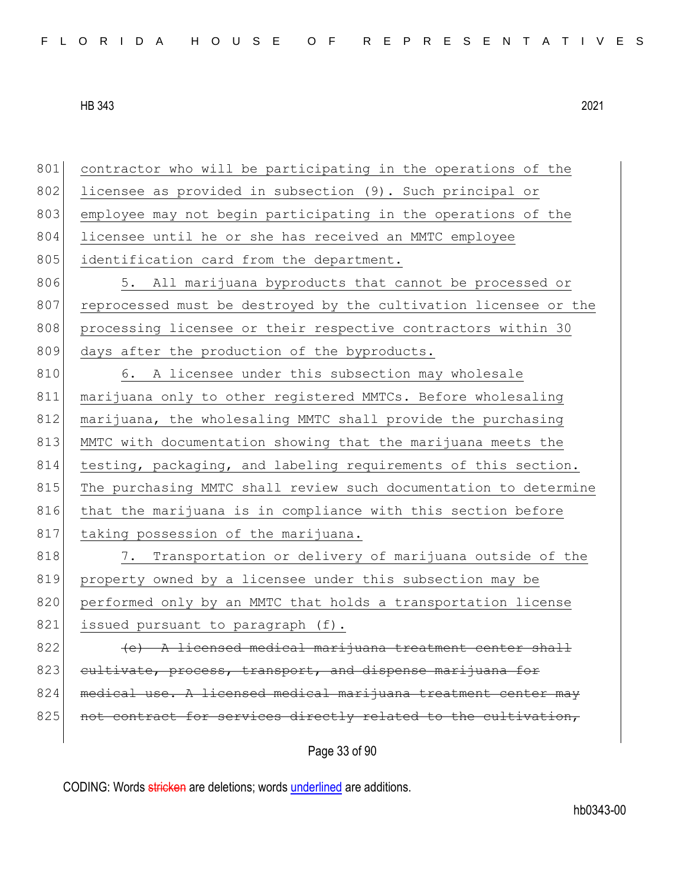801 contractor who will be participating in the operations of the 802 licensee as provided in subsection (9). Such principal or 803 employee may not begin participating in the operations of the 804 licensee until he or she has received an MMTC employee 805 identification card from the department. 806 5. All marijuana byproducts that cannot be processed or 807 reprocessed must be destroyed by the cultivation licensee or the 808 processing licensee or their respective contractors within 30 809 days after the production of the byproducts. 810 6. A licensee under this subsection may wholesale 811 marijuana only to other registered MMTCs. Before wholesaling 812 marijuana, the wholesaling MMTC shall provide the purchasing 813 MMTC with documentation showing that the marijuana meets the 814 testing, packaging, and labeling requirements of this section. 815 The purchasing MMTC shall review such documentation to determine 816 that the marijuana is in compliance with this section before 817 taking possession of the marijuana. 818 7. Transportation or delivery of marijuana outside of the 819 property owned by a licensee under this subsection may be 820 performed only by an MMTC that holds a transportation license 821 issued pursuant to paragraph  $(f)$ .  $822$  (e) A licensed medical marijuana treatment center shall 823 cultivate, process, transport, and dispense marijuana for 824 medical use. A licensed medical marijuana treatment center may 825 not contract for services directly related to the cultivation,

Page 33 of 90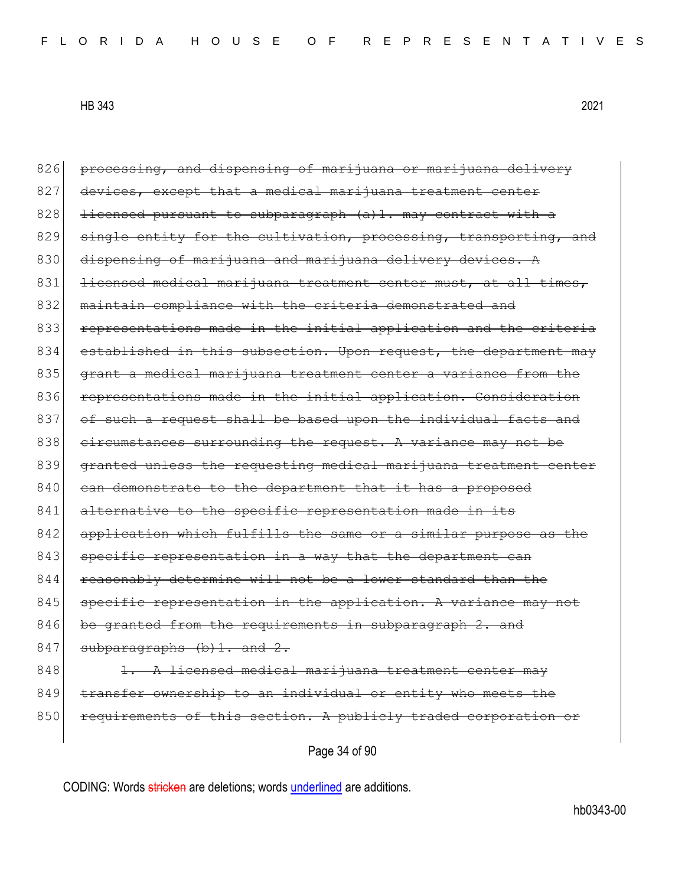826 processing, and dispensing of marijuana or marijuana delivery

HB 343 2021

827 devices, except that a medical marijuana treatment center  $828$  licensed pursuant to subparagraph  $(a)1$ . may contract with a 829 single entity for the cultivation, processing, transporting, and 830 dispensing of marijuana and marijuana delivery devices. A 831 licensed medical marijuana treatment center must, at all times, 832 maintain compliance with the criteria demonstrated and 833 representations made in the initial application and the criteria 834 established in this subsection. Upon request, the department may 835 grant a medical marijuana treatment center a variance from the 836 representations made in the initial application. Consideration 837 of such a request shall be based upon the individual facts and 838 circumstances surrounding the request. A variance may not be 839 granted unless the requesting medical marijuana treatment center  $840$  can demonstrate to the department that it has a proposed 841 alternative to the specific representation made in its 842 application which fulfills the same or a similar purpose as the 843 specific representation in a way that the department can 844 reasonably determine will not be a lower standard than the 845 specific representation in the application. A variance may not 846 be granted from the requirements in subparagraph 2. and  $847$  subparagraphs (b) 1. and 2. 848  $\vert$  1. A licensed medical marijuana treatment center may 849 transfer ownership to an individual or entity who meets the 850 requirements of this section. A publicly traded corporation or

Page 34 of 90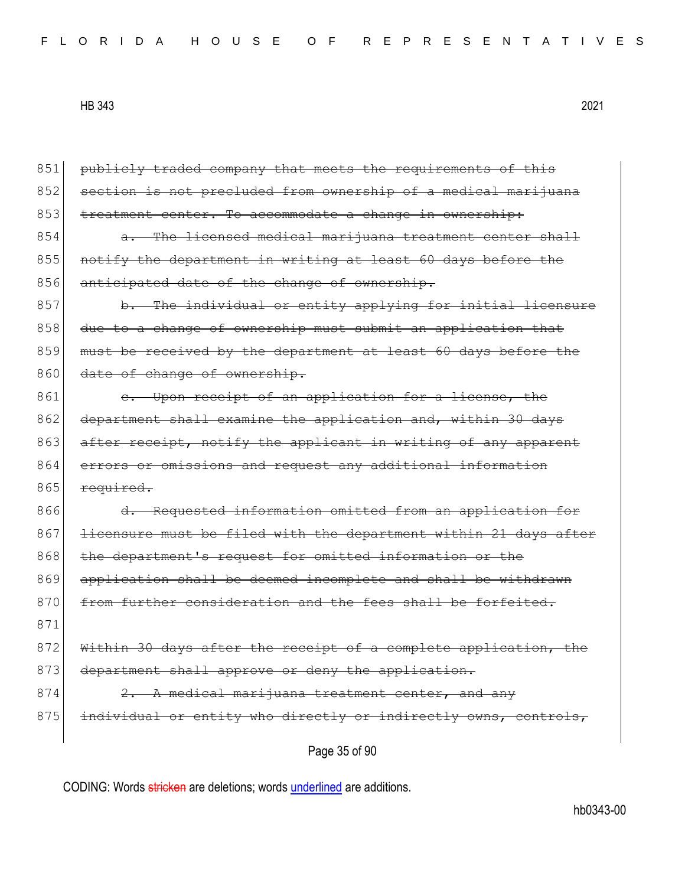| 851 | publicly traded company that meets the requirements of this      |
|-----|------------------------------------------------------------------|
| 852 | section is not precluded from ownership of a medical marijuana   |
| 853 | treatment center. To accommodate a change in ownership:          |
| 854 | a. The licensed medical marijuana treatment center shall         |
| 855 | notify the department in writing at least 60 days before the     |
| 856 | anticipated date of the change of ownership.                     |
| 857 | b. The individual or entity applying for initial licensure       |
| 858 | due to a change of ownership must submit an application that     |
| 859 | must be received by the department at least 60 days before the   |
| 860 | date of change of ownership.                                     |
| 861 | e. Upon receipt of an application for a license, the             |
| 862 | department shall examine the application and, within 30 days     |
| 863 | after receipt, notify the applicant in writing of any apparent   |
| 864 | errors or omissions and request any additional information       |
| 865 | required.                                                        |
| 866 | d. Requested information omitted from an application for         |
| 867 | licensure must be filed with the department within 21 days after |
| 868 | the department's request for omitted information or the          |
| 869 | application shall be deemed incomplete and shall be withdrawn    |
| 870 | from further consideration and the fees shall be forfeited.      |
| 871 |                                                                  |
| 872 | Within 30 days after the receipt of a complete application, the  |
| 873 | department shall approve or deny the application.                |
| 874 | 2. A medical marijuana treatment center, and any                 |
| 875 | individual or entity who directly or indirectly owns, controls,  |
|     | Page 35 of 90                                                    |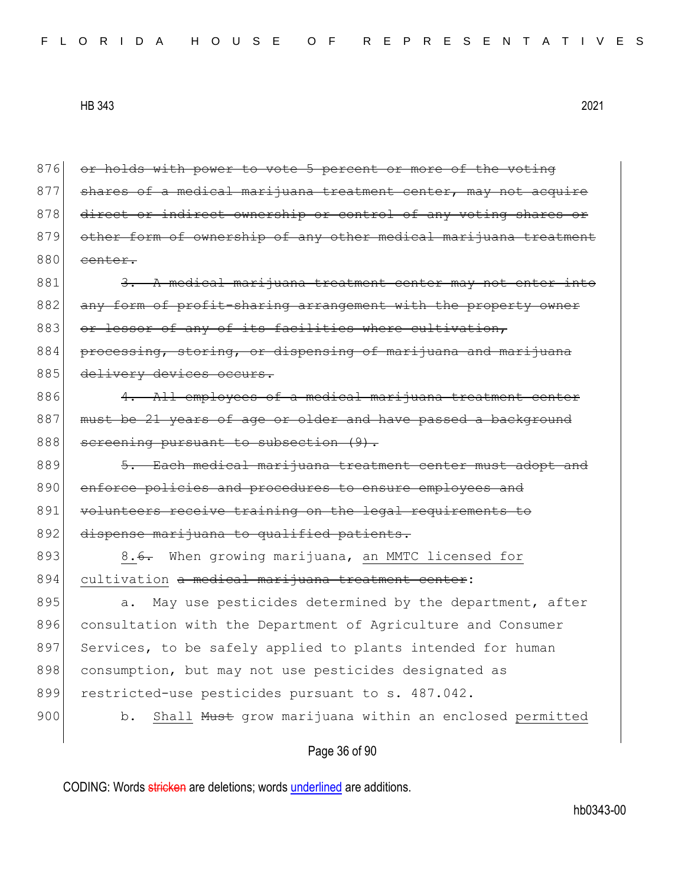876 or holds with power to vote 5 percent or more of the voting 877 shares of a medical marijuana treatment center, may not acquire 878 direct or indirect ownership or control of any voting shares 879 other form of ownership of any other medical marijuana treatment 880 center. 881 3. A medical marijuana treatment center may not enter into 882 any form of profit-sharing arrangement with the property owner 883 or lessor of any of its facilities where cultivation, 884 processing, storing, or dispensing of marijuana and marijuana 885 delivery devices occurs. 886 4. All employees of a medical marijuana treatment center 887 must be 21 years of age or older and have passed a background 888 screening pursuant to subsection  $(9)$ . 889 5. Each medical marijuana treatment center must adopt and 890 enforce policies and procedures to ensure employees and 891 volunteers receive training on the legal requirements to 892 dispense marijuana to qualified patients. 893 8.6. When growing marijuana, an MMTC licensed for 894 cultivation a medical marijuana treatment center: 895 a. May use pesticides determined by the department, after 896 consultation with the Department of Agriculture and Consumer 897 Services, to be safely applied to plants intended for human 898 consumption, but may not use pesticides designated as 899 restricted-use pesticides pursuant to s. 487.042. 900 b. Shall Must grow marijuana within an enclosed permitted

# Page 36 of 90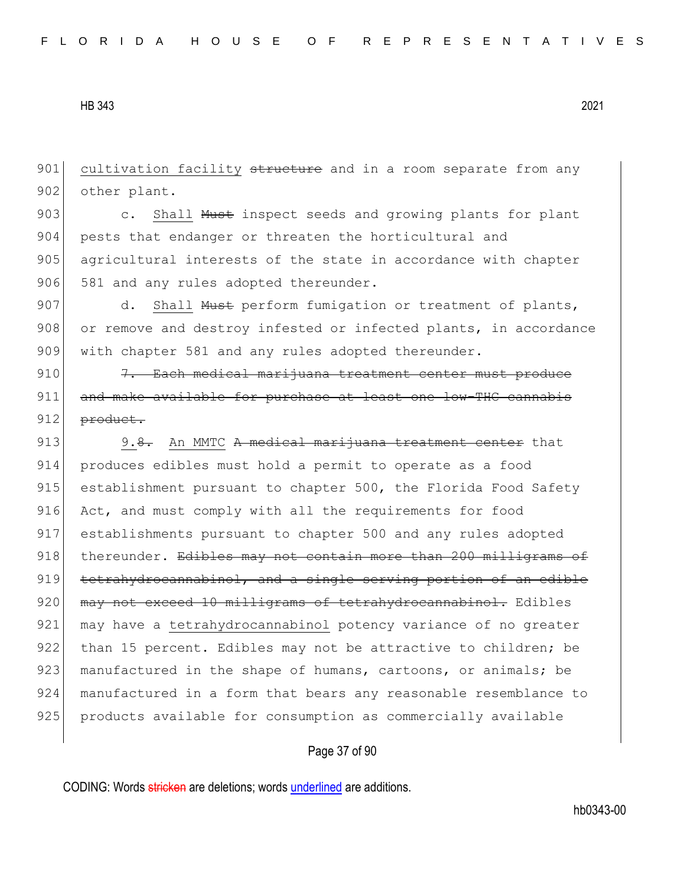901 cultivation facility structure and in a room separate from any 902 other plant.

903 c. Shall Must inspect seeds and growing plants for plant 904 pests that endanger or threaten the horticultural and 905 agricultural interests of the state in accordance with chapter 906 581 and any rules adopted thereunder.

907 d. Shall Must perform fumigation or treatment of plants, 908 or remove and destroy infested or infected plants, in accordance 909 with chapter 581 and any rules adopted thereunder.

 $910$  7. Each medical marijuana treatment center must produce 911 and make available for purchase at least one low-THC cannabis 912 product.

913 9.8. An MMTC A medical marijuana treatment center that 914 produces edibles must hold a permit to operate as a food 915 establishment pursuant to chapter 500, the Florida Food Safety 916 Act, and must comply with all the requirements for food 917 establishments pursuant to chapter 500 and any rules adopted 918 thereunder. Edibles may not contain more than 200 milligrams of 919 tetrahydrocannabinol, and a single serving portion of an edible 920 may not exceed 10 milligrams of tetrahydrocannabinol. Edibles 921 may have a tetrahydrocannabinol potency variance of no greater 922 than 15 percent. Edibles may not be attractive to children; be 923 manufactured in the shape of humans, cartoons, or animals; be 924 manufactured in a form that bears any reasonable resemblance to 925 products available for consumption as commercially available

# Page 37 of 90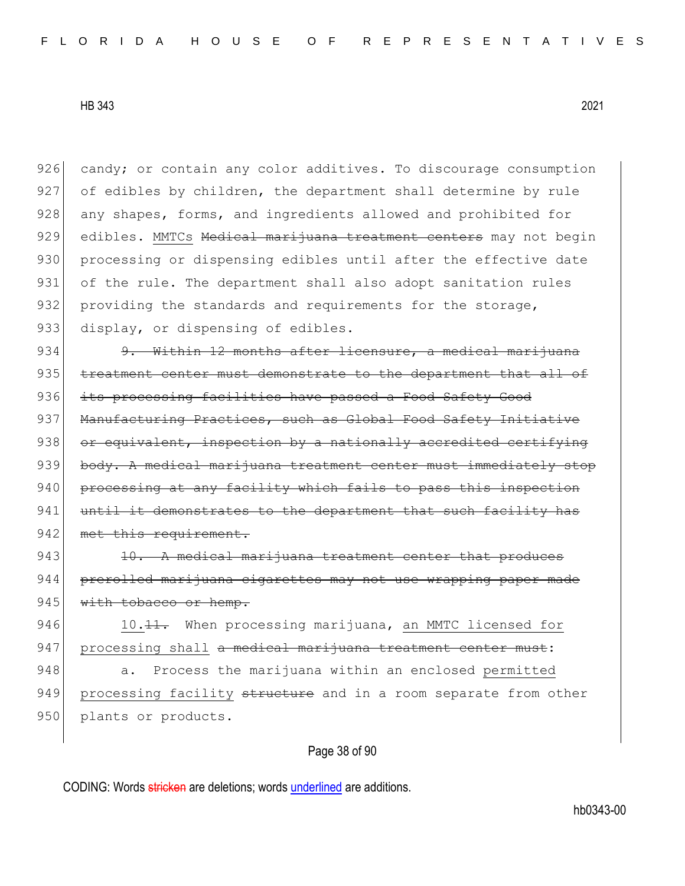$926$  candy; or contain any color additives. To discourage consumption 927 of edibles by children, the department shall determine by rule 928 any shapes, forms, and ingredients allowed and prohibited for 929 edibles. MMTCs Hedical marijuana treatment centers may not begin 930 processing or dispensing edibles until after the effective date 931 of the rule. The department shall also adopt sanitation rules 932 providing the standards and requirements for the storage, 933 display, or dispensing of edibles.

934 9. Within 12 months after licensure, a medical marijuana 935 treatment center must demonstrate to the department that all of 936 its processing facilities have passed a Food Safety Good 937 Manufacturing Practices, such as Global Food Safety Initiative 938 or equivalent, inspection by a nationally accredited certifying 939 body. A medical marijuana treatment center must immediately stop  $940$  processing at any facility which fails to pass this inspection 941 until it demonstrates to the department that such facility has 942 met this requirement.

 $943$  10. A medical marijuana treatment center that produces 944 prerolled marijuana cigarettes may not use wrapping paper made 945 with tobacco or hemp.

946 10.  $\pm 1$ . When processing marijuana, an MMTC licensed for 947 processing shall a medical marijuana treatment center must:

948 a. Process the marijuana within an enclosed permitted 949 processing facility structure and in a room separate from other 950 plants or products.

Page 38 of 90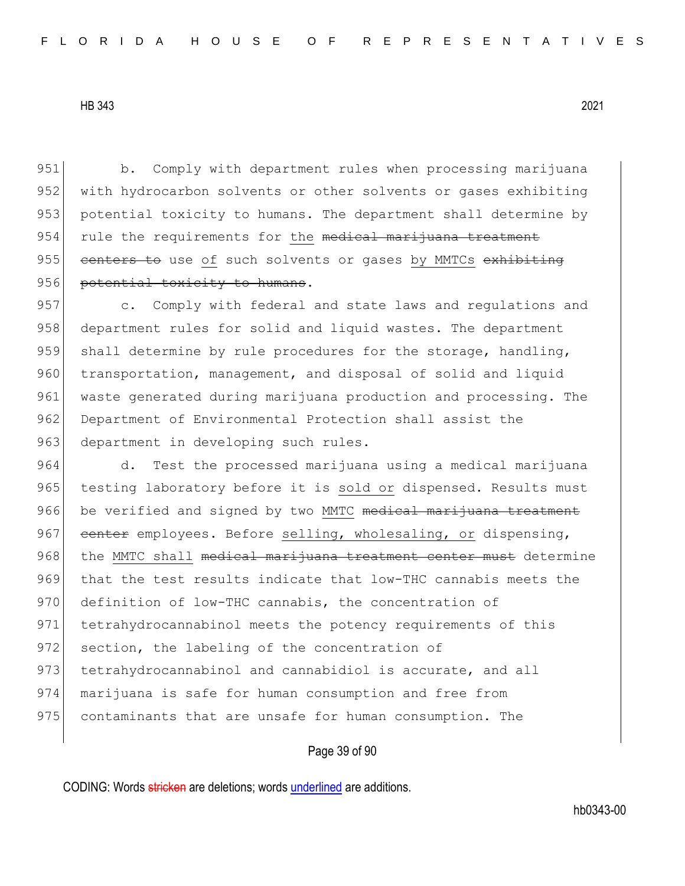951 b. Comply with department rules when processing marijuana 952 with hydrocarbon solvents or other solvents or gases exhibiting 953 potential toxicity to humans. The department shall determine by 954 rule the requirements for the medical marijuana treatment 955 centers to use of such solvents or gases by MMTCs exhibiting 956 potential toxicity to humans.

957 c. Comply with federal and state laws and regulations and 958 department rules for solid and liquid wastes. The department 959 shall determine by rule procedures for the storage, handling, 960 transportation, management, and disposal of solid and liquid 961 waste generated during marijuana production and processing. The 962 Department of Environmental Protection shall assist the 963 department in developing such rules.

964 d. Test the processed marijuana using a medical marijuana 965 testing laboratory before it is sold or dispensed. Results must 966 be verified and signed by two MMTC medical marijuana treatment 967 center employees. Before selling, wholesaling, or dispensing, 968 the MMTC shall medical marijuana treatment center must determine 969 that the test results indicate that low-THC cannabis meets the 970 definition of low-THC cannabis, the concentration of 971 tetrahydrocannabinol meets the potency requirements of this 972 section, the labeling of the concentration of 973 tetrahydrocannabinol and cannabidiol is accurate, and all 974 marijuana is safe for human consumption and free from 975 contaminants that are unsafe for human consumption. The

# Page 39 of 90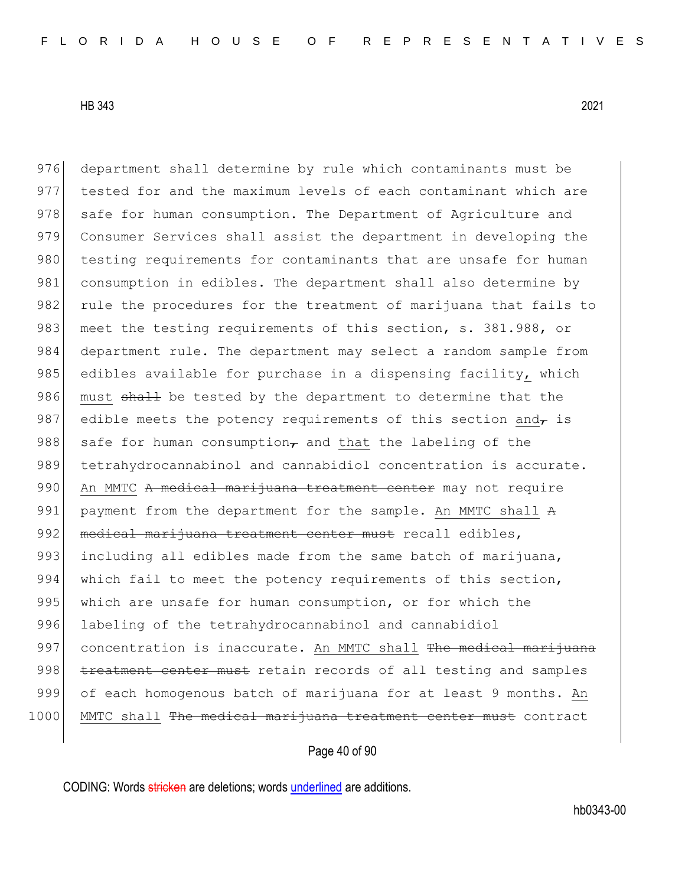976 department shall determine by rule which contaminants must be 977 tested for and the maximum levels of each contaminant which are 978 safe for human consumption. The Department of Agriculture and 979 Consumer Services shall assist the department in developing the 980 testing requirements for contaminants that are unsafe for human 981 consumption in edibles. The department shall also determine by 982 rule the procedures for the treatment of marijuana that fails to 983 meet the testing requirements of this section, s. 381.988, or 984 department rule. The department may select a random sample from 985 edibles available for purchase in a dispensing facility, which 986 must shall be tested by the department to determine that the 987 edible meets the potency requirements of this section and  $\tau$  is 988 safe for human consumption, and that the labeling of the 989 tetrahydrocannabinol and cannabidiol concentration is accurate. 990 An MMTC A medical marijuana treatment center may not require 991 payment from the department for the sample. An MMTC shall A 992 medical marijuana treatment center must recall edibles, 993 including all edibles made from the same batch of marijuana, 994 which fail to meet the potency requirements of this section, 995 which are unsafe for human consumption, or for which the 996 labeling of the tetrahydrocannabinol and cannabidiol 997 concentration is inaccurate. An MMTC shall The medical marijuana 998 treatment center must retain records of all testing and samples 999 of each homogenous batch of marijuana for at least 9 months. An 1000 MMTC shall The medical marijuana treatment center must contract

Page 40 of 90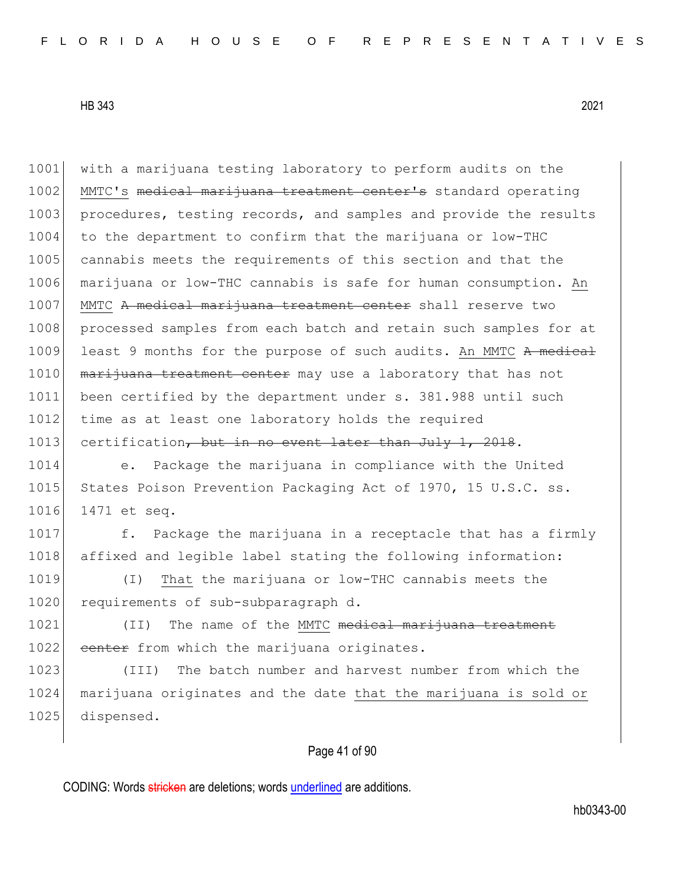1001 with a marijuana testing laboratory to perform audits on the 1002 MMTC's medical marijuana treatment center's standard operating 1003 procedures, testing records, and samples and provide the results 1004 to the department to confirm that the marijuana or low-THC 1005 cannabis meets the requirements of this section and that the 1006 marijuana or low-THC cannabis is safe for human consumption. An 1007 MMTC A medical marijuana treatment center shall reserve two 1008 processed samples from each batch and retain such samples for at 1009 least 9 months for the purpose of such audits. An MMTC A medical 1010 marijuana treatment center may use a laboratory that has not 1011 been certified by the department under s. 381.988 until such 1012 time as at least one laboratory holds the required 1013 certification, but in no event later than July 1, 2018.

1014 e. Package the marijuana in compliance with the United 1015 States Poison Prevention Packaging Act of 1970, 15 U.S.C. ss. 1016 1471 et seq.

1017 f. Package the marijuana in a receptacle that has a firmly 1018 affixed and legible label stating the following information:

1019 (I) That the marijuana or low-THC cannabis meets the 1020 requirements of sub-subparagraph d.

1021 (II) The name of the MMTC medical marijuana treatment 1022 center from which the marijuana originates.

1023 (III) The batch number and harvest number from which the 1024 marijuana originates and the date that the marijuana is sold or 1025 dispensed.

# Page 41 of 90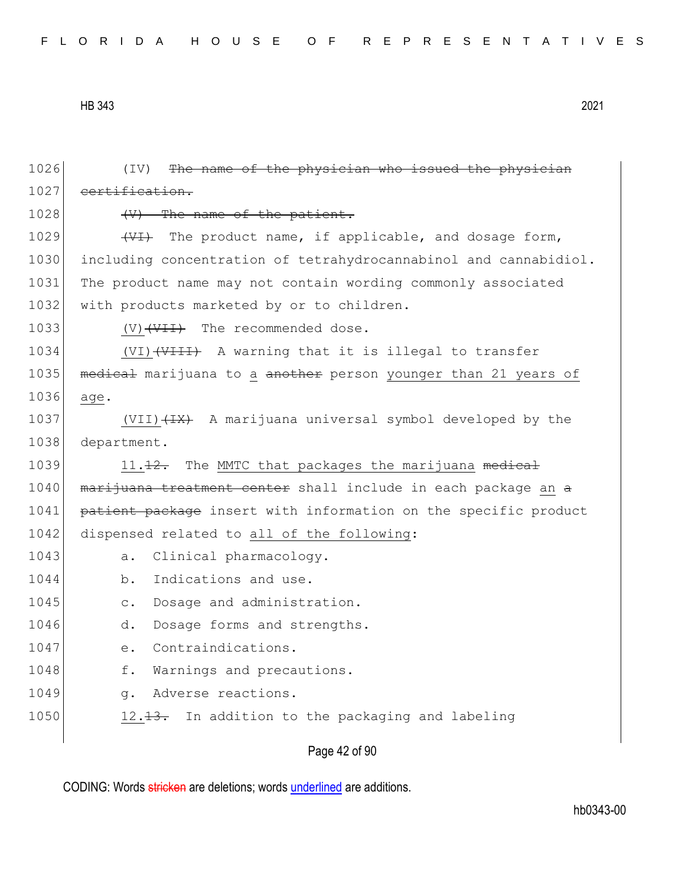| 1026 | The name of the physician who issued the physician<br>(IV)             |
|------|------------------------------------------------------------------------|
| 1027 | certification.                                                         |
| 1028 | $(V)$ The name of the patient.                                         |
| 1029 | The product name, if applicable, and dosage form,<br>$\overline{(+1)}$ |
| 1030 | including concentration of tetrahydrocannabinol and cannabidiol.       |
| 1031 | The product name may not contain wording commonly associated           |
| 1032 | with products marketed by or to children.                              |
| 1033 | $(V)$ $\overline{\text{V}}$ The recommended dose.                      |
| 1034 | (VI) (VIII) A warning that it is illegal to transfer                   |
| 1035 | medical marijuana to a another person younger than 21 years of         |
| 1036 | age.                                                                   |
| 1037 | (VII) (IX) A marijuana universal symbol developed by the               |
| 1038 | department.                                                            |
| 1039 | 11.12. The MMTC that packages the marijuana medical                    |
| 1040 | marijuana treatment center shall include in each package an a          |
| 1041 | patient package insert with information on the specific product        |
| 1042 | dispensed related to all of the following:                             |
| 1043 | Clinical pharmacology.<br>a.                                           |
| 1044 | Indications and use.<br>b.                                             |
| 1045 | Dosage and administration.<br>$\mathsf{C}$ .                           |
| 1046 | Dosage forms and strengths.<br>d.                                      |
| 1047 | e. Contraindications.                                                  |
| 1048 | Warnings and precautions.<br>f.                                        |
| 1049 | Adverse reactions.<br>q.                                               |
| 1050 | 12.13. In addition to the packaging and labeling                       |
|      | Page 42 of 90                                                          |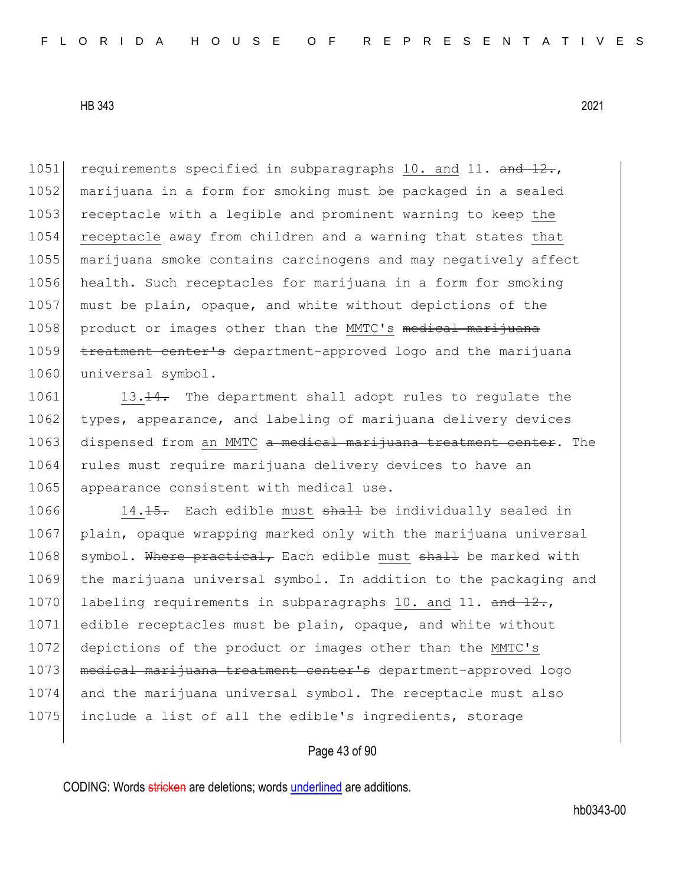1051 requirements specified in subparagraphs 10. and 11. and 12., 1052 marijuana in a form for smoking must be packaged in a sealed 1053 receptacle with a legible and prominent warning to keep the 1054 receptacle away from children and a warning that states that 1055 marijuana smoke contains carcinogens and may negatively affect 1056 health. Such receptacles for marijuana in a form for smoking 1057 must be plain, opaque, and white without depictions of the 1058 product or images other than the MMTC's medical marijuana 1059 treatment center's department-approved logo and the marijuana 1060 universal symbol.

1061 13.<del>14.</del> The department shall adopt rules to regulate the 1062 types, appearance, and labeling of marijuana delivery devices 1063 dispensed from an MMTC a medical marijuana treatment center. The 1064 rules must require marijuana delivery devices to have an 1065 appearance consistent with medical use.

1066 14.15. Each edible must  $shall$  be individually sealed in 1067 plain, opaque wrapping marked only with the marijuana universal 1068 symbol. Where practical, Each edible must shall be marked with 1069 the marijuana universal symbol. In addition to the packaging and 1070 labeling requirements in subparagraphs 10. and 11. and 12., 1071 edible receptacles must be plain, opaque, and white without 1072 depictions of the product or images other than the MMTC's 1073 medical marijuana treatment center's department-approved logo 1074 and the marijuana universal symbol. The receptacle must also 1075 include a list of all the edible's ingredients, storage

#### Page 43 of 90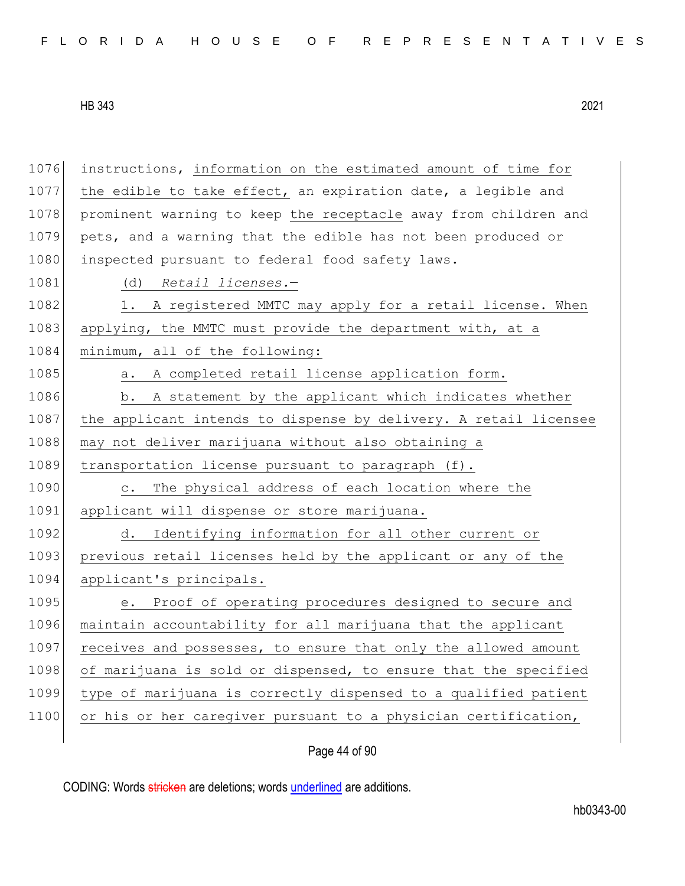1076 instructions, information on the estimated amount of time for 1077 the edible to take effect, an expiration date, a legible and 1078 prominent warning to keep the receptacle away from children and 1079 pets, and a warning that the edible has not been produced or 1080 inspected pursuant to federal food safety laws. 1081 (d) *Retail licenses.*— 1082 1. A registered MMTC may apply for a retail license. When 1083 applying, the MMTC must provide the department with, at a 1084 minimum, all of the following: 1085 a. A completed retail license application form. 1086 b. A statement by the applicant which indicates whether 1087 the applicant intends to dispense by delivery. A retail licensee 1088 may not deliver marijuana without also obtaining a 1089 transportation license pursuant to paragraph (f). 1090 c. The physical address of each location where the 1091 applicant will dispense or store marijuana. 1092 d. Identifying information for all other current or 1093 previous retail licenses held by the applicant or any of the 1094 applicant's principals. 1095 e. Proof of operating procedures designed to secure and 1096 maintain accountability for all marijuana that the applicant 1097 receives and possesses, to ensure that only the allowed amount 1098 of marijuana is sold or dispensed, to ensure that the specified 1099 type of marijuana is correctly dispensed to a qualified patient 1100 or his or her caregiver pursuant to a physician certification,

# Page 44 of 90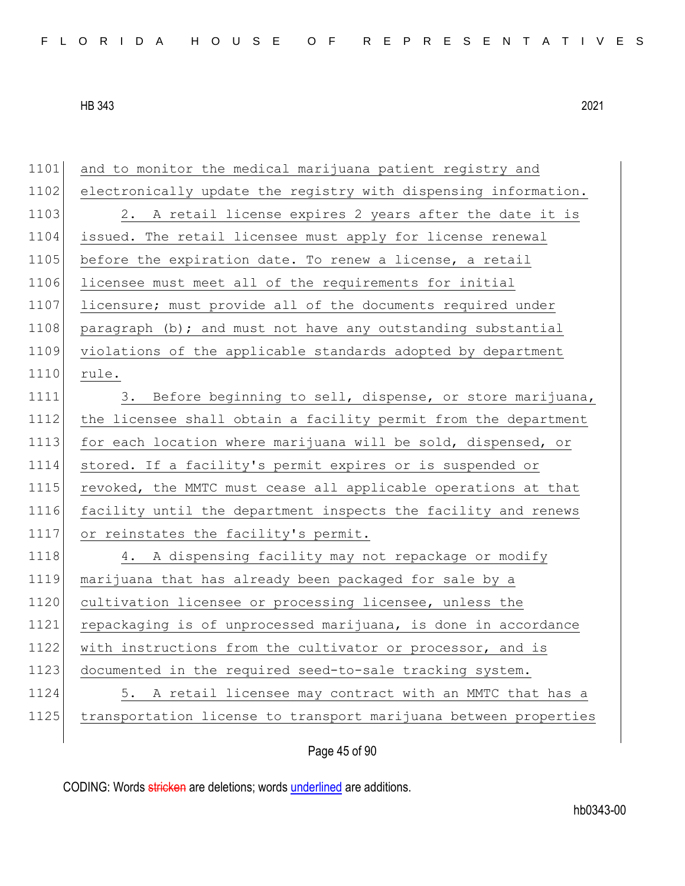1101 and to monitor the medical marijuana patient registry and 1102 electronically update the registry with dispensing information. 1103 2. A retail license expires 2 years after the date it is 1104 issued. The retail licensee must apply for license renewal 1105 before the expiration date. To renew a license, a retail 1106 licensee must meet all of the requirements for initial 1107 licensure; must provide all of the documents required under 1108 paragraph  $(b)$ ; and must not have any outstanding substantial 1109 violations of the applicable standards adopted by department 1110 rule. 1111 3. Before beginning to sell, dispense, or store marijuana, 1112 the licensee shall obtain a facility permit from the department 1113 for each location where marijuana will be sold, dispensed, or 1114 stored. If a facility's permit expires or is suspended or 1115 revoked, the MMTC must cease all applicable operations at that 1116 facility until the department inspects the facility and renews 1117 or reinstates the facility's permit. 1118 4. A dispensing facility may not repackage or modify 1119 marijuana that has already been packaged for sale by a 1120 cultivation licensee or processing licensee, unless the 1121 repackaging is of unprocessed marijuana, is done in accordance 1122 with instructions from the cultivator or processor, and is 1123 documented in the required seed-to-sale tracking system. 1124 5. A retail licensee may contract with an MMTC that has a 1125 transportation license to transport marijuana between properties

Page 45 of 90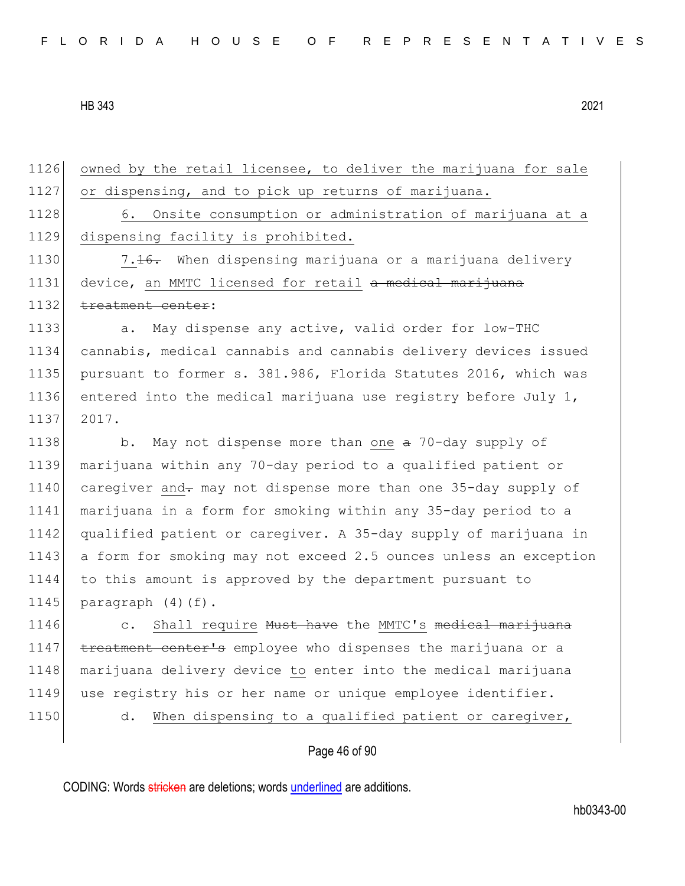1126 owned by the retail licensee, to deliver the marijuana for sale 1127 or dispensing, and to pick up returns of marijuana. 1128 6. Onsite consumption or administration of marijuana at a 1129 dispensing facility is prohibited. 1130 7.16. When dispensing marijuana or a marijuana delivery 1131 device, an MMTC licensed for retail a medical marijuana 1132 treatment center: 1133 a. May dispense any active, valid order for low-THC 1134 cannabis, medical cannabis and cannabis delivery devices issued 1135 pursuant to former s. 381.986, Florida Statutes 2016, which was 1136 entered into the medical marijuana use registry before July 1, 1137 2017. 1138 b. May not dispense more than one  $\alpha$  70-day supply of 1139 marijuana within any 70-day period to a qualified patient or 1140 caregiver and  $\frac{1140}{100}$  may not dispense more than one 35-day supply of 1141 marijuana in a form for smoking within any 35-day period to a 1142 qualified patient or caregiver. A 35-day supply of marijuana in 1143 a form for smoking may not exceed 2.5 ounces unless an exception 1144 to this amount is approved by the department pursuant to 1145 paragraph  $(4)(f)$ . 1146 c. Shall require Must have the MMTC's medical marijuana 1147 treatment center's employee who dispenses the marijuana or a 1148 marijuana delivery device to enter into the medical marijuana 1149 use registry his or her name or unique employee identifier.

1150 d. When dispensing to a qualified patient or caregiver,

# Page 46 of 90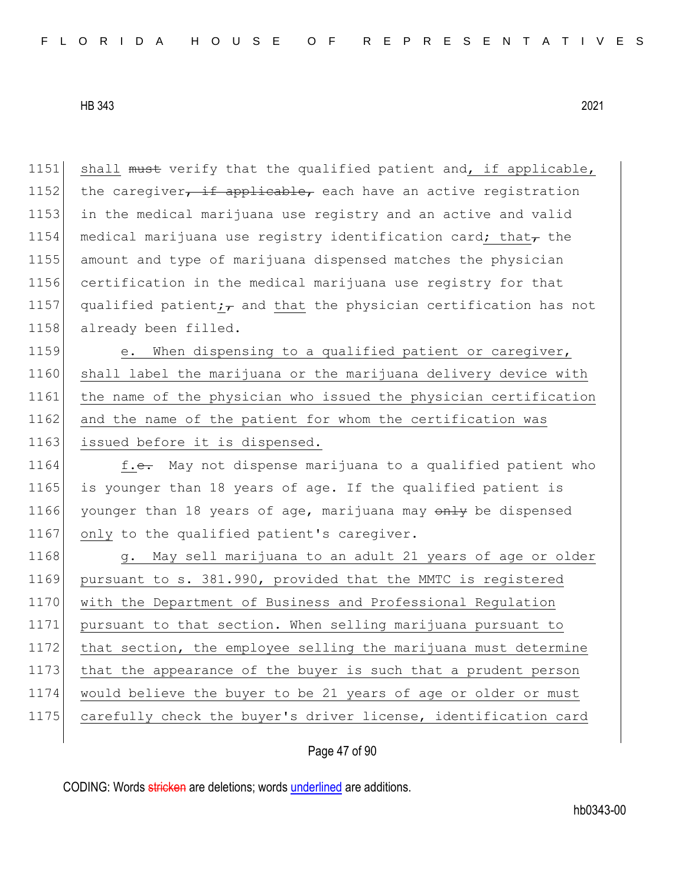1151 shall must verify that the qualified patient and, if applicable, 1152 the caregiver, if applicable, each have an active registration 1153 in the medical marijuana use registry and an active and valid 1154 medical marijuana use registry identification card; that $_{\tau}$  the 1155 amount and type of marijuana dispensed matches the physician 1156 certification in the medical marijuana use registry for that 1157 qualified patient; and that the physician certification has not 1158 already been filled.

1159 e. When dispensing to a qualified patient or caregiver, 1160 shall label the marijuana or the marijuana delivery device with 1161 the name of the physician who issued the physician certification 1162 and the name of the patient for whom the certification was 1163 issued before it is dispensed.

1164 f.e. May not dispense marijuana to a qualified patient who 1165 is younger than 18 years of age. If the qualified patient is 1166 younger than 18 years of age, marijuana may  $\theta$  only be dispensed 1167 only to the qualified patient's caregiver.

1168 g. May sell marijuana to an adult 21 years of age or older pursuant to s. 381.990, provided that the MMTC is registered with the Department of Business and Professional Regulation pursuant to that section. When selling marijuana pursuant to that section, the employee selling the marijuana must determine that the appearance of the buyer is such that a prudent person would believe the buyer to be 21 years of age or older or must 1175 carefully check the buyer's driver license, identification card

Page 47 of 90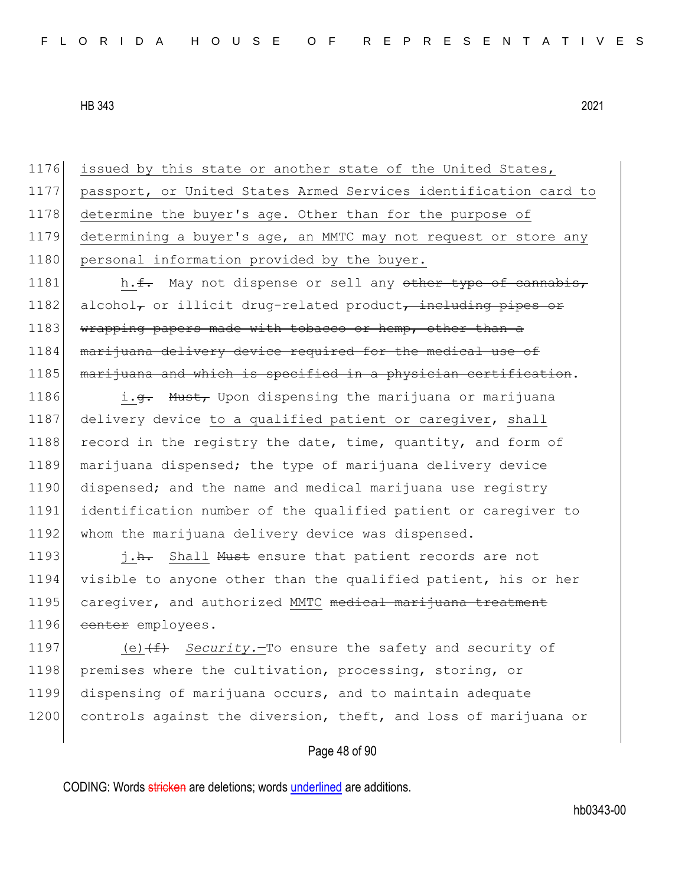1176 issued by this state or another state of the United States, 1177 passport, or United States Armed Services identification card to 1178 determine the buyer's age. Other than for the purpose of 1179 determining a buyer's age, an MMTC may not request or store any 1180 personal information provided by the buyer.

1181 h.f. May not dispense or sell any other type of cannabis, 1182 alcohol<sub> $\tau$ </sub> or illicit drug-related product, including pipes or 1183 wrapping papers made with tobacco or hemp, other than a 1184 marijuana delivery device required for the medical use of 1185 marijuana and which is specified in a physician certification.

1186 i.<del>g.</del> Must, Upon dispensing the marijuana or marijuana 1187 delivery device to a qualified patient or caregiver, shall 1188 record in the registry the date, time, quantity, and form of 1189 marijuana dispensed; the type of marijuana delivery device 1190 dispensed; and the name and medical marijuana use registry 1191 identification number of the qualified patient or caregiver to 1192 whom the marijuana delivery device was dispensed.

1193 i.h. Shall Must ensure that patient records are not 1194 visible to anyone other than the qualified patient, his or her 1195 caregiver, and authorized MMTC medical marijuana treatment 1196 center employees.

1197 (e) (f) *Security*. To ensure the safety and security of 1198 premises where the cultivation, processing, storing, or 1199 dispensing of marijuana occurs, and to maintain adequate 1200 controls against the diversion, theft, and loss of marijuana or

# Page 48 of 90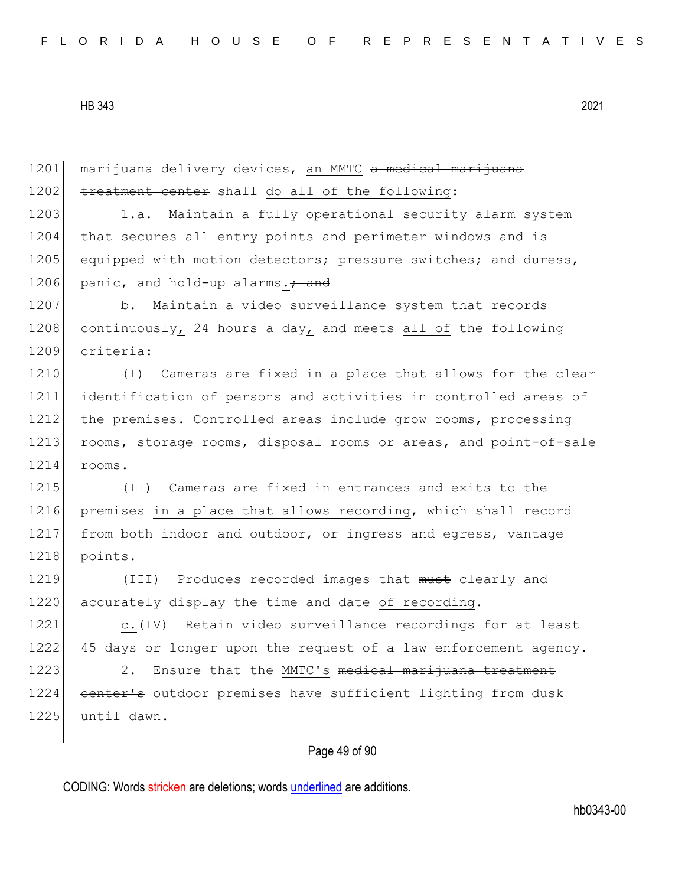Page 49 of 90 1201 marijuana delivery devices, an MMTC <del>a medical marijuana</del> 1202 treatment center shall do all of the following: 1203 1.a. Maintain a fully operational security alarm system 1204 that secures all entry points and perimeter windows and is 1205 equipped with motion detectors; pressure switches; and duress, 1206 panic, and hold-up alarms. $\div$  and 1207 b. Maintain a video surveillance system that records 1208 continuously, 24 hours a day, and meets all of the following 1209 criteria: 1210 (I) Cameras are fixed in a place that allows for the clear 1211 identification of persons and activities in controlled areas of 1212 the premises. Controlled areas include grow rooms, processing 1213 rooms, storage rooms, disposal rooms or areas, and point-of-sale 1214 rooms. 1215 (II) Cameras are fixed in entrances and exits to the 1216 premises in a place that allows recording, which shall record 1217 from both indoor and outdoor, or ingress and egress, vantage 1218 points. 1219 (III) Produces recorded images that must clearly and 1220 accurately display the time and date of recording. 1221  $c.\overbrace{HV}$  Retain video surveillance recordings for at least 1222 45 days or longer upon the request of a law enforcement agency. 1223 2. Ensure that the MMTC's medical marijuana treatment 1224 center's outdoor premises have sufficient lighting from dusk 1225 until dawn.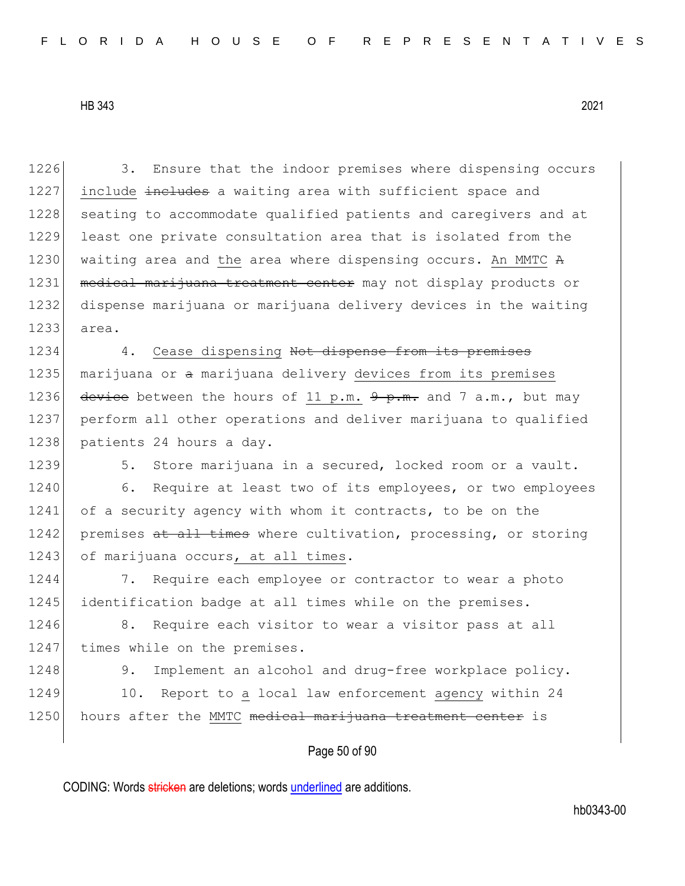1226 3. Ensure that the indoor premises where dispensing occurs 1227 include includes a waiting area with sufficient space and 1228 seating to accommodate qualified patients and caregivers and at 1229 least one private consultation area that is isolated from the 1230 waiting area and the area where dispensing occurs. An MMTC A 1231 | medical marijuana treatment center may not display products or 1232 dispense marijuana or marijuana delivery devices in the waiting 1233 area.

1234 4. Cease dispensing Not dispense from its premises 1235 marijuana or a marijuana delivery devices from its premises 1236 device between the hours of 11 p.m.  $9\text{-}p\text{-}m\text{-}$  and 7 a.m., but may 1237 perform all other operations and deliver marijuana to qualified 1238 patients 24 hours a day.

1239 5. Store marijuana in a secured, locked room or a vault. 1240 6. Require at least two of its employees, or two employees 1241 of a security agency with whom it contracts, to be on the 1242 premises at all times where cultivation, processing, or storing 1243 of marijuana occurs, at all times.

1244 7. Require each employee or contractor to wear a photo 1245 identification badge at all times while on the premises.

1246 8. Require each visitor to wear a visitor pass at all 1247 times while on the premises.

1248 9. Implement an alcohol and drug-free workplace policy. 1249 10. Report to a local law enforcement agency within 24 1250 hours after the MMTC medical marijuana treatment center is

# Page 50 of 90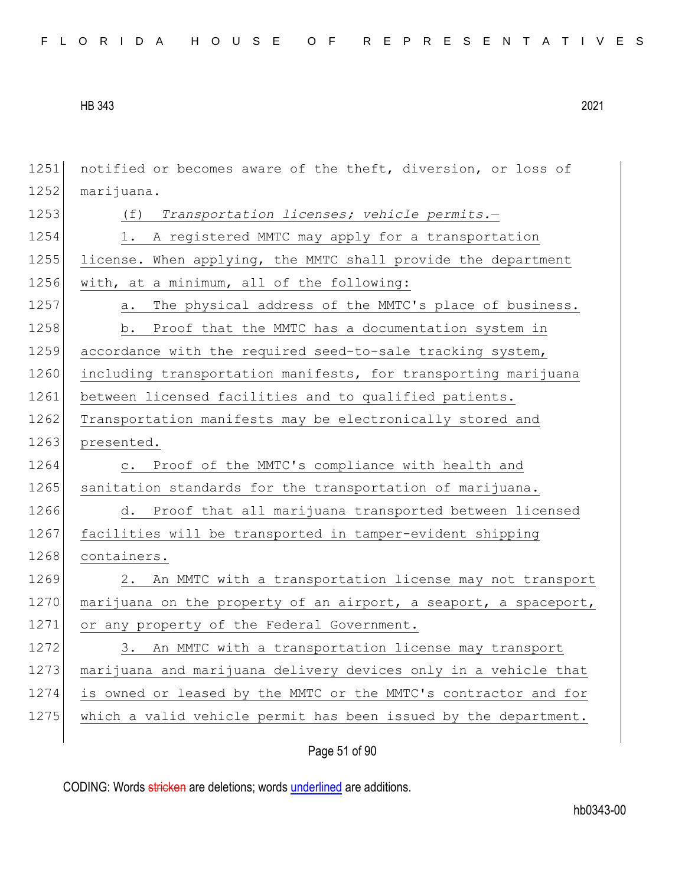|  |  |  |  |  |  |  |  | FLORIDA HOUSE OF REPRESENTATIVES |
|--|--|--|--|--|--|--|--|----------------------------------|
|--|--|--|--|--|--|--|--|----------------------------------|

1251 notified or becomes aware of the theft, diversion, or loss of 1252 marijuana. 1253 (f) *Transportation licenses; vehicle permits.*— 1254 1. A registered MMTC may apply for a transportation 1255 license. When applying, the MMTC shall provide the department 1256 with, at a minimum, all of the following: 1257 a. The physical address of the MMTC's place of business. 1258 b. Proof that the MMTC has a documentation system in 1259 accordance with the required seed-to-sale tracking system, 1260 including transportation manifests, for transporting marijuana 1261 between licensed facilities and to qualified patients. 1262 Transportation manifests may be electronically stored and 1263 presented. 1264 c. Proof of the MMTC's compliance with health and 1265 sanitation standards for the transportation of marijuana. 1266 d. Proof that all marijuana transported between licensed 1267 facilities will be transported in tamper-evident shipping 1268 containers. 1269 2. An MMTC with a transportation license may not transport 1270 marijuana on the property of an airport, a seaport, a spaceport, 1271 or any property of the Federal Government. 1272 3. An MMTC with a transportation license may transport 1273 marijuana and marijuana delivery devices only in a vehicle that 1274 is owned or leased by the MMTC or the MMTC's contractor and for 1275 which a valid vehicle permit has been issued by the department.

# Page 51 of 90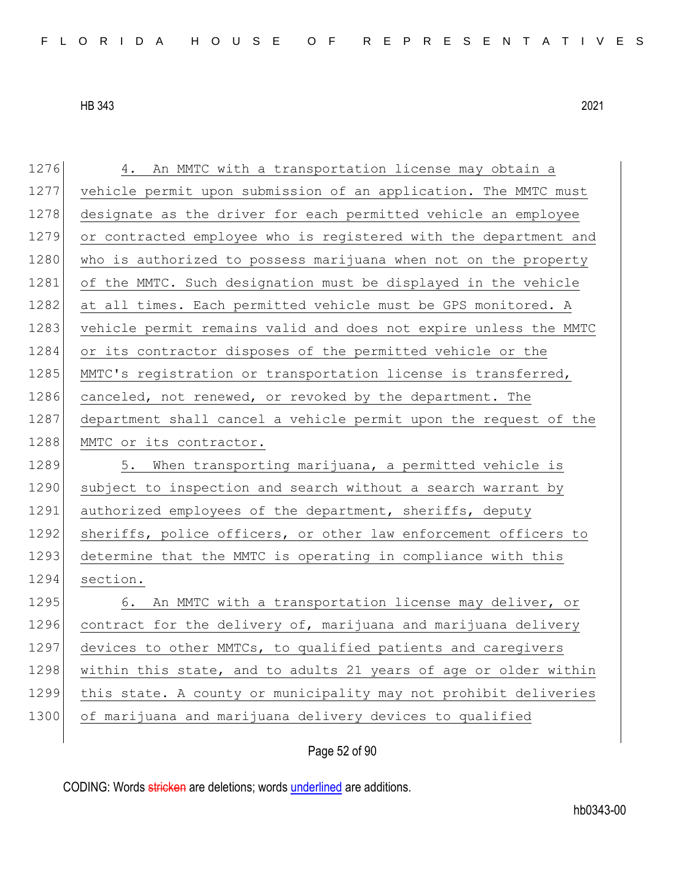1276 4. An MMTC with a transportation license may obtain a 1277 vehicle permit upon submission of an application. The MMTC must 1278 designate as the driver for each permitted vehicle an employee 1279 or contracted employee who is registered with the department and 1280 who is authorized to possess marijuana when not on the property 1281 of the MMTC. Such designation must be displayed in the vehicle 1282 at all times. Each permitted vehicle must be GPS monitored. A 1283 vehicle permit remains valid and does not expire unless the MMTC 1284 or its contractor disposes of the permitted vehicle or the 1285 MMTC's registration or transportation license is transferred, 1286 canceled, not renewed, or revoked by the department. The 1287 department shall cancel a vehicle permit upon the request of the 1288 MMTC or its contractor. 1289 5. When transporting marijuana, a permitted vehicle is 1290 subject to inspection and search without a search warrant by 1291 authorized employees of the department, sheriffs, deputy 1292 sheriffs, police officers, or other law enforcement officers to 1293 determine that the MMTC is operating in compliance with this 1294 section. 1295 6. An MMTC with a transportation license may deliver, or 1296 contract for the delivery of, marijuana and marijuana delivery 1297 devices to other MMTCs, to qualified patients and caregivers 1298 within this state, and to adults 21 years of age or older within 1299 this state. A county or municipality may not prohibit deliveries 1300 of marijuana and marijuana delivery devices to qualified

# Page 52 of 90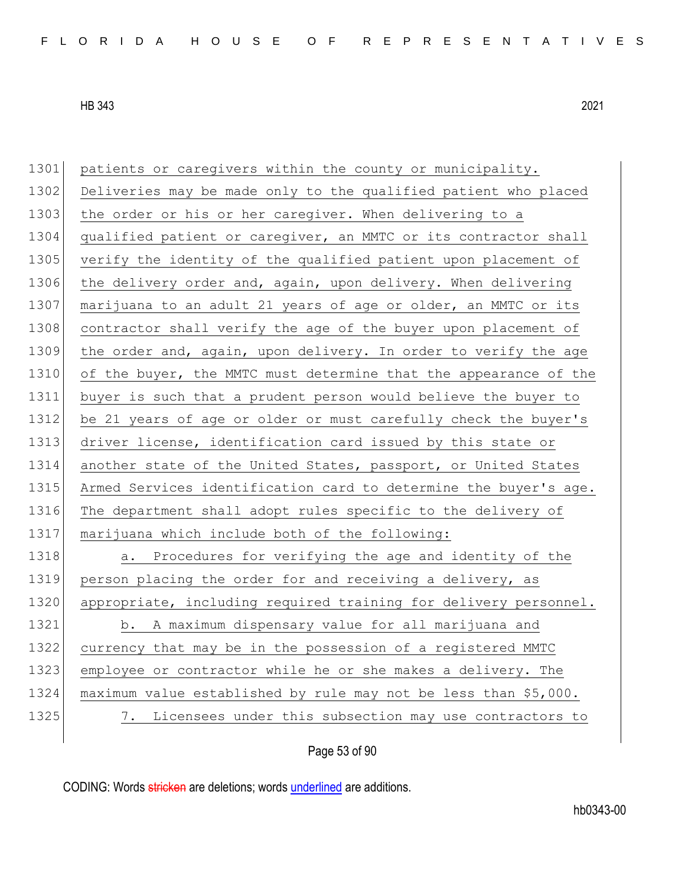| 1301 | patients or caregivers within the county or municipality.        |
|------|------------------------------------------------------------------|
| 1302 | Deliveries may be made only to the qualified patient who placed  |
| 1303 | the order or his or her caregiver. When delivering to a          |
| 1304 | qualified patient or caregiver, an MMTC or its contractor shall  |
| 1305 | verify the identity of the qualified patient upon placement of   |
| 1306 | the delivery order and, again, upon delivery. When delivering    |
| 1307 | marijuana to an adult 21 years of age or older, an MMTC or its   |
| 1308 | contractor shall verify the age of the buyer upon placement of   |
| 1309 | the order and, again, upon delivery. In order to verify the age  |
| 1310 | of the buyer, the MMTC must determine that the appearance of the |
| 1311 | buyer is such that a prudent person would believe the buyer to   |
| 1312 | be 21 years of age or older or must carefully check the buyer's  |
| 1313 | driver license, identification card issued by this state or      |
| 1314 | another state of the United States, passport, or United States   |
| 1315 | Armed Services identification card to determine the buyer's age. |
| 1316 | The department shall adopt rules specific to the delivery of     |
| 1317 | marijuana which include both of the following:                   |
| 1318 | a. Procedures for verifying the age and identity of the          |
| 1319 | person placing the order for and receiving a delivery, as        |
| 1320 | appropriate, including required training for delivery personnel. |
| 1321 | b. A maximum dispensary value for all marijuana and              |
| 1322 | currency that may be in the possession of a registered MMTC      |
| 1323 | employee or contractor while he or she makes a delivery. The     |
| 1324 | maximum value established by rule may not be less than \$5,000.  |
| 1325 | 7. Licensees under this subsection may use contractors to        |
|      |                                                                  |

Page 53 of 90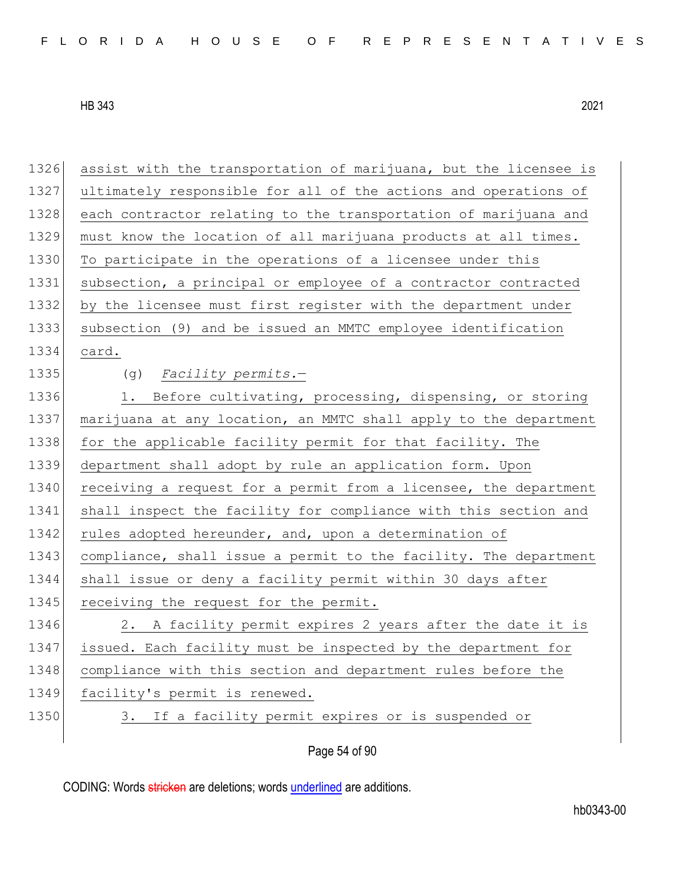| 1326 | assist with the transportation of marijuana, but the licensee is |
|------|------------------------------------------------------------------|
| 1327 | ultimately responsible for all of the actions and operations of  |
| 1328 | each contractor relating to the transportation of marijuana and  |
| 1329 | must know the location of all marijuana products at all times.   |
| 1330 | To participate in the operations of a licensee under this        |
| 1331 | subsection, a principal or employee of a contractor contracted   |
| 1332 | by the licensee must first register with the department under    |
| 1333 | subsection (9) and be issued an MMTC employee identification     |
| 1334 | card.                                                            |
| 1335 | Facility permits.-<br>(q)                                        |
| 1336 | 1. Before cultivating, processing, dispensing, or storing        |
| 1337 | marijuana at any location, an MMTC shall apply to the department |
| 1338 | for the applicable facility permit for that facility. The        |
| 1339 | department shall adopt by rule an application form. Upon         |
| 1340 | receiving a request for a permit from a licensee, the department |
| 1341 | shall inspect the facility for compliance with this section and  |
| 1342 | rules adopted hereunder, and, upon a determination of            |
| 1343 | compliance, shall issue a permit to the facility. The department |
| 1344 | shall issue or deny a facility permit within 30 days after       |
| 1345 | receiving the request for the permit.                            |
| 1346 | 2. A facility permit expires 2 years after the date it is        |
| 1347 | issued. Each facility must be inspected by the department for    |
| 1348 | compliance with this section and department rules before the     |
| 1349 | facility's permit is renewed.                                    |
|      |                                                                  |
| 1350 | 3. If a facility permit expires or is suspended or               |

Page 54 of 90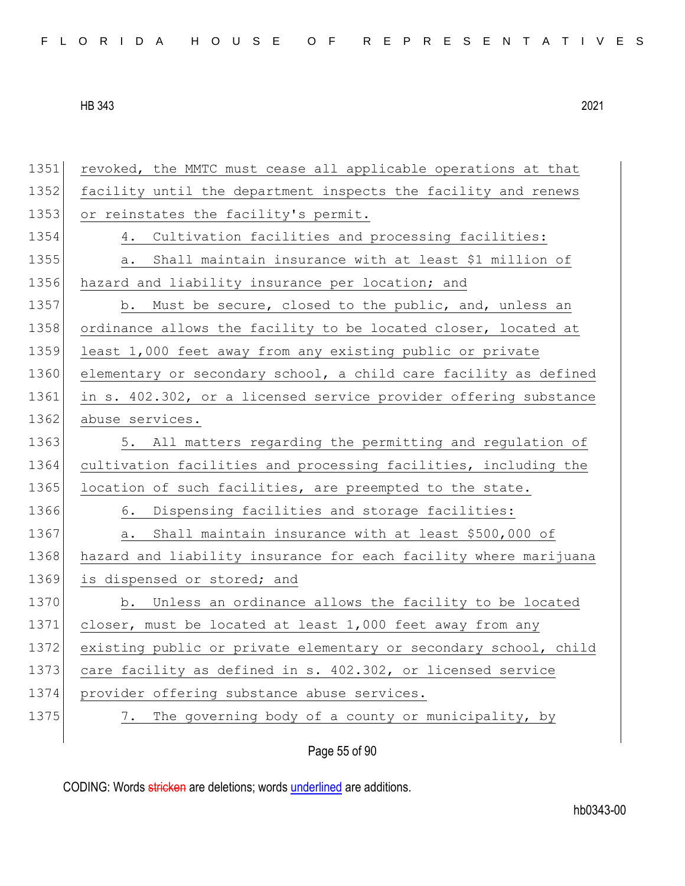| FLORIDA HOUSE OF REPRESENTATIVES |  |
|----------------------------------|--|
|----------------------------------|--|

1351 revoked, the MMTC must cease all applicable operations at that 1352 facility until the department inspects the facility and renews 1353 or reinstates the facility's permit. 1354 4. Cultivation facilities and processing facilities: 1355 a. Shall maintain insurance with at least \$1 million of 1356 hazard and liability insurance per location; and 1357 b. Must be secure, closed to the public, and, unless an 1358 ordinance allows the facility to be located closer, located at 1359 least 1,000 feet away from any existing public or private 1360 elementary or secondary school, a child care facility as defined 1361 in s. 402.302, or a licensed service provider offering substance 1362 abuse services. 1363 5. All matters regarding the permitting and regulation of 1364 cultivation facilities and processing facilities, including the 1365 location of such facilities, are preempted to the state. 1366 6. Dispensing facilities and storage facilities: 1367 a. Shall maintain insurance with at least \$500,000 of 1368 hazard and liability insurance for each facility where marijuana 1369 is dispensed or stored; and 1370 b. Unless an ordinance allows the facility to be located 1371 closer, must be located at least 1,000 feet away from any 1372 existing public or private elementary or secondary school, child 1373 care facility as defined in s. 402.302, or licensed service 1374 provider offering substance abuse services. 1375 7. The governing body of a county or municipality, by

# Page 55 of 90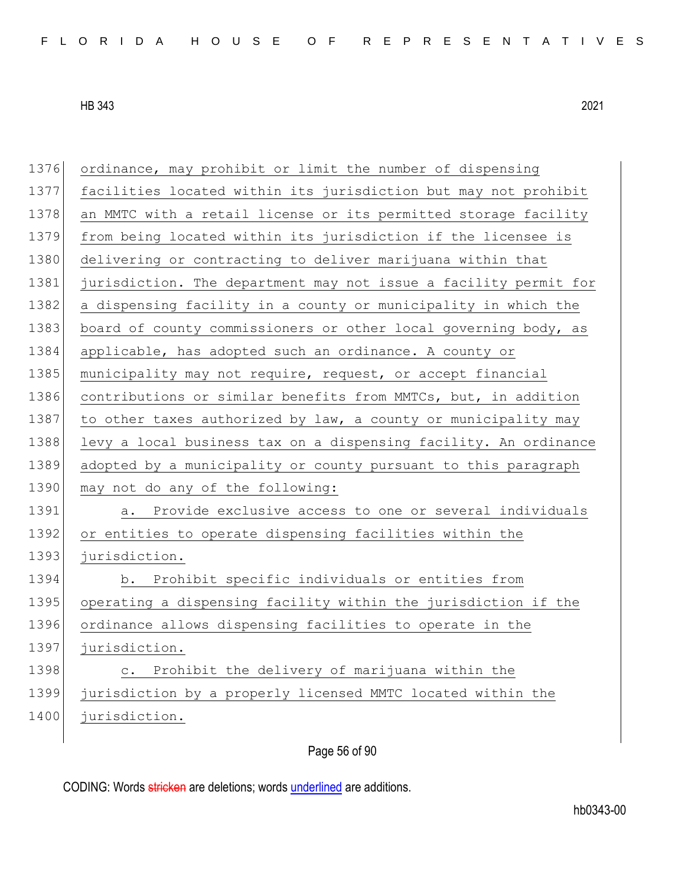| 1376 | ordinance, may prohibit or limit the number of dispensing        |
|------|------------------------------------------------------------------|
| 1377 | facilities located within its jurisdiction but may not prohibit  |
| 1378 | an MMTC with a retail license or its permitted storage facility  |
| 1379 | from being located within its jurisdiction if the licensee is    |
| 1380 | delivering or contracting to deliver marijuana within that       |
| 1381 | jurisdiction. The department may not issue a facility permit for |
| 1382 | a dispensing facility in a county or municipality in which the   |
| 1383 | board of county commissioners or other local governing body, as  |
| 1384 | applicable, has adopted such an ordinance. A county or           |
| 1385 | municipality may not require, request, or accept financial       |
| 1386 | contributions or similar benefits from MMTCs, but, in addition   |
| 1387 | to other taxes authorized by law, a county or municipality may   |
| 1388 | levy a local business tax on a dispensing facility. An ordinance |
| 1389 | adopted by a municipality or county pursuant to this paragraph   |
| 1390 | may not do any of the following:                                 |
| 1391 | Provide exclusive access to one or several individuals<br>а.     |
| 1392 | or entities to operate dispensing facilities within the          |
| 1393 | jurisdiction.                                                    |
| 1394 | b. Prohibit specific individuals or entities from                |
| 1395 | operating a dispensing facility within the jurisdiction if the   |
| 1396 | ordinance allows dispensing facilities to operate in the         |
| 1397 | jurisdiction.                                                    |
| 1398 | c. Prohibit the delivery of marijuana within the                 |
| 1399 | jurisdiction by a properly licensed MMTC located within the      |
| 1400 | jurisdiction.                                                    |
|      |                                                                  |

Page 56 of 90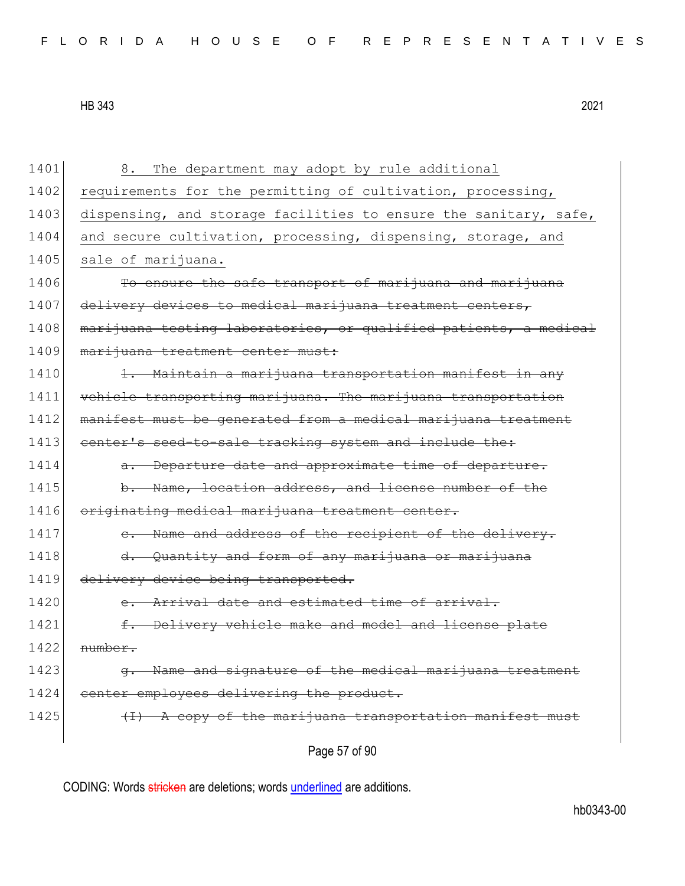|  |  |  |  |  |  |  |  |  |  | FLORIDA HOUSE OF REPRESENTATIVES |  |  |  |  |  |  |  |  |  |  |  |  |  |  |  |  |
|--|--|--|--|--|--|--|--|--|--|----------------------------------|--|--|--|--|--|--|--|--|--|--|--|--|--|--|--|--|
|--|--|--|--|--|--|--|--|--|--|----------------------------------|--|--|--|--|--|--|--|--|--|--|--|--|--|--|--|--|

| 1401 | The department may adopt by rule additional<br>8.                |
|------|------------------------------------------------------------------|
| 1402 | requirements for the permitting of cultivation, processing,      |
| 1403 | dispensing, and storage facilities to ensure the sanitary, safe, |
| 1404 | and secure cultivation, processing, dispensing, storage, and     |
| 1405 | sale of marijuana.                                               |
| 1406 | To ensure the safe transport of marijuana and marijuana          |
| 1407 | delivery devices to medical marijuana treatment centers,         |
| 1408 | marijuana testing laboratories, or qualified patients, a medical |
| 1409 | marijuana treatment center must:                                 |
| 1410 | 1. Maintain a marijuana transportation manifest in any           |
| 1411 | vehicle transporting marijuana. The marijuana transportation     |
| 1412 | manifest must be generated from a medical marijuana treatment    |
| 1413 | center's seed-to-sale tracking system and include the:           |
| 1414 | a. Departure date and approximate time of departure.             |
| 1415 | b. Name, location address, and license number of the             |
| 1416 | originating medical marijuana treatment center.                  |
| 1417 | e. Name and address of the recipient of the delivery.            |
| 1418 | d. Quantity and form of any marijuana or marijuana               |
| 1419 | delivery device being transported.                               |
| 1420 | e. Arrival date and estimated time of arrival.                   |
| 1421 | f. Delivery vehicle make and model and license plate             |
| 1422 | number.                                                          |
| 1423 | Name and signature of the medical marijuana treatment            |
| 1424 | center employees delivering the product.                         |
| 1425 | A copy of the marijuana transportation manifest must             |
|      | Page 57 of 90                                                    |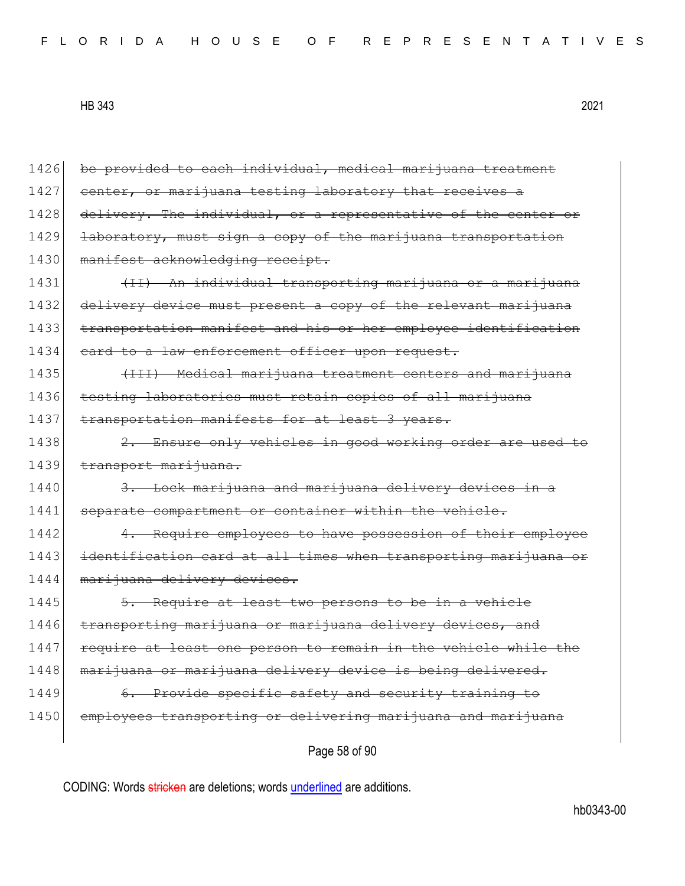| 1426 | be provided to each individual, medical marijuana treatment     |
|------|-----------------------------------------------------------------|
| 1427 | center, or marijuana testing laboratory that receives a         |
| 1428 | delivery. The individual, or a representative of the center or  |
| 1429 | laboratory, must sign a copy of the marijuana transportation    |
| 1430 | manifest acknowledging receipt.                                 |
| 1431 | (II) An individual transporting marijuana or a marijuana        |
| 1432 | delivery device must present a copy of the relevant marijuana   |
| 1433 | transportation manifest and his or her employee identification  |
| 1434 | eard to a law enforcement officer upon request.                 |
| 1435 | (III) Medical marijuana treatment centers and marijuana         |
| 1436 | testing laboratories must retain copies of all marijuana        |
| 1437 | transportation manifests for at least 3 years.                  |
| 1438 | 2. Ensure only vehicles in good working order are used to       |
|      |                                                                 |
| 1439 | transport marijuana.                                            |
| 1440 | 3. Lock marijuana and marijuana delivery devices in a           |
| 1441 | separate compartment or container within the vehicle.           |
| 1442 | 4. Require employees to have possession of their employee       |
| 1443 | identification card at all times when transporting marijuana or |
| 1444 | marijuana delivery devices.                                     |
| 1445 | 5. Require at least two persons to be in a vehicle              |
| 1446 | transporting marijuana or marijuana delivery devices, and       |
| 1447 | require at least one person to remain in the vehicle while the  |
| 1448 | marijuana or marijuana delivery device is being delivered.      |
| 1449 | 6. Provide specific safety and security training to             |
| 1450 | employees transporting or delivering marijuana and marijuana    |

Page 58 of 90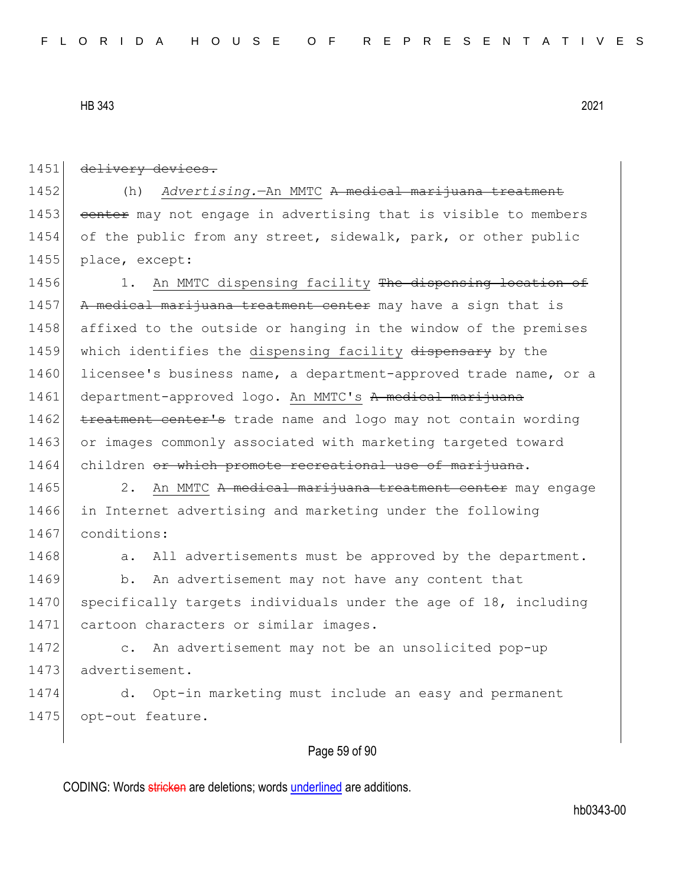1451 delivery devices.

1452 (h) *Advertising.*—An MMTC A medical marijuana treatment 1453 center may not engage in advertising that is visible to members 1454 of the public from any street, sidewalk, park, or other public 1455 place, except:

1456 1. An MMTC dispensing facility The dispensing location of 1457 A medical marijuana treatment center may have a sign that is 1458 affixed to the outside or hanging in the window of the premises 1459 which identifies the dispensing facility dispensary by the 1460 licensee's business name, a department-approved trade name, or a 1461 department-approved logo. An MMTC's A medical marijuana 1462 treatment center's trade name and logo may not contain wording 1463 or images commonly associated with marketing targeted toward 1464 children <del>or which promote recreational use of marijuana</del>.

1465 2. An MMTC A medical marijuana treatment center may engage 1466 in Internet advertising and marketing under the following 1467 conditions:

1468 a. All advertisements must be approved by the department.

1469 b. An advertisement may not have any content that 1470 specifically targets individuals under the age of 18, including 1471 cartoon characters or similar images.

1472 c. An advertisement may not be an unsolicited pop-up 1473 advertisement.

1474 d. Opt-in marketing must include an easy and permanent 1475 opt-out feature.

# Page 59 of 90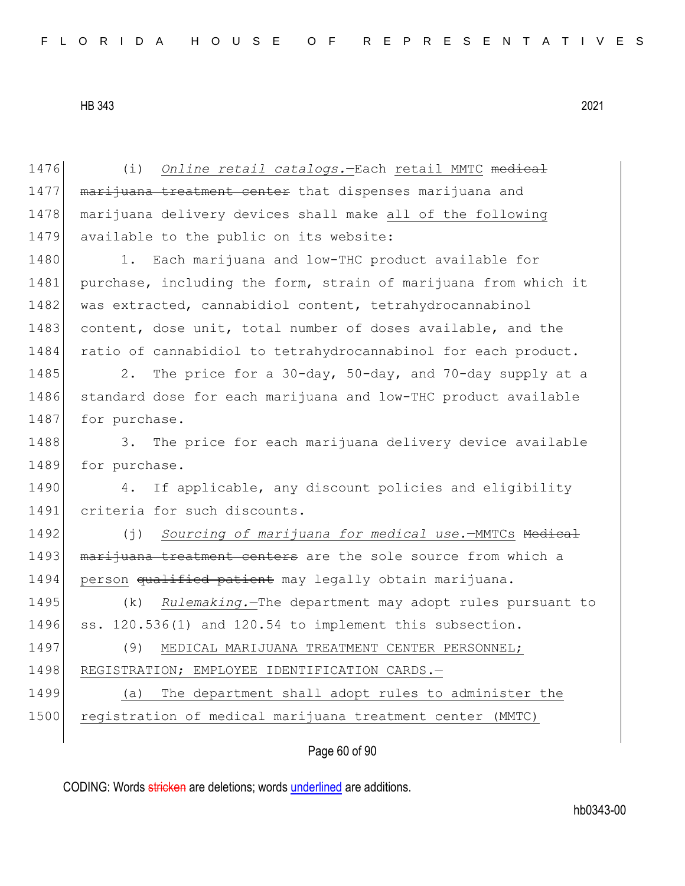| 1476 | Online retail catalogs.-Each retail MMTC medical<br>(i)               |
|------|-----------------------------------------------------------------------|
| 1477 | marijuana treatment center that dispenses marijuana and               |
| 1478 | marijuana delivery devices shall make all of the following            |
| 1479 | available to the public on its website:                               |
| 1480 | Each marijuana and low-THC product available for<br>1.                |
| 1481 | purchase, including the form, strain of marijuana from which it       |
| 1482 | was extracted, cannabidiol content, tetrahydrocannabinol              |
| 1483 | content, dose unit, total number of doses available, and the          |
| 1484 | ratio of cannabidiol to tetrahydrocannabinol for each product.        |
| 1485 | The price for a $30$ -day, $50$ -day, and $70$ -day supply at a<br>2. |
| 1486 | standard dose for each marijuana and low-THC product available        |
| 1487 | for purchase.                                                         |
| 1488 | The price for each marijuana delivery device available<br>3.          |
| 1489 | for purchase.                                                         |
| 1490 | If applicable, any discount policies and eligibility<br>4.            |
| 1491 | criteria for such discounts.                                          |
| 1492 | $(\dagger)$<br>Sourcing of marijuana for medical use. - MMTCs Medical |
| 1493 | marijuana treatment centers are the sole source from which a          |
| 1494 | person qualified patient may legally obtain marijuana.                |
| 1495 | Rulemaking.-The department may adopt rules pursuant to<br>(k)         |
| 1496 | ss. 120.536(1) and 120.54 to implement this subsection.               |
| 1497 | (9)<br>MEDICAL MARIJUANA TREATMENT CENTER PERSONNEL;                  |
| 1498 | REGISTRATION; EMPLOYEE IDENTIFICATION CARDS.-                         |
| 1499 | The department shall adopt rules to administer the<br>(a)             |
| 1500 | registration of medical marijuana treatment center (MMTC)             |
|      |                                                                       |

Page 60 of 90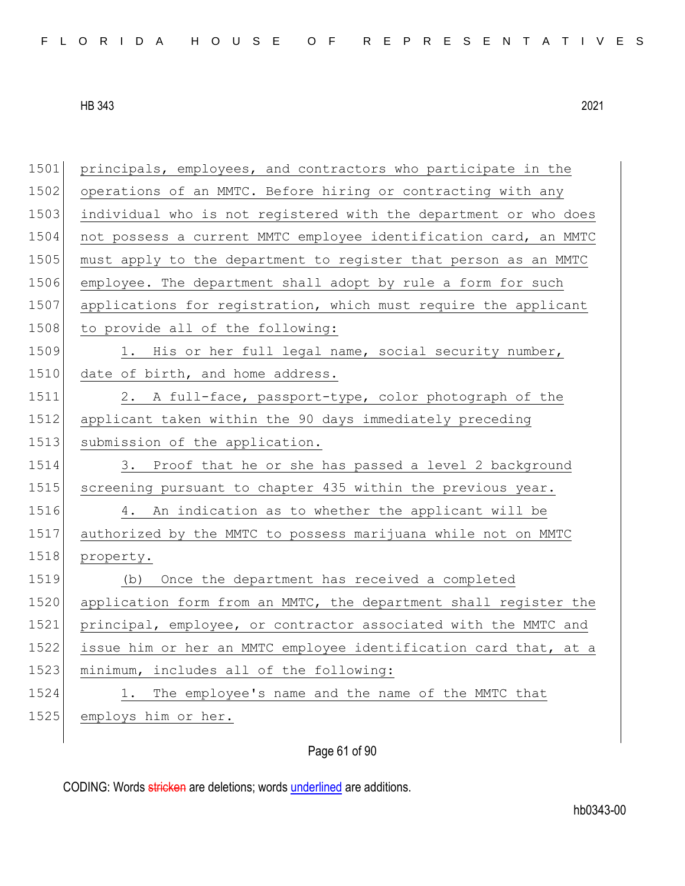1501 principals, employees, and contractors who participate in the 1502 operations of an MMTC. Before hiring or contracting with any 1503 individual who is not registered with the department or who does 1504 not possess a current MMTC employee identification card, an MMTC 1505 must apply to the department to register that person as an MMTC 1506 employee. The department shall adopt by rule a form for such 1507 applications for registration, which must require the applicant 1508 to provide all of the following: 1509 1. His or her full legal name, social security number, 1510 date of birth, and home address. 1511 2. A full-face, passport-type, color photograph of the 1512 applicant taken within the 90 days immediately preceding 1513 submission of the application. 1514 3. Proof that he or she has passed a level 2 background 1515 screening pursuant to chapter 435 within the previous year. 1516 4. An indication as to whether the applicant will be 1517 authorized by the MMTC to possess marijuana while not on MMTC 1518 property. 1519 (b) Once the department has received a completed 1520 application form from an MMTC, the department shall register the 1521 principal, employee, or contractor associated with the MMTC and 1522 issue him or her an MMTC employee identification card that, at a 1523 minimum, includes all of the following: 1524 1. The employee's name and the name of the MMTC that 1525 employs him or her.

Page 61 of 90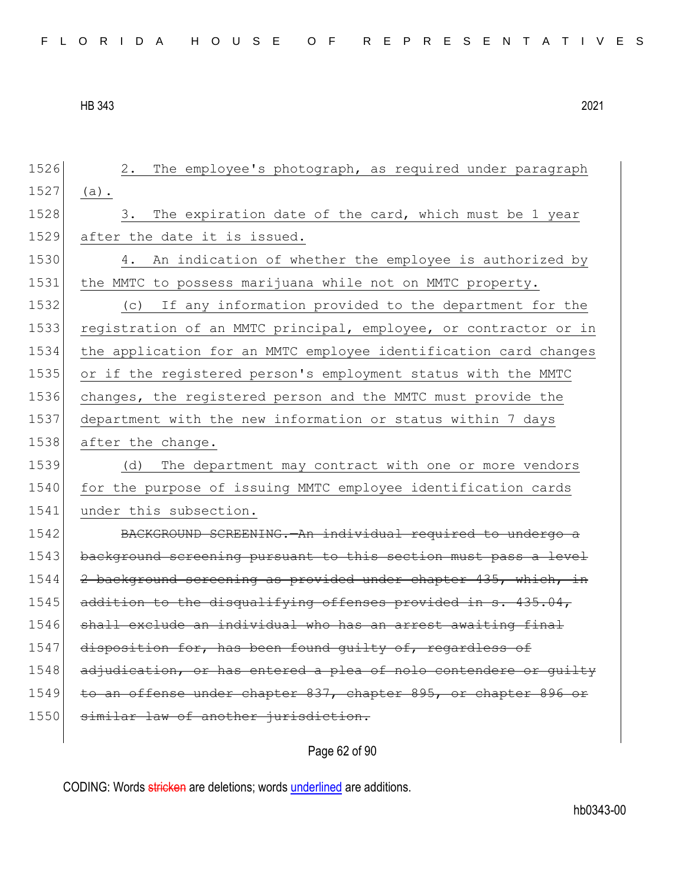| 1526 | The employee's photograph, as required under paragraph<br>2.     |
|------|------------------------------------------------------------------|
| 1527 | $(a)$ .                                                          |
| 1528 | 3.<br>The expiration date of the card, which must be 1 year      |
| 1529 | after the date it is issued.                                     |
| 1530 | An indication of whether the employee is authorized by<br>4.     |
| 1531 | the MMTC to possess marijuana while not on MMTC property.        |
| 1532 | If any information provided to the department for the<br>(C)     |
| 1533 | registration of an MMTC principal, employee, or contractor or in |
| 1534 | the application for an MMTC employee identification card changes |
| 1535 | or if the registered person's employment status with the MMTC    |
| 1536 | changes, the registered person and the MMTC must provide the     |
| 1537 | department with the new information or status within 7 days      |
| 1538 | after the change.                                                |
| 1539 | The department may contract with one or more vendors<br>(d)      |
| 1540 | for the purpose of issuing MMTC employee identification cards    |
| 1541 | under this subsection.                                           |
| 1542 | BACKGROUND SCREENING. An individual required to undergo a        |
| 1543 | background screening pursuant to this section must pass a level  |
| 1544 | 2 background screening as provided under chapter 435, which, in  |
| 1545 | addition to the disqualifying offenses provided in s. 435.04,    |
| 1546 | shall exclude an individual who has an arrest awaiting final     |
| 1547 | disposition for, has been found quilty of, regardless of         |
| 1548 | adjudication, or has entered a plea of nolo contendere or guilty |
| 1549 | to an offense under chapter 837, chapter 895, or chapter 896 or  |
| 1550 | similar law of another jurisdiction.                             |
|      |                                                                  |

Page 62 of 90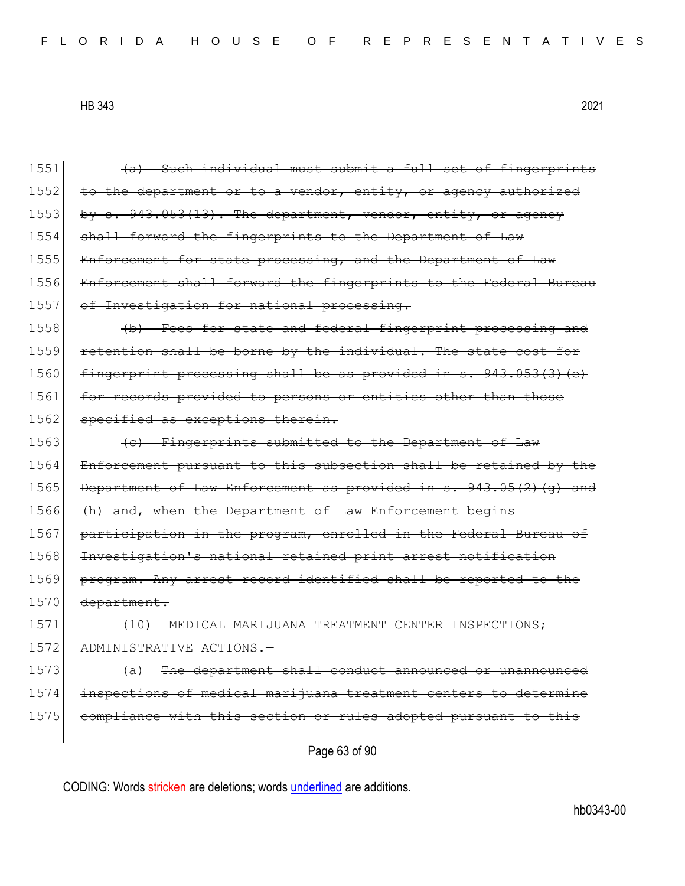| 1551 | (a) Such individual must submit a full set of fingerprints       |
|------|------------------------------------------------------------------|
| 1552 | to the department or to a vendor, entity, or agency authorized   |
| 1553 | by s. 943.053(13). The department, vendor, entity, or agency     |
| 1554 | shall forward the fingerprints to the Department of Law          |
| 1555 | Enforcement for state processing, and the Department of Law      |
| 1556 | Enforcement shall forward the fingerprints to the Federal Bureau |
| 1557 | of Investigation for national processing.                        |
| 1558 | (b) Fees for state and federal fingerprint processing and        |
| 1559 | retention shall be borne by the individual. The state cost for   |
| 1560 | fingerprint processing shall be as provided in s. 943.053(3) (e) |
| 1561 | for records provided to persons or entities other than those     |
| 1562 | specified as exceptions therein.                                 |
| 1563 | (e) Fingerprints submitted to the Department of Law              |
| 1564 | Enforcement pursuant to this subsection shall be retained by the |
| 1565 | Department of Law Enforcement as provided in s. 943.05(2)(q) and |
| 1566 | (h) and, when the Department of Law Enforcement begins           |
| 1567 | participation in the program, enrolled in the Federal Bureau of  |
| 1568 | Investigation's national retained print arrest notification      |
| 1569 | program. Any arrest record identified shall be reported to the   |
| 1570 | department.                                                      |
| 1571 | (10)<br>MEDICAL MARIJUANA TREATMENT CENTER INSPECTIONS;          |
| 1572 | ADMINISTRATIVE ACTIONS.-                                         |
| 1573 | The department shall conduct announced or unannounced<br>(a)     |
| 1574 | inspections of medical marijuana treatment centers to determine  |
| 1575 | compliance with this section or rules adopted pursuant to this   |
|      | Page 63 of 90                                                    |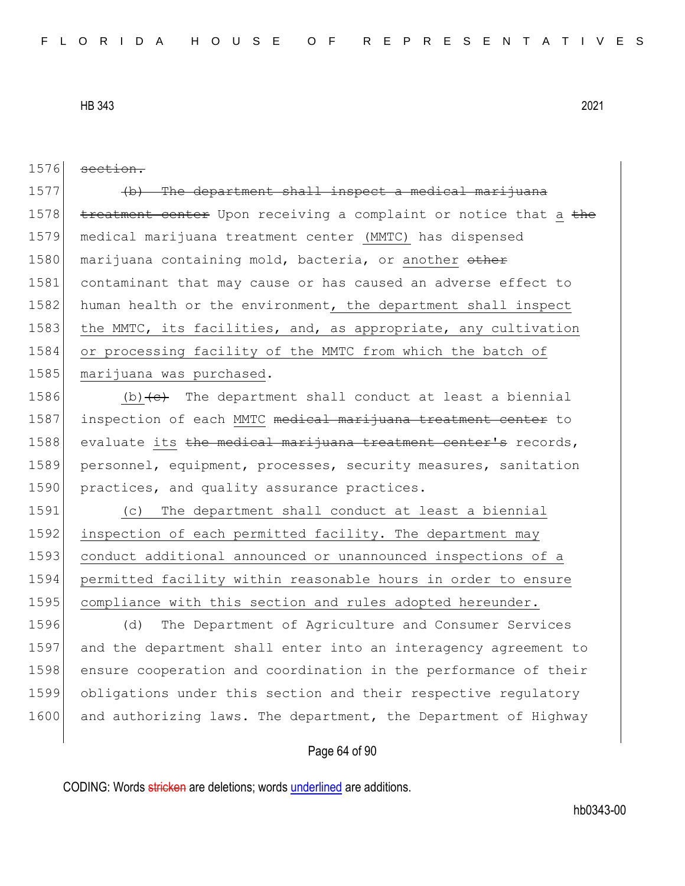$1576$  section.

1577 (b) The department shall inspect a medical marijuana 1578 treatment center Upon receiving a complaint or notice that a the 1579 medical marijuana treatment center (MMTC) has dispensed 1580 marijuana containing mold, bacteria, or another other 1581 contaminant that may cause or has caused an adverse effect to 1582 human health or the environment, the department shall inspect 1583 the MMTC, its facilities, and, as appropriate, any cultivation 1584 or processing facility of the MMTC from which the batch of 1585 marijuana was purchased.

1586 (b)  $\left\{ \left\{ e\right\} \right\}$  The department shall conduct at least a biennial 1587 inspection of each MMTC medical marijuana treatment center to 1588 evaluate its the medical marijuana treatment center's records, 1589 personnel, equipment, processes, security measures, sanitation 1590 practices, and quality assurance practices.

1591 (c) The department shall conduct at least a biennial 1592 inspection of each permitted facility. The department may 1593 conduct additional announced or unannounced inspections of a 1594 permitted facility within reasonable hours in order to ensure 1595 compliance with this section and rules adopted hereunder.

 (d) The Department of Agriculture and Consumer Services and the department shall enter into an interagency agreement to ensure cooperation and coordination in the performance of their obligations under this section and their respective regulatory 1600 and authorizing laws. The department, the Department of Highway

# Page 64 of 90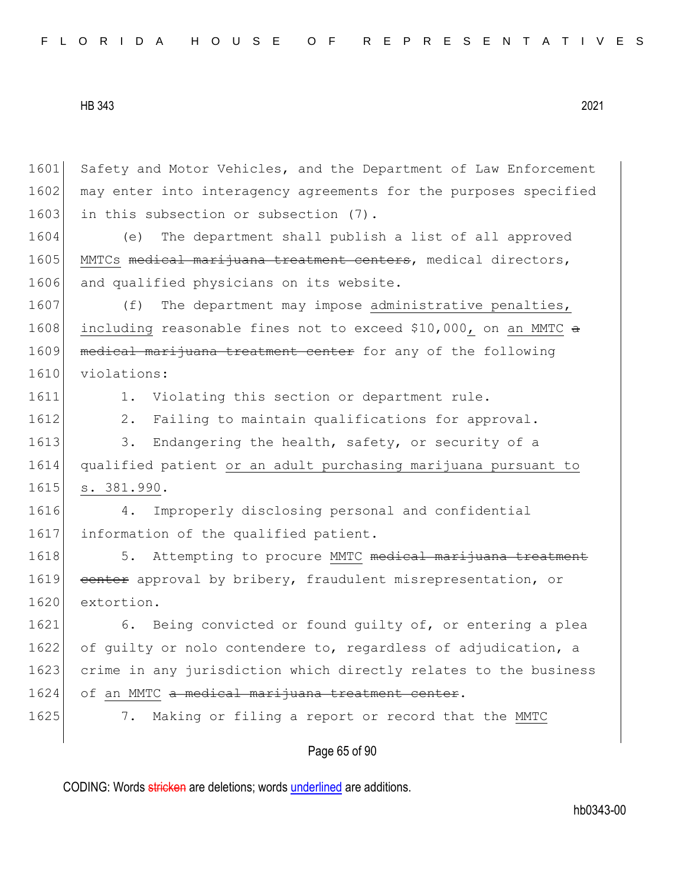1601 Safety and Motor Vehicles, and the Department of Law Enforcement 1602 may enter into interagency agreements for the purposes specified 1603 in this subsection or subsection (7).

1604 (e) The department shall publish a list of all approved 1605 MMTCs medical marijuana treatment centers, medical directors, 1606 and qualified physicians on its website.

1607 (f) The department may impose administrative penalties, 1608 including reasonable fines not to exceed \$10,000, on an MMTC  $\alpha$ 1609 medical marijuana treatment center for any of the following 1610 violations:

1611 1. Violating this section or department rule.

1612 2. Failing to maintain qualifications for approval.

1613 3. Endangering the health, safety, or security of a 1614 qualified patient or an adult purchasing marijuana pursuant to 1615 s. 381.990.

1616 4. Improperly disclosing personal and confidential 1617 information of the qualified patient.

1618 5. Attempting to procure MMTC medical marijuana treatment 1619 center approval by bribery, fraudulent misrepresentation, or 1620 extortion.

1621 6. Being convicted or found quilty of, or entering a plea 1622 of guilty or nolo contendere to, regardless of adjudication, a 1623 crime in any jurisdiction which directly relates to the business 1624 of an MMTC a medical marijuana treatment center.

1625 7. Making or filing a report or record that the MMTC

# Page 65 of 90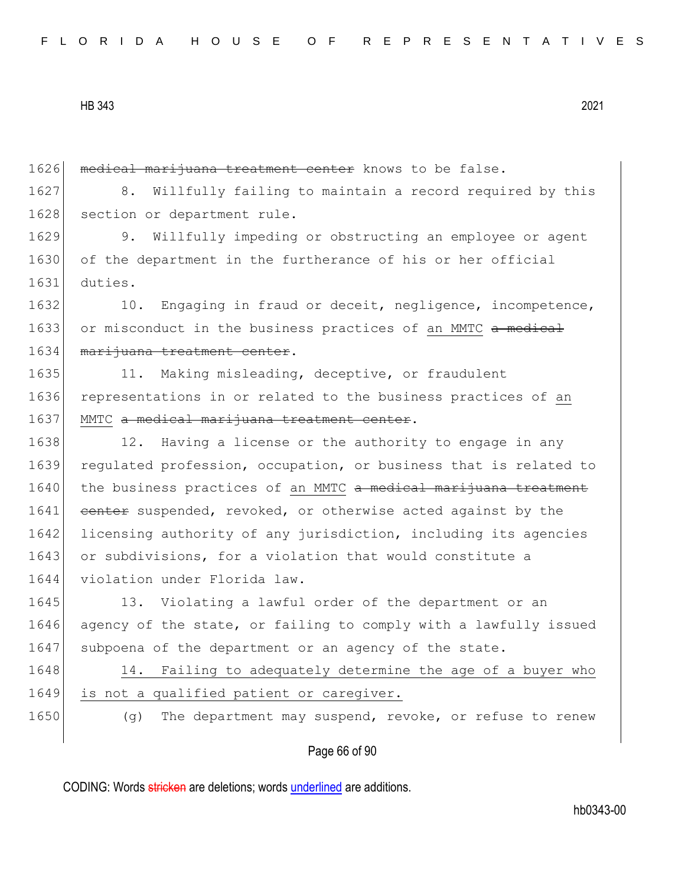1626 medical marijuana treatment center knows to be false. 1627 8. Willfully failing to maintain a record required by this 1628 section or department rule. 1629 9. Willfully impeding or obstructing an employee or agent 1630 of the department in the furtherance of his or her official 1631 duties. 1632 10. Engaging in fraud or deceit, negligence, incompetence, 1633 or misconduct in the business practices of an MMTC a medical 1634 marijuana treatment center. 1635 11. Making misleading, deceptive, or fraudulent 1636 representations in or related to the business practices of an 1637 MMTC a medical marijuana treatment center. 1638 12. Having a license or the authority to engage in any 1639 regulated profession, occupation, or business that is related to 1640 the business practices of an MMTC a medical marijuana treatment 1641 center suspended, revoked, or otherwise acted against by the 1642 licensing authority of any jurisdiction, including its agencies 1643 or subdivisions, for a violation that would constitute a 1644 violation under Florida law. 1645 13. Violating a lawful order of the department or an 1646 agency of the state, or failing to comply with a lawfully issued 1647 subpoena of the department or an agency of the state. 1648 14. Failing to adequately determine the age of a buyer who 1649 is not a qualified patient or caregiver. 1650 (g) The department may suspend, revoke, or refuse to renew

# Page 66 of 90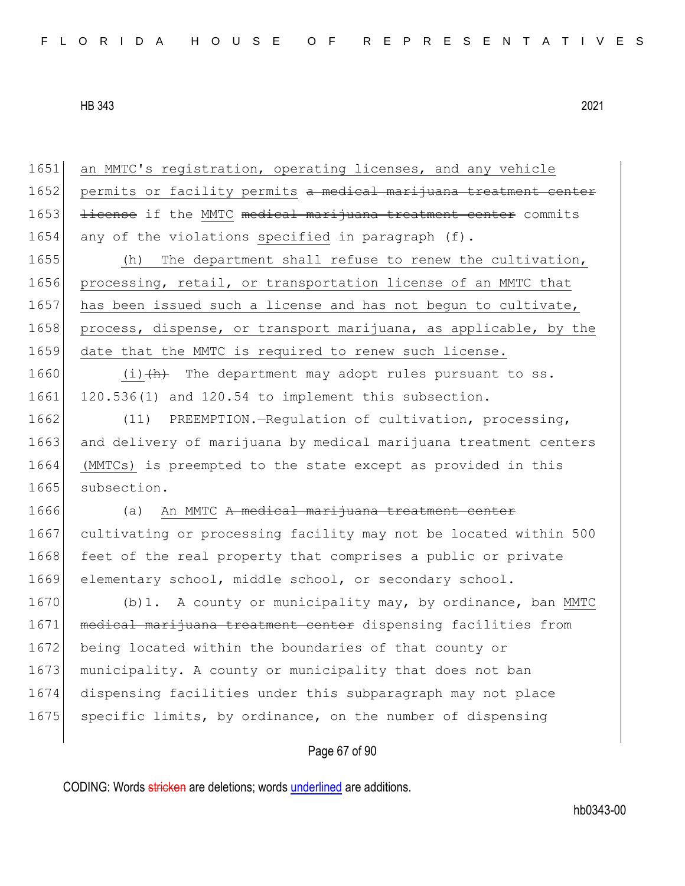1651 an MMTC's registration, operating licenses, and any vehicle 1652 permits or facility permits a medical marijuana treatment center 1653 <del>license</del> if the MMTC medical marijuana treatment center commits 1654 any of the violations specified in paragraph  $(f)$ .

1655 (h) The department shall refuse to renew the cultivation, 1656 processing, retail, or transportation license of an MMTC that 1657 has been issued such a license and has not begun to cultivate, 1658 process, dispense, or transport marijuana, as applicable, by the 1659 date that the MMTC is required to renew such license.

1660  $(i)$   $(h)$  The department may adopt rules pursuant to ss. 1661 120.536(1) and 120.54 to implement this subsection.

1662 (11) PREEMPTION.—Requlation of cultivation, processing, 1663 and delivery of marijuana by medical marijuana treatment centers 1664 (MMTCs) is preempted to the state except as provided in this 1665 subsection.

1666 (a) An MMTC A medical marijuana treatment center 1667 cultivating or processing facility may not be located within 500 1668 feet of the real property that comprises a public or private 1669 elementary school, middle school, or secondary school.

1670 (b)1. A county or municipality may, by ordinance, ban MMTC 1671 medical marijuana treatment center dispensing facilities from 1672 being located within the boundaries of that county or 1673 municipality. A county or municipality that does not ban 1674 dispensing facilities under this subparagraph may not place 1675 specific limits, by ordinance, on the number of dispensing

# Page 67 of 90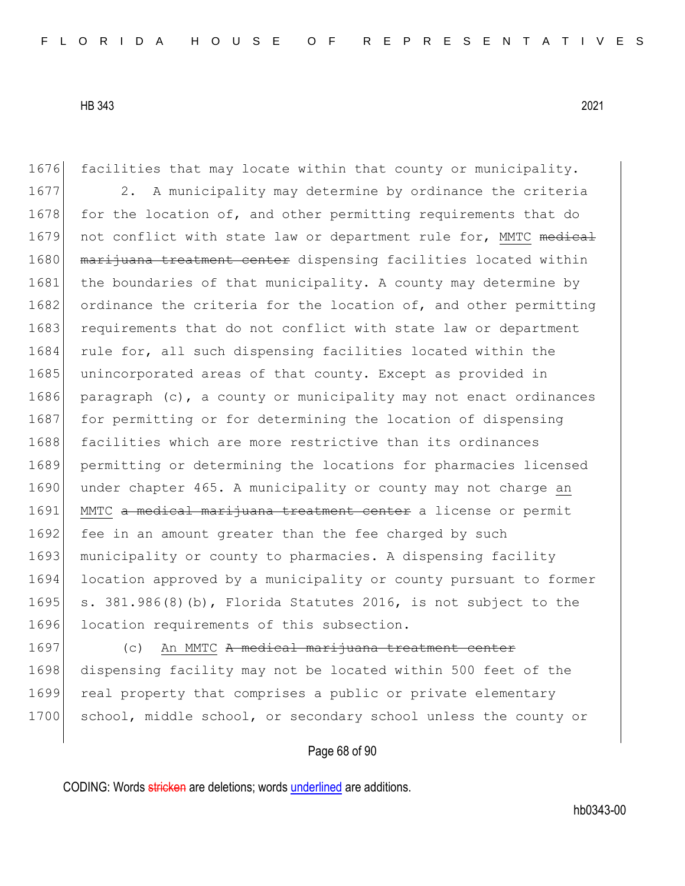1676 facilities that may locate within that county or municipality. 1677 2. A municipality may determine by ordinance the criteria 1678 for the location of, and other permitting requirements that do 1679 not conflict with state law or department rule for, MMTC medical 1680 marijuana treatment center dispensing facilities located within 1681 the boundaries of that municipality. A county may determine by 1682 ordinance the criteria for the location of, and other permitting 1683 requirements that do not conflict with state law or department 1684 rule for, all such dispensing facilities located within the 1685 unincorporated areas of that county. Except as provided in 1686 paragraph (c), a county or municipality may not enact ordinances 1687 for permitting or for determining the location of dispensing 1688 facilities which are more restrictive than its ordinances 1689 permitting or determining the locations for pharmacies licensed 1690 under chapter 465. A municipality or county may not charge an 1691 MMTC a medical marijuana treatment center a license or permit 1692 fee in an amount greater than the fee charged by such 1693 municipality or county to pharmacies. A dispensing facility 1694 location approved by a municipality or county pursuant to former 1695 s.  $381.986(8)$  (b), Florida Statutes 2016, is not subject to the 1696 location requirements of this subsection.

1697 (c) An MMTC A medical marijuana treatment center 1698 dispensing facility may not be located within 500 feet of the 1699 real property that comprises a public or private elementary 1700 school, middle school, or secondary school unless the county or

# Page 68 of 90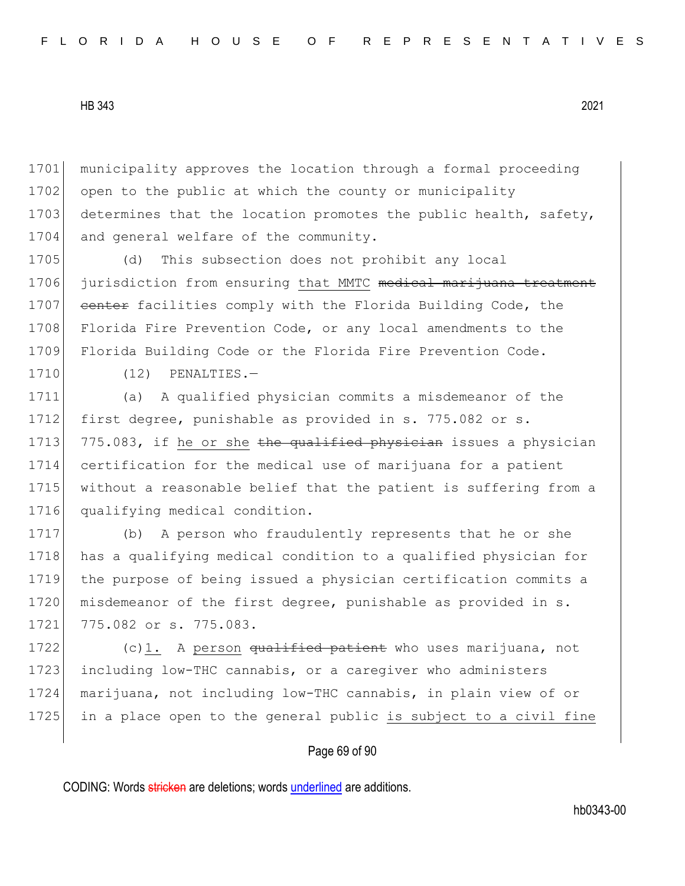1701 municipality approves the location through a formal proceeding 1702 open to the public at which the county or municipality 1703 determines that the location promotes the public health, safety, 1704 and general welfare of the community.

1705 (d) This subsection does not prohibit any local 1706 jurisdiction from ensuring that MMTC medical marijuana treatment 1707 center facilities comply with the Florida Building Code, the 1708 Florida Fire Prevention Code, or any local amendments to the 1709 Florida Building Code or the Florida Fire Prevention Code.

1710 (12) PENALTIES.-

1711 (a) A qualified physician commits a misdemeanor of the 1712 first degree, punishable as provided in s. 775.082 or s. 1713 775.083, if he or she the qualified physician issues a physician 1714 certification for the medical use of marijuana for a patient 1715 without a reasonable belief that the patient is suffering from a 1716 qualifying medical condition.

1717 (b) A person who fraudulently represents that he or she 1718 has a qualifying medical condition to a qualified physician for 1719 the purpose of being issued a physician certification commits a 1720 misdemeanor of the first degree, punishable as provided in s. 1721 775.082 or s. 775.083.

1722 (c)1. A person <del>qualified patient</del> who uses marijuana, not including low-THC cannabis, or a caregiver who administers marijuana, not including low-THC cannabis, in plain view of or in a place open to the general public is subject to a civil fine

# Page 69 of 90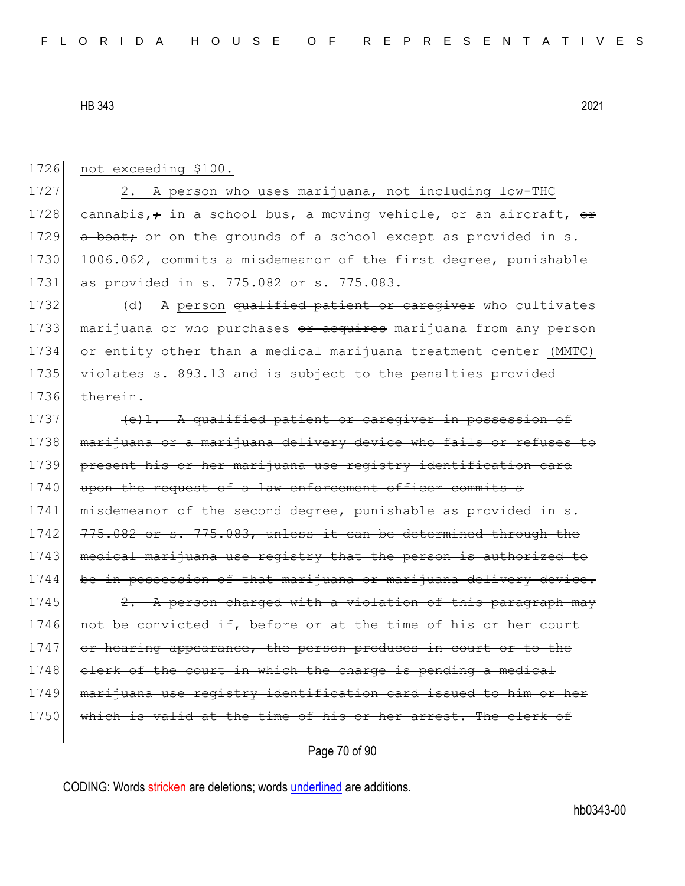1726 not exceeding \$100. 1727 2. A person who uses marijuana, not including low-THC 1728 cannabis,  $\dot{r}$  in a school bus, a moving vehicle, or an aircraft,  $\dot{\theta}$ 1729  $\sigma$  a boat; or on the grounds of a school except as provided in s. 1730 1006.062, commits a misdemeanor of the first degree, punishable 1731 as provided in s. 775.082 or s. 775.083. 1732 (d) A person qualified patient or caregiver who cultivates 1733 marijuana or who purchases <del>or acquires</del> marijuana from any person 1734 or entity other than a medical marijuana treatment center (MMTC) 1735 violates s. 893.13 and is subject to the penalties provided 1736 therein. 1737 (e)1. A qualified patient or caregiver in possession of 1738 marijuana or a marijuana delivery device who fails or refuses to 1739 present his or her marijuana use registry identification card 1740 upon the request of a law enforcement officer commits a 1741 misdemeanor of the second degree, punishable as provided in s. 1742 775.082 or s. 775.083, unless it can be determined through the 1743 medical marijuana use registry that the person is authorized to 1744 be in possession of that marijuana or marijuana delivery device.  $1745$  2. A person charged with a violation of this paragraph may 1746 not be convicted if, before or at the time of his or her court 1747 or hearing appearance, the person produces in court or to the 1748 clerk of the court in which the charge is pending a medical 1749 marijuana use registry identification card issued to him or her 1750 which is valid at the time of his or her arrest. The clerk of

Page 70 of 90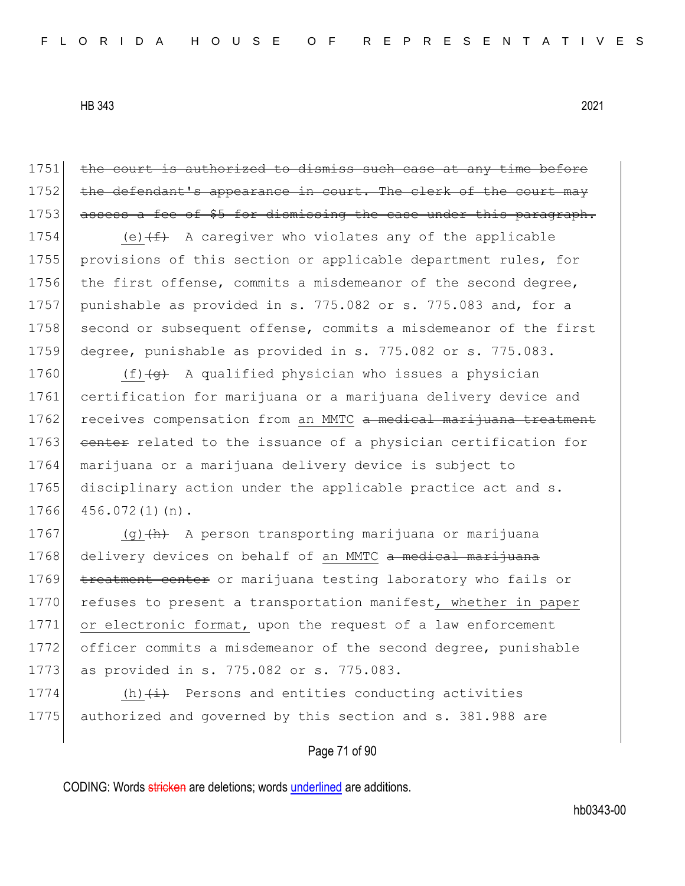1751 the court is authorized to dismiss such case at any time before 1752 the defendant's appearance in court. The clerk of the court may 1753 assess a fee of \$5 for dismissing the case under this paragraph. 1754 (e) $(f + A)$  A caregiver who violates any of the applicable 1755 provisions of this section or applicable department rules, for 1756 the first offense, commits a misdemeanor of the second degree, 1757 punishable as provided in s. 775.082 or s. 775.083 and, for a 1758 second or subsequent offense, commits a misdemeanor of the first 1759 degree, punishable as provided in s. 775.082 or s. 775.083. 1760  $(f)$   $\left\{\theta\right\}$  A qualified physician who issues a physician 1761 certification for marijuana or a marijuana delivery device and 1762 receives compensation from an MMTC a medical marijuana treatment 1763 center related to the issuance of a physician certification for 1764 marijuana or a marijuana delivery device is subject to 1765 disciplinary action under the applicable practice act and s. 1766 456.072(1)(n). 1767 (g) (d) A person transporting marijuana or marijuana 1768 delivery devices on behalf of an MMTC a medical marijuana 1769 treatment center or marijuana testing laboratory who fails or 1770 refuses to present a transportation manifest, whether in paper 1771 or electronic format, upon the request of a law enforcement 1772 officer commits a misdemeanor of the second degree, punishable 1773 as provided in s. 775.082 or s. 775.083.

1774 (h) $\leftrightarrow$  Persons and entities conducting activities 1775 authorized and governed by this section and s. 381.988 are

# Page 71 of 90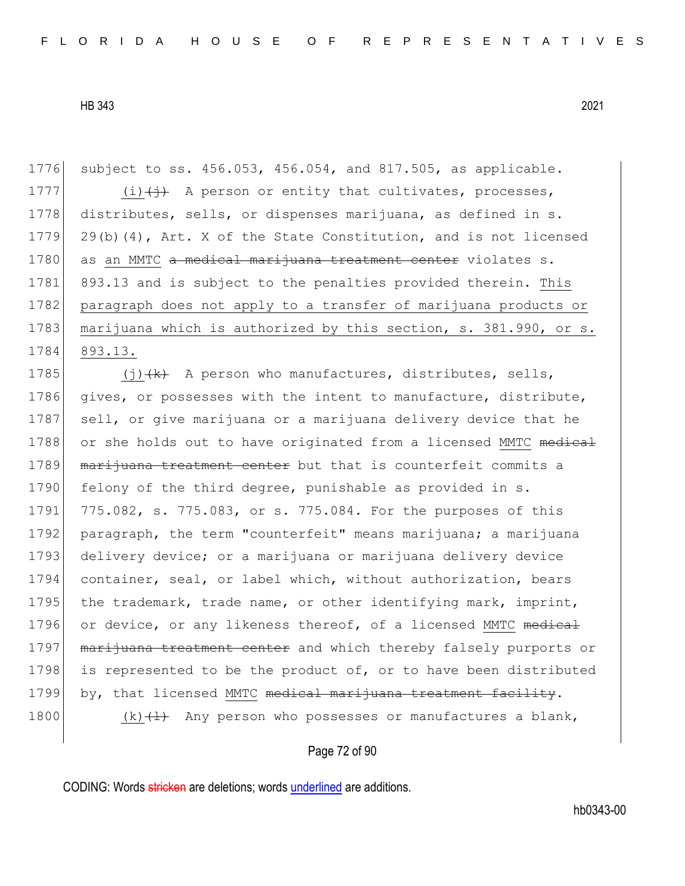1776 subject to ss. 456.053, 456.054, and 817.505, as applicable. 1777  $(i)$   $(i)$  A person or entity that cultivates, processes, 1778 distributes, sells, or dispenses marijuana, as defined in s. 1779 29(b)(4), Art. X of the State Constitution, and is not licensed 1780 as an MMTC a medical marijuana treatment center violates s. 1781 893.13 and is subject to the penalties provided therein. This 1782 paragraph does not apply to a transfer of marijuana products or 1783 marijuana which is authorized by this section, s. 381.990, or s. 1784 893.13. 1785  $(i)$   $(k)$  A person who manufactures, distributes, sells, 1786 gives, or possesses with the intent to manufacture, distribute, 1787 sell, or give marijuana or a marijuana delivery device that he 1788 or she holds out to have originated from a licensed MMTC medical 1789 marijuana treatment center but that is counterfeit commits a 1790 felony of the third degree, punishable as provided in s. 1791 775.082, s. 775.083, or s. 775.084. For the purposes of this 1792 paragraph, the term "counterfeit" means marijuana; a marijuana 1793 delivery device; or a marijuana or marijuana delivery device 1794 container, seal, or label which, without authorization, bears 1795 the trademark, trade name, or other identifying mark, imprint, 1796 or device, or any likeness thereof, of a licensed MMTC medical 1797 | marijuana treatment center and which thereby falsely purports or 1798 is represented to be the product of, or to have been distributed 1799 by, that licensed MMTC medical marijuana treatment facility. 1800 (k) $\left(\frac{1}{k}\right)$  Any person who possesses or manufactures a blank,

# Page 72 of 90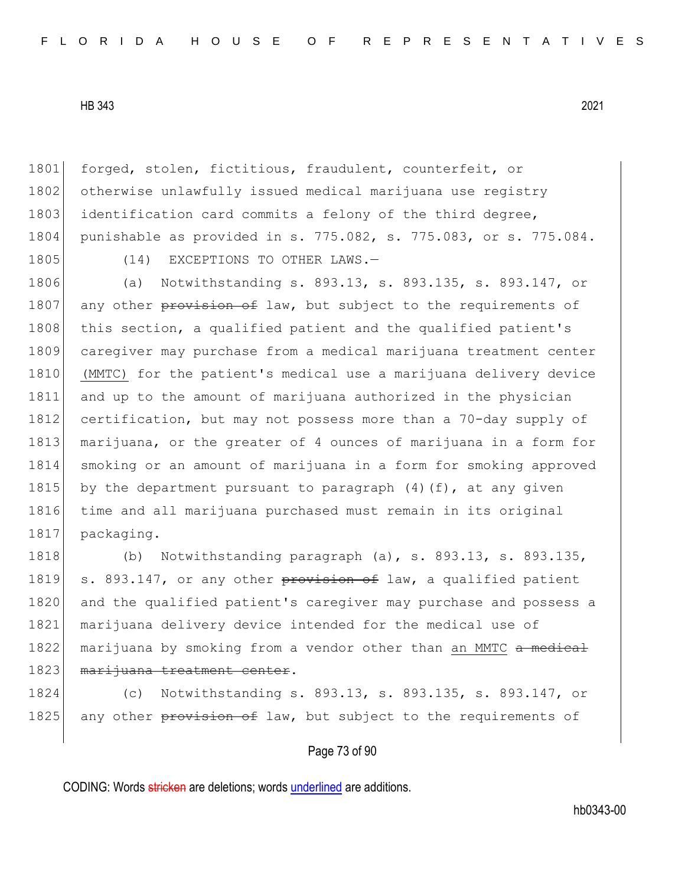1801 forged, stolen, fictitious, fraudulent, counterfeit, or 1802 otherwise unlawfully issued medical marijuana use registry 1803 identification card commits a felony of the third degree, 1804 punishable as provided in s. 775.082, s. 775.083, or s. 775.084. 1805 (14) EXCEPTIONS TO OTHER LAWS.-1806 (a) Notwithstanding s. 893.13, s. 893.135, s. 893.147, or 1807 any other provision of law, but subject to the requirements of 1808 this section, a qualified patient and the qualified patient's 1809 caregiver may purchase from a medical marijuana treatment center 1810 (MMTC) for the patient's medical use a marijuana delivery device 1811 and up to the amount of marijuana authorized in the physician 1812 certification, but may not possess more than a 70-day supply of 1813 marijuana, or the greater of 4 ounces of marijuana in a form for 1814 smoking or an amount of marijuana in a form for smoking approved 1815 by the department pursuant to paragraph  $(4)$  (f), at any given 1816 time and all marijuana purchased must remain in its original 1817 packaging. 1818 (b) Notwithstanding paragraph (a), s. 893.13, s. 893.135, 1819 s. 893.147, or any other  $p$ rovision of law, a qualified patient 1820 and the qualified patient's caregiver may purchase and possess a

1821 marijuana delivery device intended for the medical use of 1822 marijuana by smoking from a vendor other than an MMTC a medical 1823 marijuana treatment center.

1824 (c) Notwithstanding s. 893.13, s. 893.135, s. 893.147, or 1825 any other provision of law, but subject to the requirements of

## Page 73 of 90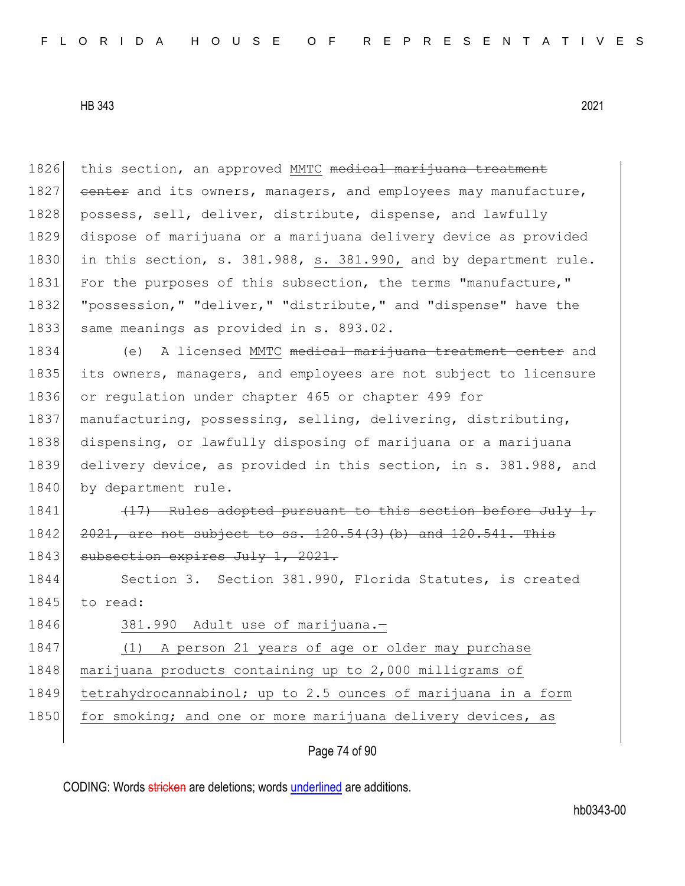1826 this section, an approved MMTC medical marijuana treatment 1827 center and its owners, managers, and employees may manufacture, 1828 possess, sell, deliver, distribute, dispense, and lawfully 1829 dispose of marijuana or a marijuana delivery device as provided 1830 in this section, s. 381.988, s. 381.990, and by department rule. 1831 For the purposes of this subsection, the terms "manufacture," 1832 "possession," "deliver," "distribute," and "dispense" have the 1833 same meanings as provided in s. 893.02. 1834 (e) A licensed MMTC medical marijuana treatment center and 1835 its owners, managers, and employees are not subject to licensure 1836 or regulation under chapter 465 or chapter 499 for 1837 manufacturing, possessing, selling, delivering, distributing, 1838 dispensing, or lawfully disposing of marijuana or a marijuana 1839 delivery device, as provided in this section, in s. 381.988, and 1840 by department rule. 1841 (17) Rules adopted pursuant to this section before July 1, 1842 2021, are not subject to ss. 120.54(3)(b) and 120.541. This 1843 subsection expires July 1, 2021. 1844 Section 3. Section 381.990, Florida Statutes, is created 1845 to read: 1846 381.990 Adult use of marijuana.-1847 (1) A person 21 years of age or older may purchase 1848 marijuana products containing up to  $2,000$  milligrams of 1849 tetrahydrocannabinol; up to 2.5 ounces of marijuana in a form 1850 for smoking; and one or more marijuana delivery devices, as

Page 74 of 90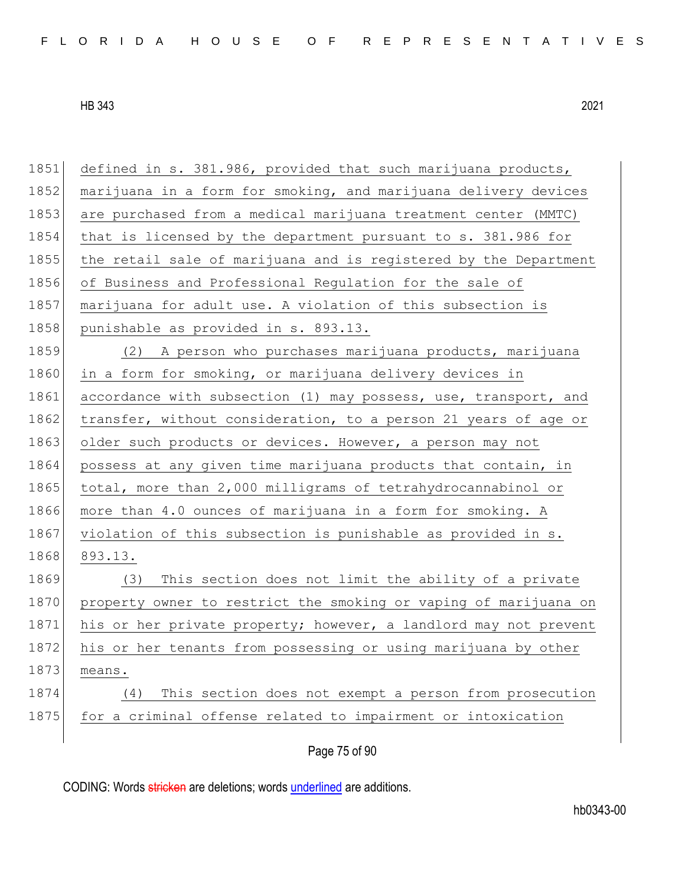1851 defined in s. 381.986, provided that such marijuana products, 1852 marijuana in a form for smoking, and marijuana delivery devices 1853 are purchased from a medical marijuana treatment center (MMTC) 1854 that is licensed by the department pursuant to s. 381.986 for 1855 the retail sale of marijuana and is registered by the Department 1856 of Business and Professional Regulation for the sale of 1857 marijuana for adult use. A violation of this subsection is 1858 punishable as provided in s. 893.13. 1859 (2) A person who purchases marijuana products, marijuana 1860 in a form for smoking, or marijuana delivery devices in 1861 accordance with subsection (1) may possess, use, transport, and 1862 transfer, without consideration, to a person 21 years of age or 1863 older such products or devices. However, a person may not 1864 possess at any given time marijuana products that contain, in 1865 total, more than 2,000 milligrams of tetrahydrocannabinol or 1866 more than 4.0 ounces of marijuana in a form for smoking. A 1867 violation of this subsection is punishable as provided in s. 1868 893.13. 1869 (3) This section does not limit the ability of a private 1870 property owner to restrict the smoking or vaping of marijuana on 1871 his or her private property; however, a landlord may not prevent 1872 his or her tenants from possessing or using marijuana by other 1873 means. 1874 (4) This section does not exempt a person from prosecution 1875 for a criminal offense related to impairment or intoxication

Page 75 of 90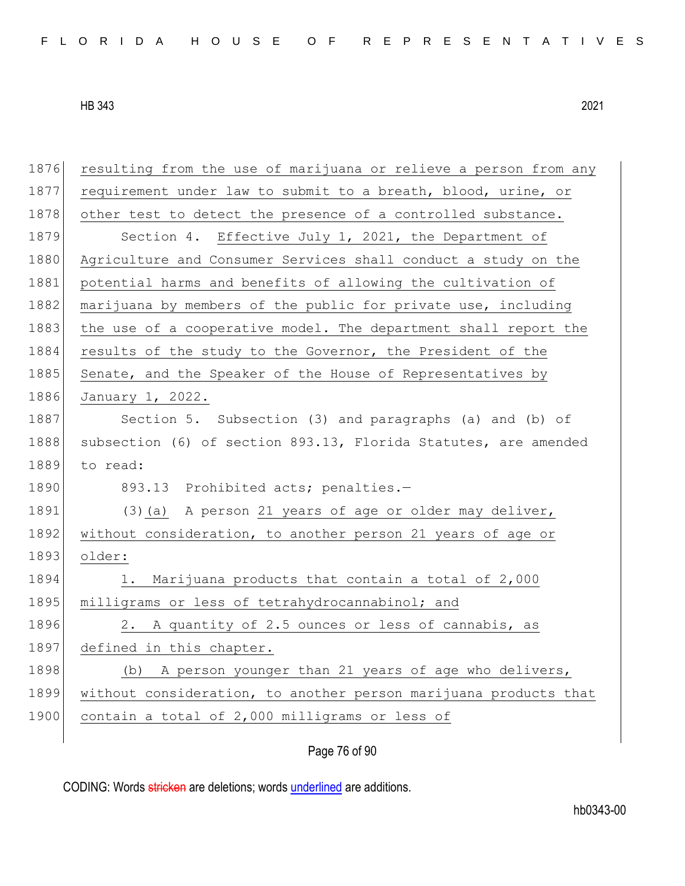| 1876 | resulting from the use of marijuana or relieve a person from any |
|------|------------------------------------------------------------------|
| 1877 | requirement under law to submit to a breath, blood, urine, or    |
| 1878 | other test to detect the presence of a controlled substance.     |
| 1879 | Section 4. Effective July 1, 2021, the Department of             |
| 1880 | Agriculture and Consumer Services shall conduct a study on the   |
| 1881 | potential harms and benefits of allowing the cultivation of      |
| 1882 | marijuana by members of the public for private use, including    |
| 1883 | the use of a cooperative model. The department shall report the  |
| 1884 | results of the study to the Governor, the President of the       |
| 1885 | Senate, and the Speaker of the House of Representatives by       |
| 1886 | January 1, 2022.                                                 |
| 1887 | Section 5. Subsection (3) and paragraphs (a) and (b) of          |
| 1888 | subsection (6) of section 893.13, Florida Statutes, are amended  |
| 1889 | to read:                                                         |
| 1890 | 893.13 Prohibited acts; penalties.-                              |
| 1891 | (3) (a) A person 21 years of age or older may deliver,           |
| 1892 | without consideration, to another person 21 years of age or      |
| 1893 | older:                                                           |
| 1894 | 1. Marijuana products that contain a total of 2,000              |
| 1895 | milligrams or less of tetrahydrocannabinol; and                  |
| 1896 | A quantity of 2.5 ounces or less of cannabis, as<br>2.           |
| 1897 | defined in this chapter.                                         |
| 1898 | (b) A person younger than 21 years of age who delivers,          |
| 1899 | without consideration, to another person marijuana products that |
| 1900 | contain a total of 2,000 milligrams or less of                   |
|      |                                                                  |

Page 76 of 90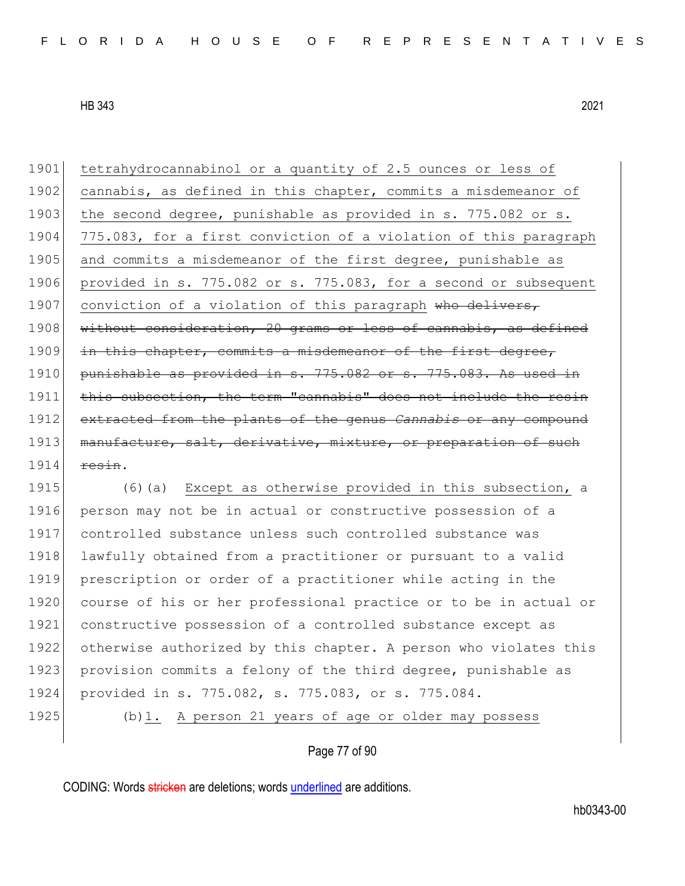1901 tetrahydrocannabinol or a quantity of 2.5 ounces or less of 1902 cannabis, as defined in this chapter, commits a misdemeanor of 1903 the second degree, punishable as provided in s. 775.082 or s. 1904 775.083, for a first conviction of a violation of this paragraph 1905 and commits a misdemeanor of the first degree, punishable as 1906 provided in s. 775.082 or s. 775.083, for a second or subsequent 1907 conviction of a violation of this paragraph who delivers, 1908 without consideration, 20 grams or less of cannabis, as defined 1909 in this chapter, commits a misdemeanor of the first degree, 1910 punishable as provided in s. 775.082 or s. 775.083. As used in 1911 this subsection, the term "cannabis" does not include the resin 1912 extracted from the plants of the genus *Cannabis* or any compound 1913 manufacture, salt, derivative, mixture, or preparation of such  $1914$  resin.

1915 (6)(a) Except as otherwise provided in this subsection, a 1916 person may not be in actual or constructive possession of a 1917 controlled substance unless such controlled substance was 1918 lawfully obtained from a practitioner or pursuant to a valid 1919 prescription or order of a practitioner while acting in the 1920 course of his or her professional practice or to be in actual or 1921 constructive possession of a controlled substance except as 1922 otherwise authorized by this chapter. A person who violates this 1923 provision commits a felony of the third degree, punishable as 1924 provided in s. 775.082, s. 775.083, or s. 775.084.

1925 (b)1. A person 21 years of age or older may possess

Page 77 of 90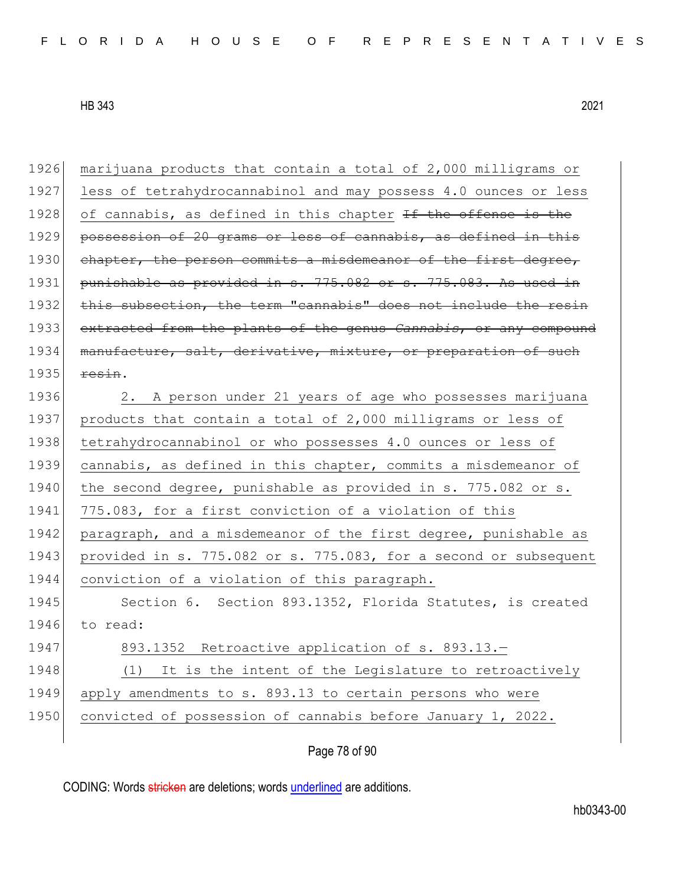1926 marijuana products that contain a total of 2,000 milligrams or 1927 less of tetrahydrocannabinol and may possess 4.0 ounces or less 1928 of cannabis, as defined in this chapter  $F$  the offense is the 1929 possession of 20 grams or less of cannabis, as defined in this 1930 chapter, the person commits a misdemeanor of the first degree, 1931 punishable as provided in s. 775.082 or s. 775.083. As used in 1932 this subsection, the term "cannabis" does not include the resin 1933 extracted from the plants of the genus *Cannabis*, or any compound 1934 manufacture, salt, derivative, mixture, or preparation of such  $1935$  resin. 1936 2. A person under 21 years of age who possesses marijuana 1937 products that contain a total of 2,000 milligrams or less of 1938 tetrahydrocannabinol or who possesses 4.0 ounces or less of 1939 cannabis, as defined in this chapter, commits a misdemeanor of 1940 the second degree, punishable as provided in s. 775.082 or s. 1941 775.083, for a first conviction of a violation of this 1942 paragraph, and a misdemeanor of the first degree, punishable as 1943 provided in s. 775.082 or s. 775.083, for a second or subsequent 1944 conviction of a violation of this paragraph. 1945 Section 6. Section 893.1352, Florida Statutes, is created 1946 to read: 1947 893.1352 Retroactive application of s. 893.13. 1948 (1) It is the intent of the Legislature to retroactively 1949 apply amendments to s. 893.13 to certain persons who were 1950 convicted of possession of cannabis before January 1, 2022.

Page 78 of 90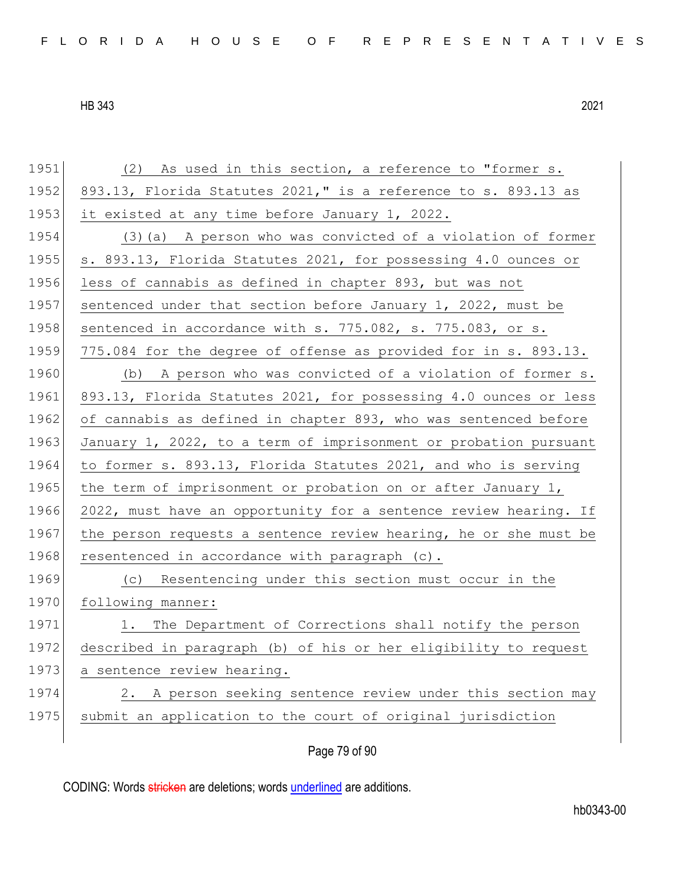1951 (2) As used in this section, a reference to "former s. 1952 893.13, Florida Statutes 2021," is a reference to s. 893.13 as 1953 it existed at any time before January 1, 2022. 1954 (3)(a) A person who was convicted of a violation of former 1955 s. 893.13, Florida Statutes 2021, for possessing 4.0 ounces or 1956 less of cannabis as defined in chapter 893, but was not 1957 sentenced under that section before January 1, 2022, must be 1958 sentenced in accordance with  $s. 775.082$ ,  $s. 775.083$ , or  $s.$ 1959 775.084 for the degree of offense as provided for in s. 893.13. 1960 (b) A person who was convicted of a violation of former s. 1961 893.13, Florida Statutes 2021, for possessing 4.0 ounces or less 1962 of cannabis as defined in chapter 893, who was sentenced before 1963 January 1, 2022, to a term of imprisonment or probation pursuant 1964 to former s. 893.13, Florida Statutes 2021, and who is serving 1965 the term of imprisonment or probation on or after January 1, 1966 2022, must have an opportunity for a sentence review hearing. If 1967 the person requests a sentence review hearing, he or she must be 1968 resentenced in accordance with paragraph (c). 1969 (c) Resentencing under this section must occur in the 1970 following manner: 1971 1. The Department of Corrections shall notify the person 1972 described in paragraph (b) of his or her eligibility to request 1973 a sentence review hearing. 1974 2. A person seeking sentence review under this section may 1975 submit an application to the court of original jurisdiction

Page 79 of 90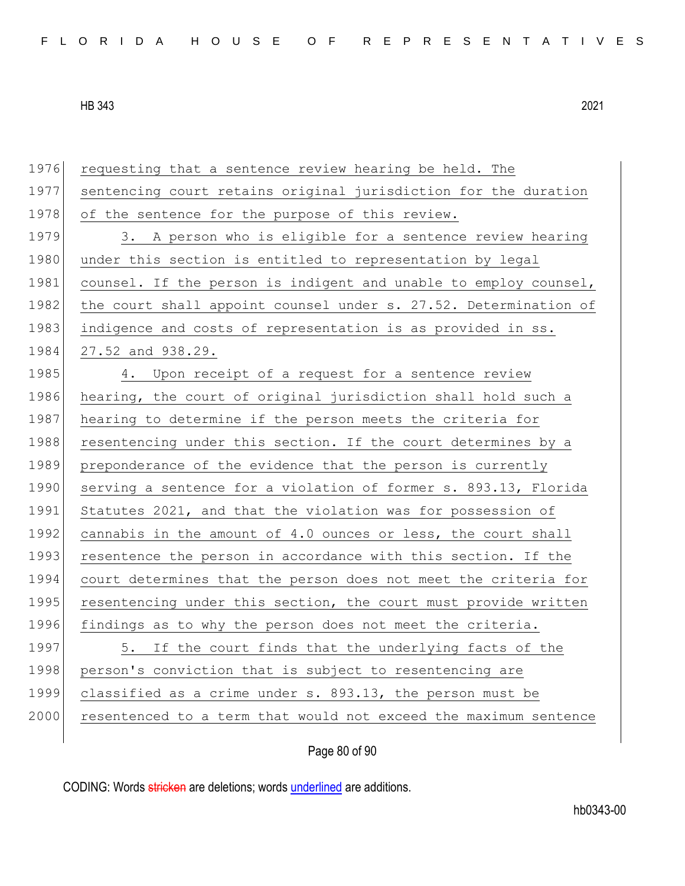| 1976 | requesting that a sentence review hearing be held. The           |
|------|------------------------------------------------------------------|
| 1977 | sentencing court retains original jurisdiction for the duration  |
| 1978 | of the sentence for the purpose of this review.                  |
| 1979 | 3. A person who is eligible for a sentence review hearing        |
| 1980 | under this section is entitled to representation by legal        |
| 1981 | counsel. If the person is indigent and unable to employ counsel, |
| 1982 | the court shall appoint counsel under s. 27.52. Determination of |
| 1983 | indigence and costs of representation is as provided in ss.      |
| 1984 | 27.52 and 938.29.                                                |
| 1985 | 4. Upon receipt of a request for a sentence review               |
| 1986 | hearing, the court of original jurisdiction shall hold such a    |
| 1987 | hearing to determine if the person meets the criteria for        |
| 1988 | resentencing under this section. If the court determines by a    |
| 1989 | preponderance of the evidence that the person is currently       |
| 1990 | serving a sentence for a violation of former s. 893.13, Florida  |
| 1991 | Statutes 2021, and that the violation was for possession of      |
| 1992 | cannabis in the amount of 4.0 ounces or less, the court shall    |
| 1993 | resentence the person in accordance with this section. If the    |
| 1994 | court determines that the person does not meet the criteria for  |
| 1995 | resentencing under this section, the court must provide written  |
| 1996 | findings as to why the person does not meet the criteria.        |
| 1997 | 5.<br>If the court finds that the underlying facts of the        |
| 1998 | person's conviction that is subject to resentencing are          |
| 1999 | classified as a crime under s. 893.13, the person must be        |
| 2000 | resentenced to a term that would not exceed the maximum sentence |
|      |                                                                  |

Page 80 of 90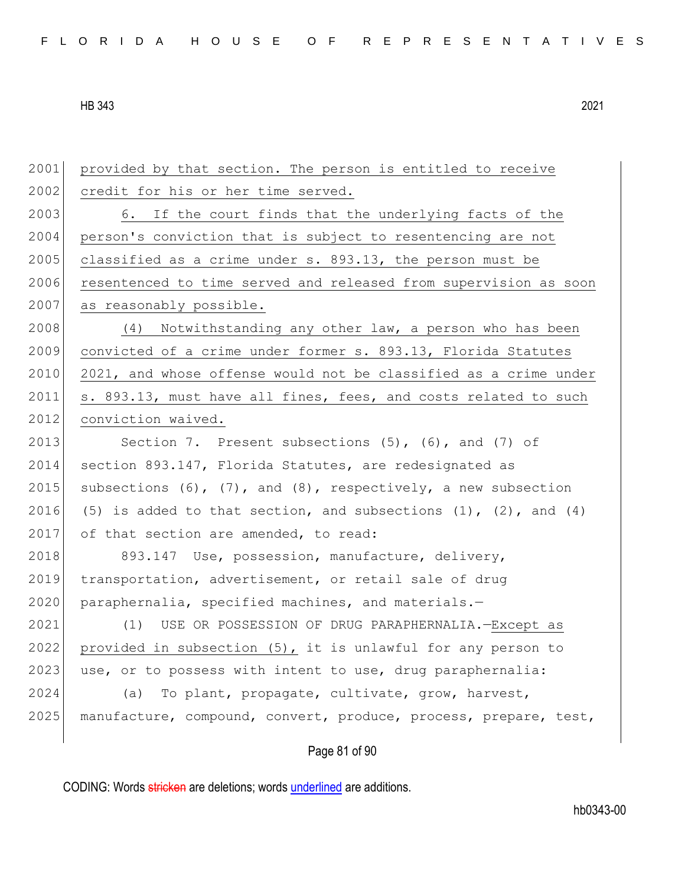2001 provided by that section. The person is entitled to receive 2002 credit for his or her time served. 2003 6. If the court finds that the underlying facts of the 2004 person's conviction that is subject to resentencing are not 2005 classified as a crime under s. 893.13, the person must be 2006 resentenced to time served and released from supervision as soon 2007 as reasonably possible. 2008 (4) Notwithstanding any other law, a person who has been 2009 convicted of a crime under former s. 893.13, Florida Statutes 2010 2021, and whose offense would not be classified as a crime under 2011 s. 893.13, must have all fines, fees, and costs related to such 2012 conviction waived. 2013 Section 7. Present subsections (5), (6), and (7) of 2014 section 893.147, Florida Statutes, are redesignated as 2015 subsections  $(6)$ ,  $(7)$ , and  $(8)$ , respectively, a new subsection 2016 (5) is added to that section, and subsections  $(1)$ ,  $(2)$ , and  $(4)$ 2017 of that section are amended, to read: 2018 893.147 Use, possession, manufacture, delivery, 2019 transportation, advertisement, or retail sale of drug 2020 paraphernalia, specified machines, and materials.-2021 (1) USE OR POSSESSION OF DRUG PARAPHERNALIA.—Except as 2022 provided in subsection (5), it is unlawful for any person to 2023 use, or to possess with intent to use, drug paraphernalia: 2024 (a) To plant, propagate, cultivate, grow, harvest, 2025 manufacture, compound, convert, produce, process, prepare, test,

Page 81 of 90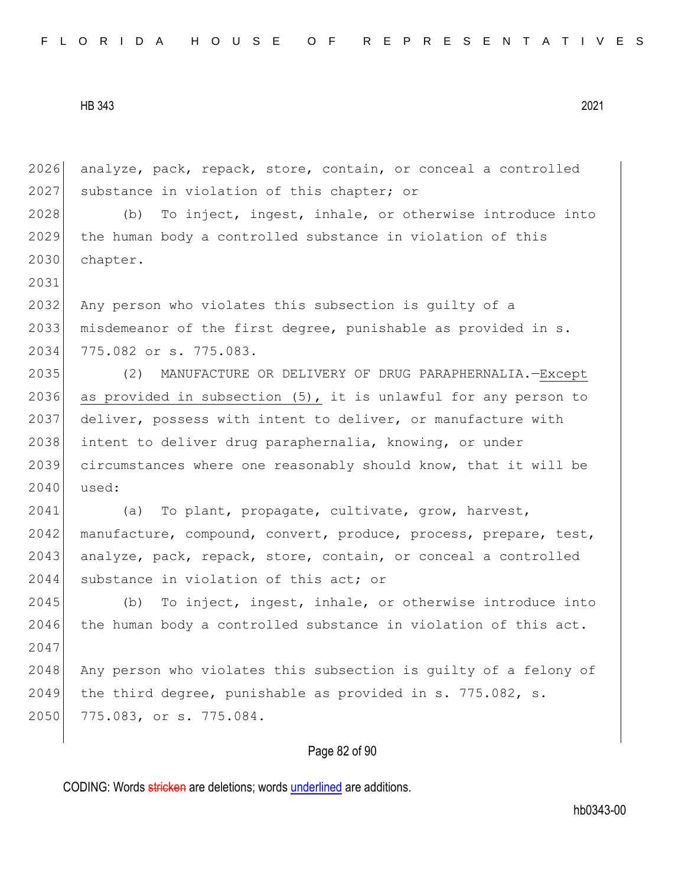| FLORIDA HOUSE OF REPRESENTATIVES |  |
|----------------------------------|--|
|----------------------------------|--|

2031

2026 analyze, pack, repack, store, contain, or conceal a controlled 2027 substance in violation of this chapter; or

2028 (b) To inject, ingest, inhale, or otherwise introduce into 2029 the human body a controlled substance in violation of this 2030 chapter.

2032 Any person who violates this subsection is quilty of a 2033 | misdemeanor of the first degree, punishable as provided in s. 2034 775.082 or s. 775.083.

2035 (2) MANUFACTURE OR DELIVERY OF DRUG PARAPHERNALIA.—Except 2036 as provided in subsection  $(5)$ , it is unlawful for any person to 2037 deliver, possess with intent to deliver, or manufacture with 2038 intent to deliver drug paraphernalia, knowing, or under 2039 circumstances where one reasonably should know, that it will be 2040 used:

2041 (a) To plant, propagate, cultivate, grow, harvest, 2042 manufacture, compound, convert, produce, process, prepare, test, 2043 analyze, pack, repack, store, contain, or conceal a controlled 2044 substance in violation of this act; or

2045 (b) To inject, ingest, inhale, or otherwise introduce into 2046 the human body a controlled substance in violation of this act. 2047

2048 Any person who violates this subsection is quilty of a felony of 2049 the third degree, punishable as provided in  $s. 775.082$ , s. 2050 775.083, or s. 775.084.

## Page 82 of 90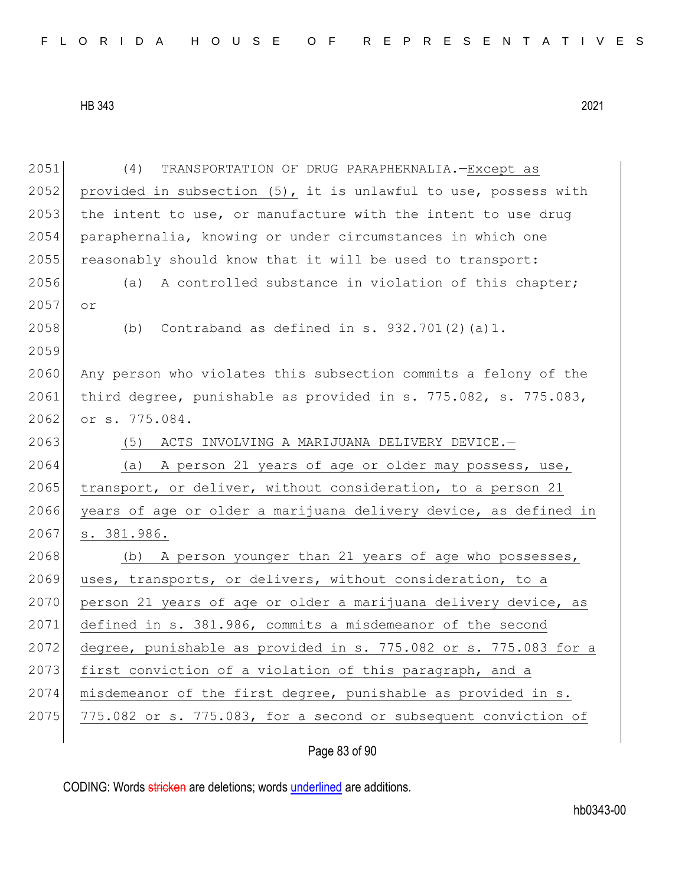2051 (4) TRANSPORTATION OF DRUG PARAPHERNALIA.—Except as 2052 provided in subsection  $(5)$ , it is unlawful to use, possess with 2053 the intent to use, or manufacture with the intent to use drug 2054 paraphernalia, knowing or under circumstances in which one 2055 reasonably should know that it will be used to transport: 2056 (a) A controlled substance in violation of this chapter; 2057 or 2058 (b) Contraband as defined in s.  $932.701(2)(a)1$ . 2059 2060 Any person who violates this subsection commits a felony of the 2061 third degree, punishable as provided in s. 775.082, s. 775.083, 2062 or s. 775.084. 2063 (5) ACTS INVOLVING A MARIJUANA DELIVERY DEVICE. 2064 (a) A person 21 years of age or older may possess, use, 2065 transport, or deliver, without consideration, to a person 21 2066 years of age or older a marijuana delivery device, as defined in 2067 s. 381.986. 2068 (b) A person younger than 21 years of age who possesses, 2069 uses, transports, or delivers, without consideration, to a 2070 person 21 years of age or older a marijuana delivery device, as 2071 defined in s. 381.986, commits a misdemeanor of the second 2072 degree, punishable as provided in s. 775.082 or s. 775.083 for a 2073 first conviction of a violation of this paragraph, and a 2074 misdemeanor of the first degree, punishable as provided in s.  $2075$  775.082 or s. 775.083, for a second or subsequent conviction of

Page 83 of 90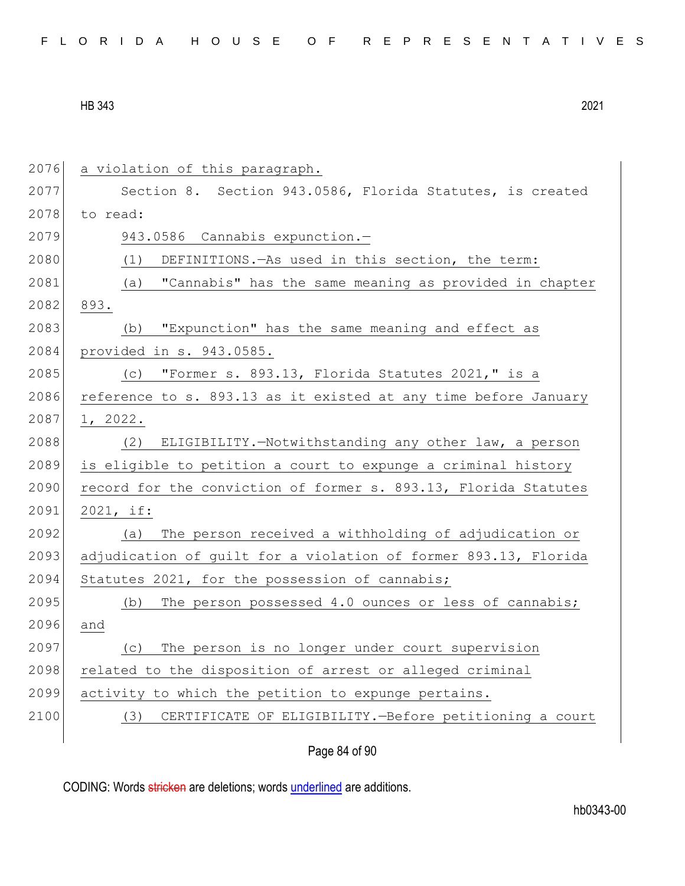|  |  |  |  |  |  |  |  |  |  | FLORIDA HOUSE OF REPRESENTATIVES |  |
|--|--|--|--|--|--|--|--|--|--|----------------------------------|--|
|--|--|--|--|--|--|--|--|--|--|----------------------------------|--|

| 2076 | a violation of this paragraph.                                  |
|------|-----------------------------------------------------------------|
| 2077 | Section 8. Section 943.0586, Florida Statutes, is created       |
| 2078 | to read:                                                        |
| 2079 | 943.0586 Cannabis expunction.-                                  |
| 2080 | DEFINITIONS. - As used in this section, the term:<br>(1)        |
| 2081 | "Cannabis" has the same meaning as provided in chapter<br>(a)   |
| 2082 | 893.                                                            |
| 2083 | "Expunction" has the same meaning and effect as<br>(d)          |
| 2084 | provided in s. 943.0585.                                        |
| 2085 | "Former s. 893.13, Florida Statutes 2021," is a<br>(C)          |
| 2086 | reference to s. 893.13 as it existed at any time before January |
| 2087 | 1, 2022.                                                        |
| 2088 | ELIGIBILITY.-Notwithstanding any other law, a person<br>(2)     |
| 2089 | is eligible to petition a court to expunge a criminal history   |
| 2090 | record for the conviction of former s. 893.13, Florida Statutes |
| 2091 | 2021, if:                                                       |
| 2092 | The person received a withholding of adjudication or<br>(a)     |
| 2093 | adjudication of guilt for a violation of former 893.13, Florida |
| 2094 | Statutes 2021, for the possession of cannabis;                  |
| 2095 | The person possessed 4.0 ounces or less of cannabis;<br>(b)     |
| 2096 | and                                                             |
| 2097 | The person is no longer under court supervision<br>(C)          |
| 2098 | related to the disposition of arrest or alleged criminal        |
| 2099 | activity to which the petition to expunge pertains.             |
| 2100 | CERTIFICATE OF ELIGIBILITY. - Before petitioning a court<br>(3) |
|      |                                                                 |

Page 84 of 90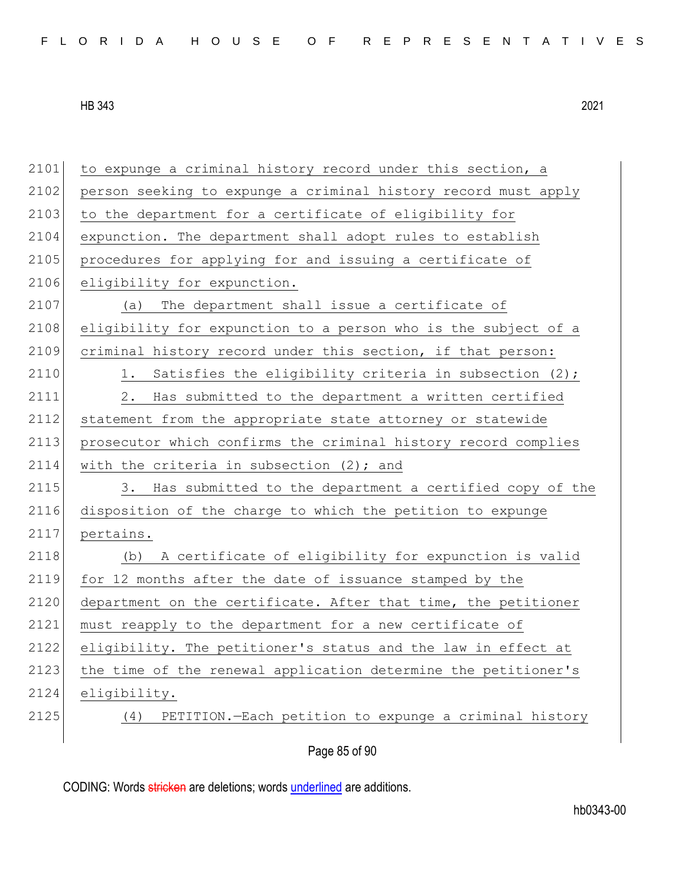2101 to expunge a criminal history record under this section, a 2102 person seeking to expunge a criminal history record must apply 2103 to the department for a certificate of eligibility for 2104 expunction. The department shall adopt rules to establish 2105 procedures for applying for and issuing a certificate of 2106 eligibility for expunction. 2107 (a) The department shall issue a certificate of 2108 eligibility for expunction to a person who is the subject of a 2109 criminal history record under this section, if that person: 2110 1. Satisfies the eligibility criteria in subsection  $(2)$ ; 2111 2. Has submitted to the department a written certified 2112 statement from the appropriate state attorney or statewide 2113 prosecutor which confirms the criminal history record complies 2114 with the criteria in subsection  $(2)$ ; and 2115 3. Has submitted to the department a certified copy of the 2116 disposition of the charge to which the petition to expunge 2117 pertains. 2118 (b) A certificate of eligibility for expunction is valid 2119 for 12 months after the date of issuance stamped by the 2120 department on the certificate. After that time, the petitioner 2121 must reapply to the department for a new certificate of 2122 eligibility. The petitioner's status and the law in effect at 2123 the time of the renewal application determine the petitioner's 2124 eligibility. 2125 (4) PETITION.—Each petition to expunge a criminal history

Page 85 of 90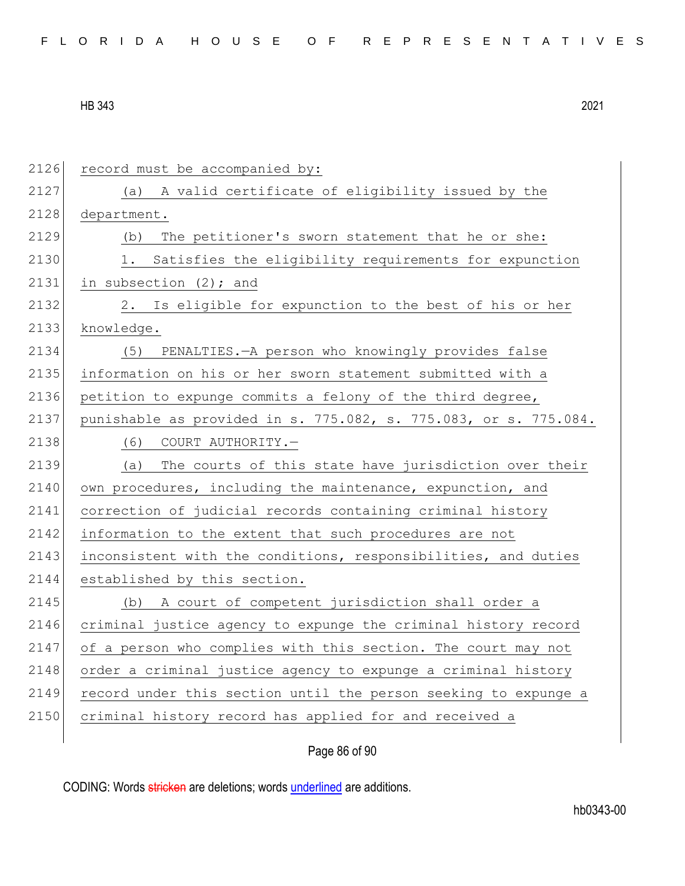2126 record must be accompanied by: 2127 (a) A valid certificate of eligibility issued by the 2128 department. 2129 (b) The petitioner's sworn statement that he or she: 2130 1. Satisfies the eligibility requirements for expunction 2131 in subsection (2); and 2132 2. Is eligible for expunction to the best of his or her 2133 knowledge. 2134 (5) PENALTIES.—A person who knowingly provides false 2135 information on his or her sworn statement submitted with a 2136 petition to expunge commits a felony of the third degree, 2137 punishable as provided in s. 775.082, s. 775.083, or s. 775.084. 2138 (6) COURT AUTHORITY. 2139 (a) The courts of this state have jurisdiction over their 2140 own procedures, including the maintenance, expunction, and 2141 correction of judicial records containing criminal history 2142 information to the extent that such procedures are not 2143 inconsistent with the conditions, responsibilities, and duties 2144 established by this section. 2145 (b) A court of competent jurisdiction shall order a 2146 criminal justice agency to expunge the criminal history record 2147 of a person who complies with this section. The court may not 2148 order a criminal justice agency to expunge a criminal history 2149 record under this section until the person seeking to expunge a 2150 criminal history record has applied for and received a

Page 86 of 90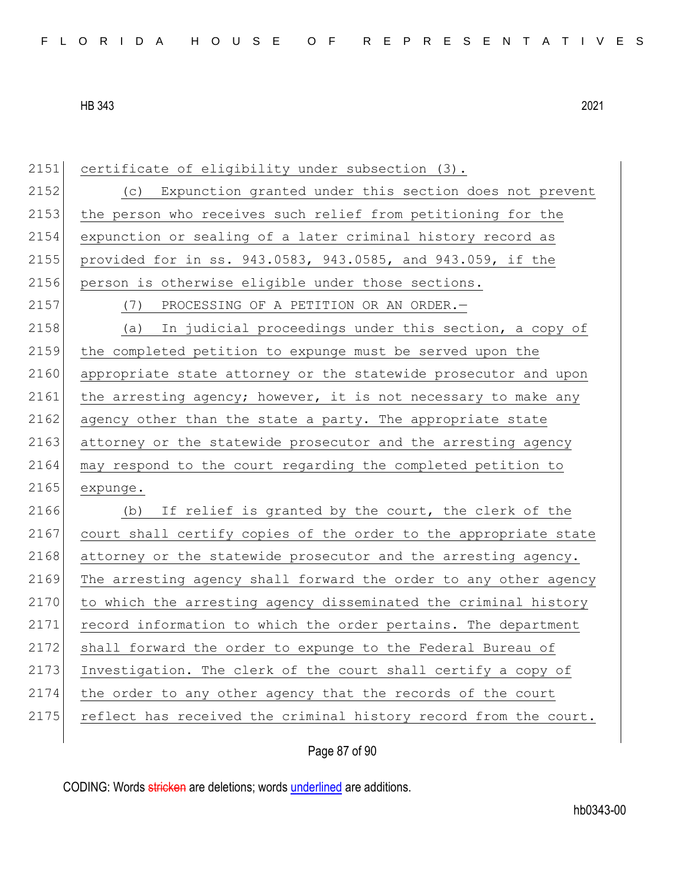2151 certificate of eligibility under subsection (3). 2152 (c) Expunction granted under this section does not prevent 2153 the person who receives such relief from petitioning for the 2154 expunction or sealing of a later criminal history record as 2155 provided for in ss. 943.0583, 943.0585, and 943.059, if the 2156 person is otherwise eligible under those sections. 2157 (7) PROCESSING OF A PETITION OR AN ORDER. 2158 (a) In judicial proceedings under this section, a copy of 2159 the completed petition to expunge must be served upon the 2160 appropriate state attorney or the statewide prosecutor and upon 2161 the arresting agency; however, it is not necessary to make any  $2162$  agency other than the state a party. The appropriate state 2163 attorney or the statewide prosecutor and the arresting agency 2164 may respond to the court regarding the completed petition to 2165 expunge. 2166 (b) If relief is granted by the court, the clerk of the 2167 court shall certify copies of the order to the appropriate state 2168 attorney or the statewide prosecutor and the arresting agency. 2169 The arresting agency shall forward the order to any other agency 2170 to which the arresting agency disseminated the criminal history 2171 record information to which the order pertains. The department 2172 shall forward the order to expunge to the Federal Bureau of 2173 Investigation. The clerk of the court shall certify a copy of 2174 the order to any other agency that the records of the court 2175 reflect has received the criminal history record from the court.

Page 87 of 90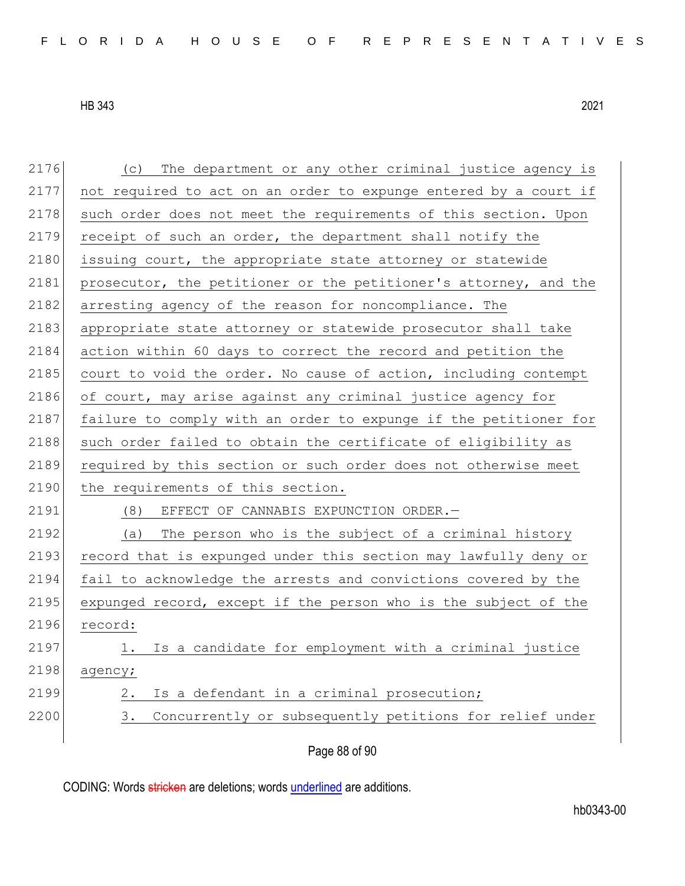2176 (c) The department or any other criminal justice agency is 2177 not required to act on an order to expunge entered by a court if 2178 such order does not meet the requirements of this section. Upon 2179 receipt of such an order, the department shall notify the 2180 issuing court, the appropriate state attorney or statewide 2181 prosecutor, the petitioner or the petitioner's attorney, and the 2182 arresting agency of the reason for noncompliance. The 2183 appropriate state attorney or statewide prosecutor shall take 2184 action within 60 days to correct the record and petition the 2185 court to void the order. No cause of action, including contempt 2186 of court, may arise against any criminal justice agency for 2187 failure to comply with an order to expunge if the petitioner for 2188 such order failed to obtain the certificate of eligibility as 2189 required by this section or such order does not otherwise meet 2190 the requirements of this section. 2191 (8) EFFECT OF CANNABIS EXPUNCTION ORDER. 2192 (a) The person who is the subject of a criminal history 2193 record that is expunged under this section may lawfully deny or 2194 fail to acknowledge the arrests and convictions covered by the 2195 expunged record, except if the person who is the subject of the 2196 record: 2197 1. Is a candidate for employment with a criminal justice  $2198$  agency; 2199 2. Is a defendant in a criminal prosecution; 2200 3. Concurrently or subsequently petitions for relief under

Page 88 of 90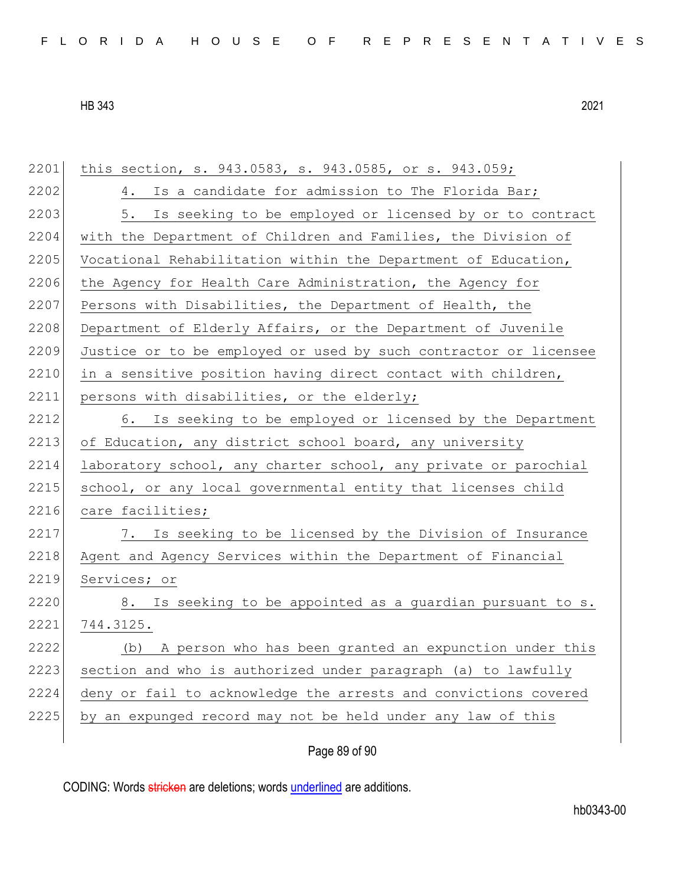| 2201 | this section, s. 943.0583, s. 943.0585, or s. 943.059;           |
|------|------------------------------------------------------------------|
| 2202 | 4. Is a candidate for admission to The Florida Bar;              |
| 2203 | Is seeking to be employed or licensed by or to contract<br>5.    |
| 2204 | with the Department of Children and Families, the Division of    |
| 2205 | Vocational Rehabilitation within the Department of Education,    |
| 2206 | the Agency for Health Care Administration, the Agency for        |
| 2207 | Persons with Disabilities, the Department of Health, the         |
| 2208 | Department of Elderly Affairs, or the Department of Juvenile     |
| 2209 | Justice or to be employed or used by such contractor or licensee |
| 2210 | in a sensitive position having direct contact with children,     |
| 2211 | persons with disabilities, or the elderly;                       |
| 2212 | 6. Is seeking to be employed or licensed by the Department       |
| 2213 | of Education, any district school board, any university          |
| 2214 | laboratory school, any charter school, any private or parochial  |
| 2215 | school, or any local governmental entity that licenses child     |
| 2216 | care facilities;                                                 |
| 2217 | Is seeking to be licensed by the Division of Insurance<br>7.     |
| 2218 | Agent and Agency Services within the Department of Financial     |
| 2219 | Services; or                                                     |
| 2220 | Is seeking to be appointed as a guardian pursuant to s.<br>8.    |
| 2221 | 744.3125.                                                        |
| 2222 | A person who has been granted an expunction under this<br>(b)    |
| 2223 | section and who is authorized under paragraph (a) to lawfully    |
| 2224 | deny or fail to acknowledge the arrests and convictions covered  |
| 2225 | by an expunged record may not be held under any law of this      |
|      |                                                                  |

## Page 89 of 90